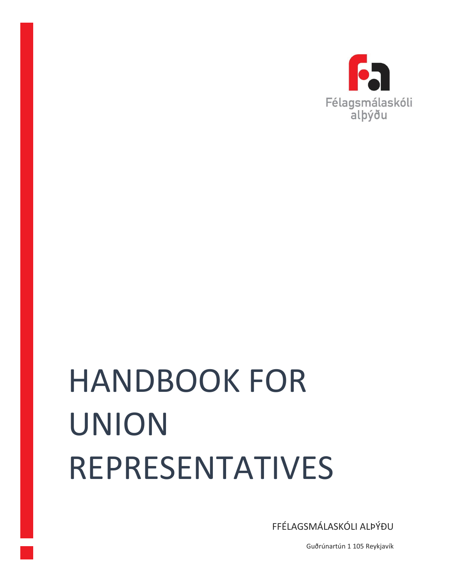

# HANDBOOK FOR UNION REPRESENTATIVES

FFÉLAGSMÁLASKÓLI ALÞÝÐU

Guðrúnartún 1 105 Reykjavík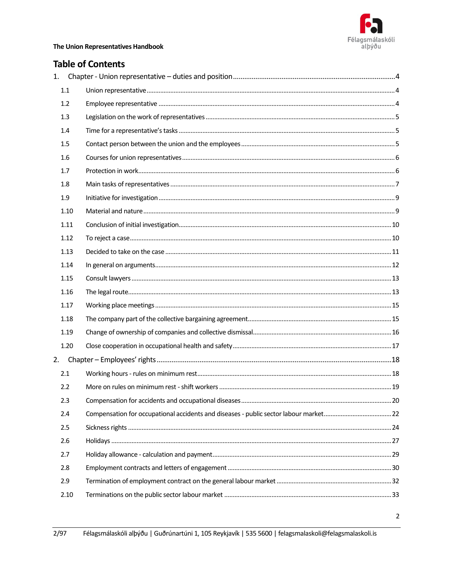

## **Table of Contents**

|    | 1.1  |  |
|----|------|--|
|    | 1.2  |  |
|    | 1.3  |  |
|    | 1.4  |  |
|    | 1.5  |  |
|    | 1.6  |  |
|    | 1.7  |  |
|    | 1.8  |  |
|    | 1.9  |  |
|    | 1.10 |  |
|    | 1.11 |  |
|    | 1.12 |  |
|    | 1.13 |  |
|    | 1.14 |  |
|    | 1.15 |  |
|    | 1.16 |  |
|    | 1.17 |  |
|    | 1.18 |  |
|    | 1.19 |  |
|    | 1.20 |  |
| 2. |      |  |
|    | 2.1  |  |
|    | 2.2  |  |
|    | 2.3  |  |
|    | 2.4  |  |
|    | 2.5  |  |
|    | 2.6  |  |
|    | 2.7  |  |
|    | 2.8  |  |
|    | 2.9  |  |
|    | 2.10 |  |
|    |      |  |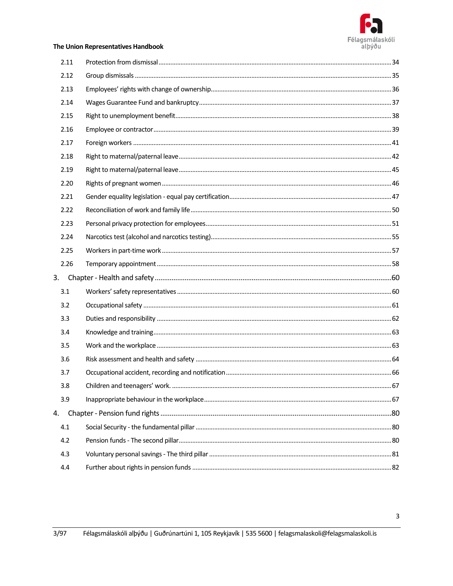

| 2.11 |  |
|------|--|
| 2.12 |  |
| 2.13 |  |
| 2.14 |  |
| 2.15 |  |
| 2.16 |  |
| 2.17 |  |
| 2.18 |  |
| 2.19 |  |
| 2.20 |  |
| 2.21 |  |
| 2.22 |  |
| 2.23 |  |
| 2.24 |  |
| 2.25 |  |
| 2.26 |  |
| 3.   |  |
| 3.1  |  |
| 3.2  |  |
| 3.3  |  |
| 3.4  |  |
| 3.5  |  |
| 3.6  |  |
| 3.7  |  |
| 3.8  |  |
| 3.9  |  |
| 4.   |  |
| 4.1  |  |
| 4.2  |  |
| 4.3  |  |
| 4.4  |  |
|      |  |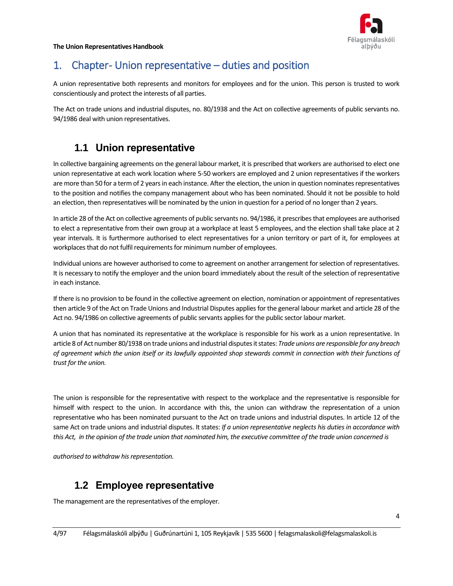

# <span id="page-3-0"></span>1. Chapter-Union representative – duties and position

A union representative both represents and monitors for employees and for the union. This person is trusted to work conscientiously and protect the interests of all parties.

<span id="page-3-1"></span>The Act on trade unions and industrial disputes, no. 80/1938 and the Act on collective agreements of public servants no. 94/1986 deal with union representatives.

## **1.1 Union representative**

In collective bargaining agreements on the general labour market, it is prescribed that workers are authorised to elect one union representative at each work location where 5-50 workers are employed and 2 union representatives if the workers are more than 50 for a term of 2 years in each instance. After the election, the union in question nominates representatives to the position and notifies the company management about who has been nominated. Should it not be possible to hold an election, then representatives will be nominated by the union in question for a period of no longer than 2 years.

In article 28 of the Act on collective agreements of public servants no. 94/1986, it prescribes that employees are authorised to elect a representative from their own group at a workplace at least 5 employees, and the election shall take place at 2 year intervals. It is furthermore authorised to elect representatives for a union territory or part of it, for employees at workplaces that do not fulfil requirements for minimum number of employees.

Individual unions are however authorised to come to agreement on another arrangement for selection of representatives. It is necessary to notify the employer and the union board immediately about the result of the selection of representative in each instance.

If there is no provision to be found in the collective agreement on election, nomination or appointment of representatives then article 9 of the Act on Trade Unions and Industrial Disputes applies for the general labour market and article 28 of the Act no. 94/1986 on collective agreements of public servants applies for the public sector labour market.

A union that has nominated its representative at the workplace is responsible for his work as a union representative. In article 8 of Act number 80/1938 on trade unions and industrial disputes it states: *Trade unions are responsible for any breach of agreement which the union itself or its lawfully appointed shop stewards commit in connection with their functions of trust for the union.* 

The union is responsible for the representative with respect to the workplace and the representative is responsible for himself with respect to the union. In accordance with this, the union can withdraw the representation of a union representative who has been nominated pursuant to the Act on trade unions and industrial disputes. In article 12 of the same Act on trade unions and industrial disputes. It states: *If a union representative neglects his duties in accordance with this Act, in the opinion of the trade union that nominated him, the executive committee of the trade union concerned is*

<span id="page-3-2"></span>*authorised to withdraw his representation.*

## **1.2 Employee representative**

The management are the representatives of the employer.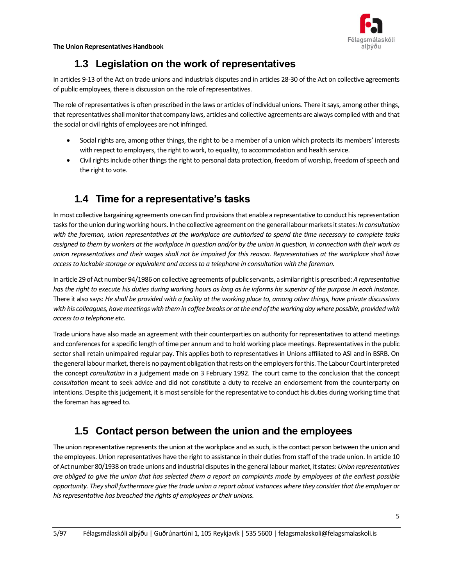

# **1.3 Legislation on the work of representatives**

<span id="page-4-0"></span>In articles 9-13 of the Act on trade unions and industrials disputes and in articles 28-30 of the Act on collective agreements of public employees, there is discussion on the role of representatives.

The role of representatives is often prescribed in the laws or articles of individual unions. There it says, among other things, that representatives shall monitor that company laws, articles and collective agreements are always complied with and that the social or civil rights of employees are not infringed.

- Social rights are, among other things, the right to be a member of a union which protects its members' interests with respect to employers, the right to work, to equality, to accommodation and health service.
- Civil rights include other things the right to personal data protection, freedom of worship, freedom of speech and the right to vote.

# <span id="page-4-1"></span>**1.4 Time for a representative's tasks**

In most collective bargaining agreements one can find provisions that enable a representative to conduct his representation tasks for the union during working hours. In the collective agreement on the general labour markets it states: *In consultation with the foreman, union representatives at the workplace are authorised to spend the time necessary to complete tasks assigned to them by workers at the workplace in question and/or by the union in question, in connection with their work as union representatives and their wages shall not be impaired for this reason. Representatives at the workplace shall have access to lockable storage or equivalent and access to a telephone in consultation with the foreman.*

In article 29 of Act number 94/1986 on collective agreements of public servants, a similar right is prescribed: *A representative has the right to execute his duties during working hours as long as he informs his superior of the purpose in each instance.*  There it also says: *He shall be provided with a facility at the working place to, among other things, have private discussions with his colleagues, have meetings with them in coffee breaks or at the end of the working day where possible, provided with access to a telephone etc.*

Trade unions have also made an agreement with their counterparties on authority for representatives to attend meetings and conferences for a specific length of time per annum and to hold working place meetings. Representatives in the public sector shall retain unimpaired regular pay. This applies both to representatives in Unions affiliated to ASI and in BSRB. On the general labour market, there is no payment obligation that rests on the employers for this. The Labour Court interpreted the concept *consultation* in a judgement made on 3 February 1992. The court came to the conclusion that the concept *consultation* meant to seek advice and did not constitute a duty to receive an endorsement from the counterparty on intentions. Despite this judgement, it is most sensible for the representative to conduct his duties during working time that the foreman has agreed to.

## <span id="page-4-2"></span>**1.5 Contact person between the union and the employees**

The union representative represents the union at the workplace and as such, is the contact person between the union and the employees. Union representatives have the right to assistance in their duties from staff of the trade union. In article 10 of Act number 80/1938 on trade unions and industrial disputes in the general labour market, it states: *Union representatives are obliged to give the union that has selected them a report on complaints made by employees at the earliest possible opportunity. They shall furthermore give the trade union a report about instances where they consider that the employer or his representative has breached the rights of employees or their unions.*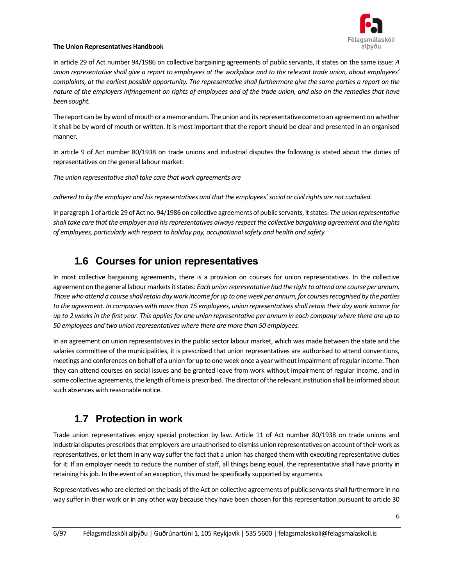

In article 29 of Act number 94/1986 on collective bargaining agreements of public servants, it states on the same issue: *A union representative shall give a report to employees at the workplace and to the relevant trade union, about employees' complaints, at the earliest possible opportunity. The representative shall furthermore give the same parties a report on the nature of the employers infringement on rights of employees and of the trade union, and also on the remedies that have been sought.* 

The report can be by word of mouth or a memorandum. The union and its representative come to an agreement on whether it shall be by word of mouth or written. It is most important that the report should be clear and presented in an organised manner.

In article 9 of Act number 80/1938 on trade unions and industrial disputes the following is stated about the duties of representatives on the general labour market:

*The union representative shall take care that work agreements are*

*adhered to by the employer and his representatives and that the employees' social or civil rights are not curtailed.* 

In paragraph 1 of article 29 of Act no. 94/1986 on collective agreements of public servants, it states: *The union representative shall take care that the employer and his representatives always respect the collective bargaining agreement and the rights of employees, particularly with respect to holiday pay, occupational safety and health and safety.* 

## <span id="page-5-0"></span>**1.6 Courses for union representatives**

In most collective bargaining agreements, there is a provision on courses for union representatives. In the collective agreement on the general labour markets it states: *Each union representative had the right to attend one course per annum. Those who attend a course shall retain day work income for up to one week per annum, for courses recognised by the parties to the agreement. In companies with more than 15 employees, union representatives shall retain their day work income for up to 2 weeks in the first year. This applies for one union representative per annum in each company where there are up to 50 employees and two union representatives where there are more than 50 employees.*

In an agreement on union representatives in the public sector labour market, which was made between the state and the salaries committee of the municipalities, it is prescribed that union representatives are authorised to attend conventions, meetings and conferences on behalf of a union for up to one week once a year without impairment of regular income. Then they can attend courses on social issues and be granted leave from work without impairment of regular income, and in some collective agreements, the length of time is prescribed. The director of the relevant institution shall be informed about such absences with reasonable notice.

## <span id="page-5-1"></span>**1.7 Protection in work**

Trade union representatives enjoy special protection by law. Article 11 of Act number 80/1938 on trade unions and industrial disputes prescribes that employers are unauthorised to dismiss union representatives on account of their work as representatives, or let them in any way suffer the fact that a union has charged them with executing representative duties for it. If an employer needs to reduce the number of staff, all things being equal, the representative shall have priority in retaining his job. In the event of an exception, this must be specifically supported by arguments.

Representatives who are elected on the basis of the Act on collective agreements of public servants shall furthermore in no way suffer in their work or in any other way because they have been chosen for this representation pursuant to article 30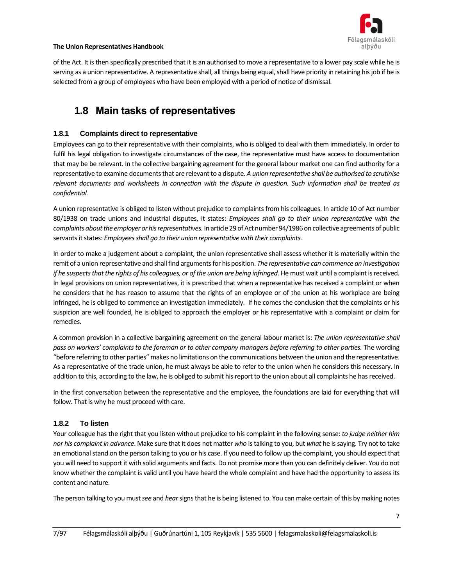

of the Act. It is then specifically prescribed that it is an authorised to move a representative to a lower pay scale while he is serving as a union representative. A representative shall, all things being equal, shall have priority in retaining his job if he is selected from a group of employees who have been employed with a period of notice of dismissal.

## <span id="page-6-0"></span>**1.8 Main tasks of representatives**

#### **1.8.1 Complaints direct to representative**

Employees can go to their representative with their complaints, who is obliged to deal with them immediately. In order to fulfil his legal obligation to investigate circumstances of the case, the representative must have access to documentation that may be be relevant. In the collective bargaining agreement for the general labour market one can find authority for a representative to examine documents that are relevant to a dispute. *A union representative shall be authorised to scrutinise relevant documents and worksheets in connection with the dispute in question. Such information shall be treated as confidential.* 

A union representative is obliged to listen without prejudice to complaints from his colleagues. In article 10 of Act number 80/1938 on trade unions and industrial disputes, it states: *Employees shall go to their union representative with the complaints about the employer or his representatives.* In article 29 of Act number 94/1986 on collective agreements of public servants it states: *Employees shall go to their union representative with their complaints.* 

In order to make a judgement about a complaint, the union representative shall assess whether it is materially within the remit of a union representative and shall find arguments for his position. *The representative can commence an investigation if he suspects that the rights of his colleagues, or of the union are being infringed.* He must wait until a complaint is received. In legal provisions on union representatives, it is prescribed that when a representative has received a complaint or when he considers that he has reason to assume that the rights of an employee or of the union at his workplace are being infringed, he is obliged to commence an investigation immediately. If he comes the conclusion that the complaints or his suspicion are well founded, he is obliged to approach the employer or his representative with a complaint or claim for remedies.

A common provision in a collective bargaining agreement on the general labour market is: *The union representative shall pass on workers' complaints to the foreman or to other company managers before referring to other parties.* The wording "before referring to other parties" makes no limitations on the communications between the union and the representative. As a representative of the trade union, he must always be able to refer to the union when he considers this necessary. In addition to this, according to the law, he is obliged to submit his report to the union about all complaints he has received.

In the first conversation between the representative and the employee, the foundations are laid for everything that will follow. That is why he must proceed with care.

#### **1.8.2 To listen**

Your colleague has the right that you listen without prejudice to his complaint in the following sense: *to judge neither him nor his complaint in advance*. Make sure that it does not matter *who* is talking to you, but *what* he is saying. Try not to take an emotional stand on the person talking to you or his case. If you need to follow up the complaint, you should expect that you will need to support it with solid arguments and facts. Do not promise more than you can definitely deliver. You do not know whether the complaint is valid until you have heard the whole complaint and have had the opportunity to assess its content and nature.

The person talking to you must *see* and *hear*signs that he is being listened to. You can make certain of this by making notes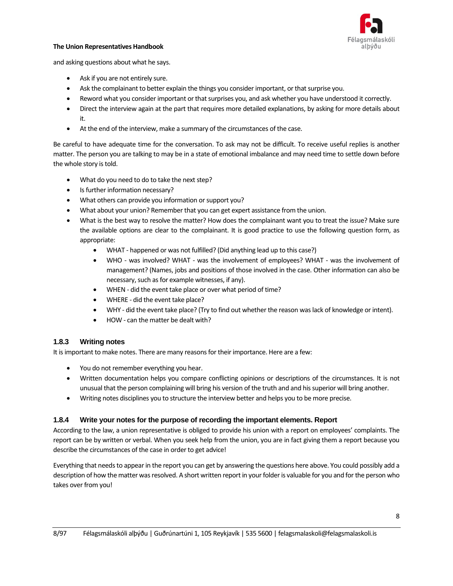

and asking questions about what he says.

- Ask if you are not entirely sure.
- Ask the complainant to better explain the things you consider important, or that surprise you.
- Reword what you consider important or that surprises you, and ask whether you have understood it correctly.
- Direct the interview again at the part that requires more detailed explanations, by asking for more details about it.
- At the end of the interview, make a summary of the circumstances of the case.

Be careful to have adequate time for the conversation. To ask may not be difficult. To receive useful replies is another matter. The person you are talking to may be in a state of emotional imbalance and may need time to settle down before the whole story is told.

- What do you need to do to take the next step?
- Is further information necessary?
- What others can provide you information or support you?
- What about your union? Remember that you can get expert assistance from the union.
- What is the best way to resolve the matter? How does the complainant want you to treat the issue? Make sure the available options are clear to the complainant. It is good practice to use the following question form, as appropriate:
	- WHAT happened or was not fulfilled? (Did anything lead up to this case?)
	- WHO was involved? WHAT was the involvement of employees? WHAT was the involvement of management? (Names, jobs and positions of those involved in the case. Other information can also be necessary, such as for example witnesses, if any).
	- WHEN did the event take place or over what period of time?
	- WHERE did the event take place?
	- WHY did the event take place? (Try to find out whether the reason was lack of knowledge or intent).
	- HOW can the matter be dealt with?

#### **1.8.3 Writing notes**

It is important to make notes. There are many reasons for their importance. Here are a few:

- You do not remember everything you hear.
- Written documentation helps you compare conflicting opinions or descriptions of the circumstances. It is not unusual that the person complaining will bring his version of the truth and and his superior will bring another.
- Writing notes disciplines you to structure the interview better and helps you to be more precise.

#### **1.8.4 Write your notes for the purpose of recording the important elements. Report**

According to the law, a union representative is obliged to provide his union with a report on employees' complaints. The report can be by written or verbal. When you seek help from the union, you are in fact giving them a report because you describe the circumstances of the case in order to get advice!

Everything that needs to appear in the report you can get by answering the questions here above. You could possibly add a description of how the matter was resolved. A short written report in your folder is valuable for you and for the person who takes over from you!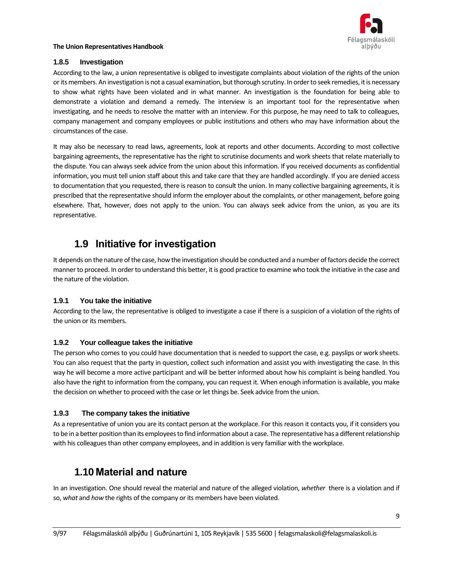

#### **1.8.5 Investigation**

According to the law, a union representative is obliged to investigate complaints about violation of the rights of the union or its members. An investigation is not a casual examination, but thorough scrutiny. In order to seek remedies, it is necessary to show what rights have been violated and in what manner. An investigation is the foundation for being able to demonstrate a violation and demand a remedy. The interview is an important tool for the representative when investigating, and he needs to resolve the matter with an interview. For this purpose, he may need to talk to colleagues, company management and company employees or public institutions and others who may have information about the circumstances of the case.

It may also be necessary to read laws, agreements, look at reports and other documents. According to most collective bargaining agreements, the representative has the right to scrutinise documents and work sheets that relate materially to the dispute. You can always seek advice from the union about this information. If you received documents as confidential information, you must tell union staff about this and take care that they are handled accordingly. If you are denied access to documentation that you requested, there is reason to consult the union. In many collective bargaining agreements, it is prescribed that the representative should inform the employer about the complaints, or other management, before going elsewhere. That, however, does not apply to the union. You can always seek advice from the union, as you are its representative.

## <span id="page-8-0"></span>**1.9 Initiative for investigation**

It depends on the nature of the case, how the investigation should be conducted and a number of factors decide the correct manner to proceed. In order to understand this better, it is good practice to examine who took the initiative in the case and the nature of the violation.

#### **1.9.1 You take the initiative**

According to the law, the representative is obliged to investigate a case if there is a suspicion of a violation of the rights of the union or its members.

#### **1.9.2 Your colleague takes the initiative**

The person who comes to you could have documentation that is needed to support the case, e.g. payslips or work sheets. You can also request that the party in question, collect such information and assist you with investigating the case. In this way he will become a more active participant and will be better informed about how his complaint is being handled. You also have the right to information from the company, you can request it. When enough information is available, you make the decision on whether to proceed with the case or let things be. Seek advice from the union.

#### **1.9.3 The company takes the initiative**

As a representative of union you are its contact person at the workplace. For this reason it contacts you, if it considers you to be in a better position than its employees to find information about a case. The representative has a different relationship with his colleagues than other company employees, and in addition is very familiar with the workplace.

## <span id="page-8-1"></span>**1.10 Material and nature**

In an investigation. One should reveal the material and nature of the alleged violation, *whether* there is a violation and if so, *what* and *how* the rights of the company or its members have been violated.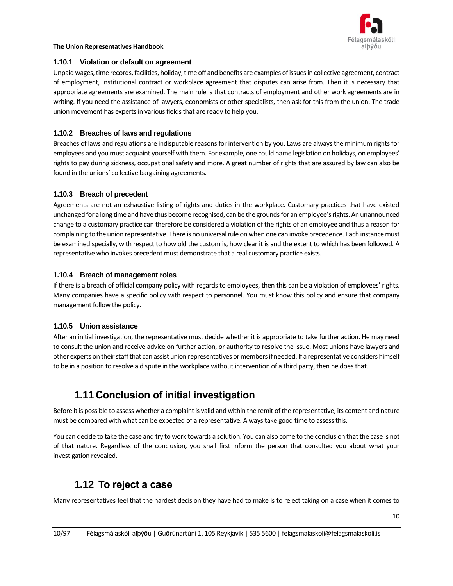

#### **1.10.1 Violation or default on agreement**

Unpaid wages, time records, facilities, holiday, time off and benefits are examples of issues in collective agreement, contract of employment, institutional contract or workplace agreement that disputes can arise from. Then it is necessary that appropriate agreements are examined. The main rule is that contracts of employment and other work agreements are in writing. If you need the assistance of lawyers, economists or other specialists, then ask for this from the union. The trade union movement has experts in various fields that are ready to help you.

#### **1.10.2 Breaches of laws and regulations**

Breaches of laws and regulations are indisputable reasons for intervention by you. Laws are always the minimum rights for employees and you must acquaint yourself with them. For example, one could name legislation on holidays, on employees' rights to pay during sickness, occupational safety and more. A great number of rights that are assured by law can also be found in the unions' collective bargaining agreements.

#### **1.10.3 Breach of precedent**

Agreements are not an exhaustive listing of rights and duties in the workplace. Customary practices that have existed unchanged for a long time and have thus become recognised, can be the grounds for an employee's rights. An unannounced change to a customary practice can therefore be considered a violation of the rights of an employee and thus a reason for complaining to the union representative. There is no universal rule on when one can invoke precedence. Each instance must be examined specially, with respect to how old the custom is, how clear it is and the extent to which has been followed. A representative who invokes precedent must demonstrate that a real customary practice exists.

#### **1.10.4 Breach of management roles**

If there is a breach of official company policy with regards to employees, then this can be a violation of employees' rights. Many companies have a specific policy with respect to personnel. You must know this policy and ensure that company management follow the policy.

#### **1.10.5 Union assistance**

After an initial investigation, the representative must decide whether it is appropriate to take further action. He may need to consult the union and receive advice on further action, or authority to resolve the issue. Most unions have lawyers and other experts on their staff that can assist union representatives or members if needed. If a representative considers himself to be in a position to resolve a dispute in the workplace without intervention of a third party, then he does that.

## <span id="page-9-0"></span>**1.11 Conclusion of initial investigation**

Before it is possible to assess whether a complaint is valid and within the remit of the representative, its content and nature must be compared with what can be expected of a representative. Always take good time to assess this.

You can decide to take the case and try to work towards a solution. You can also come to the conclusion that the case is not of that nature. Regardless of the conclusion, you shall first inform the person that consulted you about what your investigation revealed.

## <span id="page-9-1"></span>**1.12 To reject a case**

Many representatives feel that the hardest decision they have had to make is to reject taking on a case when it comes to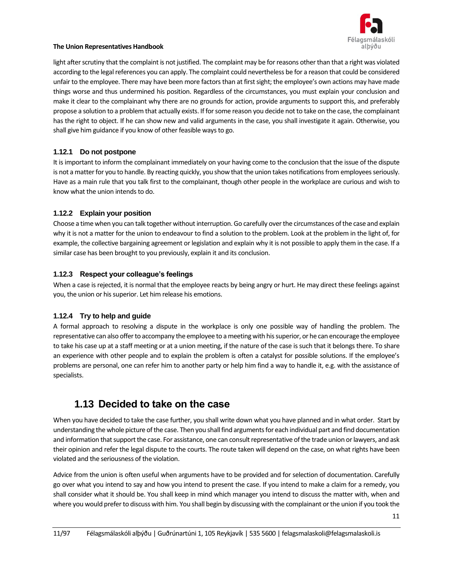

light after scrutiny that the complaint is not justified. The complaint may be for reasons other than that a right was violated according to the legal references you can apply. The complaint could nevertheless be for a reason that could be considered unfair to the employee. There may have been more factors than at first sight; the employee's own actions may have made things worse and thus undermined his position. Regardless of the circumstances, you must explain your conclusion and make it clear to the complainant why there are no grounds for action, provide arguments to support this, and preferably propose a solution to a problem that actually exists. If for some reason you decide not to take on the case, the complainant has the right to object. If he can show new and valid arguments in the case, you shall investigate it again. Otherwise, you shall give him guidance if you know of other feasible ways to go.

#### **1.12.1 Do not postpone**

It is important to inform the complainant immediately on your having come to the conclusion that the issue of the dispute is not a matter for you to handle. By reacting quickly, you show that the union takes notifications from employees seriously. Have as a main rule that you talk first to the complainant, though other people in the workplace are curious and wish to know what the union intends to do.

#### **1.12.2 Explain your position**

Choose a time when you can talk together without interruption. Go carefully over the circumstances of the case and explain why it is not a matter for the union to endeavour to find a solution to the problem. Look at the problem in the light of, for example, the collective bargaining agreement or legislation and explain why it is not possible to apply them in the case. If a similar case has been brought to you previously, explain it and its conclusion.

#### **1.12.3 Respect your colleague's feelings**

When a case is rejected, it is normal that the employee reacts by being angry or hurt. He may direct these feelings against you, the union or his superior. Let him release his emotions.

#### **1.12.4 Try to help and guide**

A formal approach to resolving a dispute in the workplace is only one possible way of handling the problem. The representative can also offer to accompany the employee to a meeting with his superior, or he can encourage the employee to take his case up at a staff meeting or at a union meeting, if the nature of the case is such that it belongs there. To share an experience with other people and to explain the problem is often a catalyst for possible solutions. If the employee's problems are personal, one can refer him to another party or help him find a way to handle it, e.g. with the assistance of specialists.

## <span id="page-10-0"></span>**1.13 Decided to take on the case**

When you have decided to take the case further, you shall write down what you have planned and in what order. Start by understanding the whole picture of the case. Then you shall find arguments for each individual part and find documentation and information that support the case. For assistance, one can consult representative of the trade union or lawyers, and ask their opinion and refer the legal dispute to the courts. The route taken will depend on the case, on what rights have been violated and the seriousness of the violation.

Advice from the union is often useful when arguments have to be provided and for selection of documentation. Carefully go over what you intend to say and how you intend to present the case. If you intend to make a claim for a remedy, you shall consider what it should be. You shall keep in mind which manager you intend to discuss the matter with, when and where you would prefer to discuss with him. You shall begin by discussing with the complainant or the union if you took the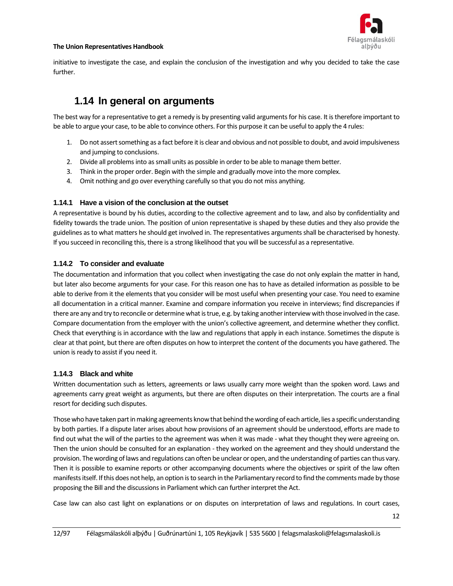

initiative to investigate the case, and explain the conclusion of the investigation and why you decided to take the case further.

## <span id="page-11-0"></span>**1.14 In general on arguments**

The best way for a representative to get a remedy is by presenting valid arguments for his case. It is therefore important to be able to argue your case, to be able to convince others. For this purpose it can be useful to apply the 4 rules:

- 1. Do not assert something as a fact before it is clear and obvious and not possible to doubt, and avoid impulsiveness and jumping to conclusions.
- 2. Divide all problems into as small units as possible in order to be able to manage them better.
- 3. Think in the proper order. Begin with the simple and gradually move into the more complex.
- 4. Omit nothing and go over everything carefully so that you do not miss anything.

#### **1.14.1 Have a vision of the conclusion at the outset**

A representative is bound by his duties, according to the collective agreement and to law, and also by confidentiality and fidelity towards the trade union. The position of union representative is shaped by these duties and they also provide the guidelines as to what matters he should get involved in. The representatives arguments shall be characterised by honesty. If you succeed in reconciling this, there is a strong likelihood that you will be successful as a representative.

#### **1.14.2 To consider and evaluate**

The documentation and information that you collect when investigating the case do not only explain the matter in hand, but later also become arguments for your case. For this reason one has to have as detailed information as possible to be able to derive from it the elements that you consider will be most useful when presenting your case. You need to examine all documentation in a critical manner. Examine and compare information you receive in interviews; find discrepancies if there are any and try to reconcile or determine what is true, e.g. by taking another interview with those involved in the case. Compare documentation from the employer with the union's collective agreement, and determine whether they conflict. Check that everything is in accordance with the law and regulations that apply in each instance. Sometimes the dispute is clear at that point, but there are often disputes on how to interpret the content of the documents you have gathered. The union is ready to assist if you need it.

#### **1.14.3 Black and white**

Written documentation such as letters, agreements or laws usually carry more weight than the spoken word. Laws and agreements carry great weight as arguments, but there are often disputes on their interpretation. The courts are a final resort for deciding such disputes.

Those who have taken part in making agreements know that behind the wording of each article, lies a specific understanding by both parties. If a dispute later arises about how provisions of an agreement should be understood, efforts are made to find out what the will of the parties to the agreement was when it was made - what they thought they were agreeing on. Then the union should be consulted for an explanation - they worked on the agreement and they should understand the provision. The wording of laws and regulations can often be unclear or open, and the understanding of parties can thus vary. Then it is possible to examine reports or other accompanying documents where the objectives or spirit of the law often manifests itself. If this does not help, an option is to search in the Parliamentary record to find the comments made by those proposing the Bill and the discussions in Parliament which can further interpret the Act.

Case law can also cast light on explanations or on disputes on interpretation of laws and regulations. In court cases,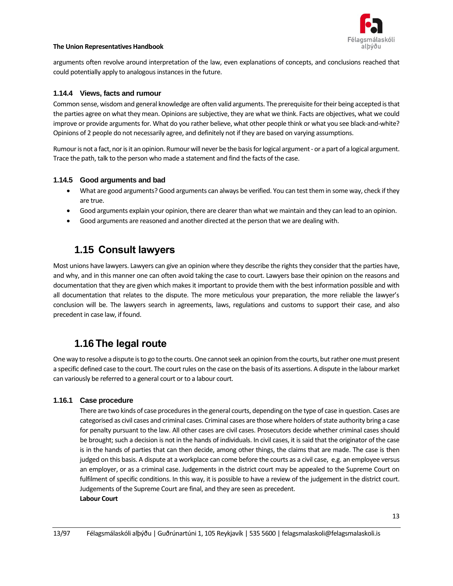

arguments often revolve around interpretation of the law, even explanations of concepts, and conclusions reached that could potentially apply to analogous instances in the future.

#### **1.14.4 Views, facts and rumour**

Common sense, wisdom and general knowledge are often valid arguments. The prerequisite for their being accepted is that the parties agree on what they mean. Opinions are subjective, they are what we think. Facts are objectives, what we could improve or provide arguments for. What do you rather believe, what other people think or what you see black-and-white? Opinions of 2 people do not necessarily agree, and definitely not if they are based on varying assumptions.

Rumour is not a fact, nor is it an opinion. Rumour will never be the basis for logical argument - or a part of a logical argument. Trace the path, talk to the person who made a statement and find the facts of the case.

#### **1.14.5 Good arguments and bad**

- What are good arguments? Good arguments can always be verified. You can test them in some way, check if they are true.
- Good arguments explain your opinion, there are clearer than what we maintain and they can lead to an opinion.
- Good arguments are reasoned and another directed at the person that we are dealing with.

## <span id="page-12-0"></span>**1.15 Consult lawyers**

Most unions have lawyers. Lawyers can give an opinion where they describe the rights they consider that the parties have, and why, and in this manner one can often avoid taking the case to court. Lawyers base their opinion on the reasons and documentation that they are given which makes it important to provide them with the best information possible and with all documentation that relates to the dispute. The more meticulous your preparation, the more reliable the lawyer's conclusion will be. The lawyers search in agreements, laws, regulations and customs to support their case, and also precedent in case law, if found.

## <span id="page-12-1"></span>**1.16 The legal route**

One way to resolve a dispute is to go to the courts. One cannot seek an opinion from the courts, but rather one must present a specific defined case to the court. The court rules on the case on the basis of its assertions. A dispute in the labour market can variously be referred to a general court or to a labour court.

#### **1.16.1 Case procedure**

There are two kinds of case procedures in the general courts, depending on the type of case in question. Cases are categorised as civil cases and criminal cases. Criminal cases are those where holders of state authority bring a case for penalty pursuant to the law. All other cases are civil cases. Prosecutors decide whether criminal cases should be brought; such a decision is not in the hands of individuals. In civil cases, it is said that the originator of the case is in the hands of parties that can then decide, among other things, the claims that are made. The case is then judged on this basis. A dispute at a workplace can come before the courts as a civil case, e.g. an employee versus an employer, or as a criminal case. Judgements in the district court may be appealed to the Supreme Court on fulfilment of specific conditions. In this way, it is possible to have a review of the judgement in the district court. Judgements of the Supreme Court are final, and they are seen as precedent. **Labour Court**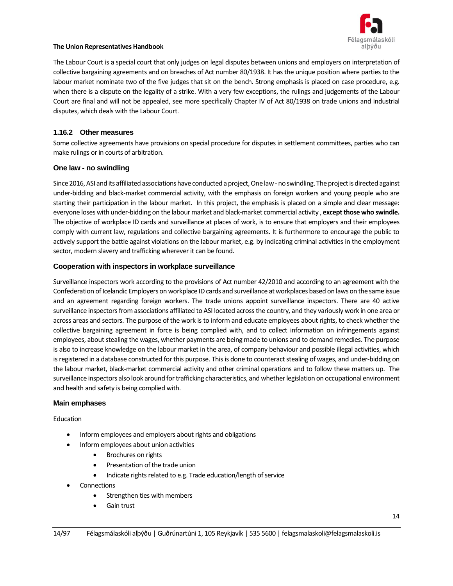

The Labour Court is a special court that only judges on legal disputes between unions and employers on interpretation of collective bargaining agreements and on breaches of Act number 80/1938. It has the unique position where parties to the labour market nominate two of the five judges that sit on the bench. Strong emphasis is placed on case procedure, e.g. when there is a dispute on the legality of a strike. With a very few exceptions, the rulings and judgements of the Labour Court are final and will not be appealed, see more specifically Chapter IV of Act 80/1938 on trade unions and industrial disputes, which deals with the Labour Court.

#### **1.16.2 Other measures**

Some collective agreements have provisions on special procedure for disputes in settlement committees, parties who can make rulings or in courts of arbitration.

#### **One law - no swindling**

Since 2016, ASI and its affiliated associations have conducted a project, One law -no swindling. The project is directed against under-bidding and black-market commercial activity, with the emphasis on foreign workers and young people who are starting their participation in the labour market. In this project, the emphasis is placed on a simple and clear message: everyone loses with under-bidding on the labour market and black-market commercial activity , **except those who swindle.** The objective of workplace ID cards and surveillance at places of work, is to ensure that employers and their employees comply with current law, regulations and collective bargaining agreements. It is furthermore to encourage the public to actively support the battle against violations on the labour market, e.g. by indicating criminal activities in the employment sector, modern slavery and trafficking wherever it can be found.

#### **Cooperation with inspectors in workplace surveillance**

Surveillance inspectors work according to the provisions of Act number 42/2010 and according to an agreement with the Confederation of Icelandic Employers on workplace ID cards and surveillance at workplaces based on laws on the same issue and an agreement regarding foreign workers. The trade unions appoint surveillance inspectors. There are 40 active surveillance inspectors from associations affiliated to ASI located across the country, and they variously work in one area or across areas and sectors. The purpose of the work is to inform and educate employees about rights, to check whether the collective bargaining agreement in force is being complied with, and to collect information on infringements against employees, about stealing the wages, whether payments are being made to unions and to demand remedies. The purpose is also to increase knowledge on the labour market in the area, of company behaviour and possible illegal activities, which is registered in a database constructed for this purpose. This is done to counteract stealing of wages, and under-bidding on the labour market, black-market commercial activity and other criminal operations and to follow these matters up. The surveillance inspectors also look around for trafficking characteristics, and whether legislation on occupational environment and health and safety is being complied with.

#### **Main emphases**

Education

- Inform employees and employers about rights and obligations
- Inform employees about union activities
	- Brochures on rights
	- Presentation of the trade union
	- Indicate rights related to e.g. Trade education/length of service
- **Connections** 
	- Strengthen ties with members
	- Gain trust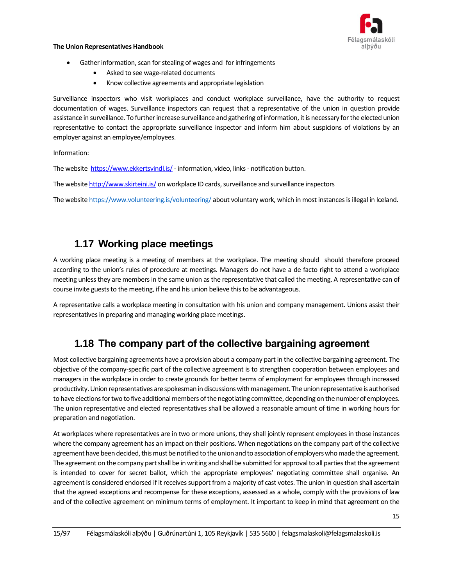

- Gather information, scan for stealing of wages and for infringements
	- Asked to see wage-related documents
	- Know collective agreements and appropriate legislation

Surveillance inspectors who visit workplaces and conduct workplace surveillance, have the authority to request documentation of wages. Surveillance inspectors can request that a representative of the union in question provide assistance in surveillance. To further increase surveillance and gathering of information, it is necessary for the elected union representative to contact the appropriate surveillance inspector and inform him about suspicions of violations by an employer against an employee/employees.

Information:

The website<https://www.ekkertsvindl.is/>- information, video, links - notification button.

The websit[e http://www.skirteini.is/](http://www.skirteini.is/) on workplace ID cards, surveillance and surveillance inspectors

The websit[e https://www.volunteering.is/volunteering/](https://www.volunteering.is/volunteering/) about voluntary work, which in most instances is illegal in Iceland.

## <span id="page-14-0"></span>**1.17 Working place meetings**

A working place meeting is a meeting of members at the workplace. The meeting should should therefore proceed according to the union's rules of procedure at meetings. Managers do not have a de facto right to attend a workplace meeting unless they are members in the same union as the representative that called the meeting. A representative can of course invite guests to the meeting, if he and his union believe this to be advantageous.

A representative calls a workplace meeting in consultation with his union and company management. Unions assist their representatives in preparing and managing working place meetings.

## <span id="page-14-1"></span>**1.18 The company part of the collective bargaining agreement**

Most collective bargaining agreements have a provision about a company part in the collective bargaining agreement. The objective of the company-specific part of the collective agreement is to strengthen cooperation between employees and managers in the workplace in order to create grounds for better terms of employment for employees through increased productivity. Union representatives are spokesman in discussions with management. The union representative is authorised to have elections for two to five additional members of the negotiating committee, depending on the number of employees. The union representative and elected representatives shall be allowed a reasonable amount of time in working hours for preparation and negotiation.

At workplaces where representatives are in two or more unions, they shall jointly represent employees in those instances where the company agreement has an impact on their positions. When negotiations on the company part of the collective agreement have been decided, this must be notified to the union and to association of employers who made the agreement. The agreement on the company part shall be in writing and shall be submitted for approval to all parties that the agreement is intended to cover for secret ballot, which the appropriate employees' negotiating committee shall organise. An agreement is considered endorsed if it receives support from a majority of cast votes. The union in question shall ascertain that the agreed exceptions and recompense for these exceptions, assessed as a whole, comply with the provisions of law and of the collective agreement on minimum terms of employment. It important to keep in mind that agreement on the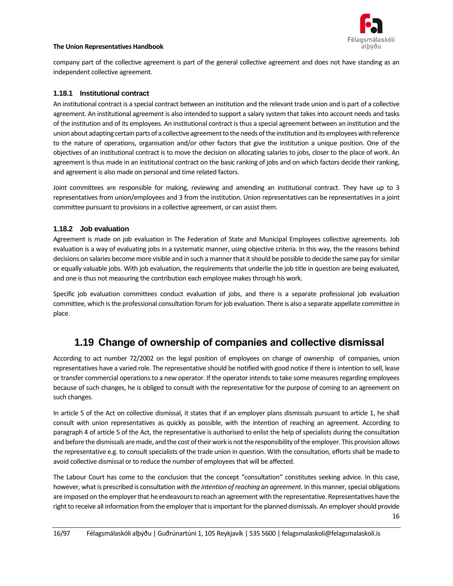

company part of the collective agreement is part of the general collective agreement and does not have standing as an independent collective agreement.

#### **1.18.1 Institutional contract**

An institutional contract is a special contract between an institution and the relevant trade union and is part of a collective agreement. An institutional agreement is also intended to support a salary system that takes into account needs and tasks of the institution and of its employees. An institutional contract is thus a special agreement between an institution and the union about adapting certain parts of a collective agreement to the needs of the institution and its employees with reference to the nature of operations, organisation and/or other factors that give the institution a unique position. One of the objectives of an institutional contract is to move the decision on allocating salaries to jobs, closer to the place of work. An agreement is thus made in an institutional contract on the basic ranking of jobs and on which factors decide their ranking, and agreement is also made on personal and time related factors.

Joint committees are responsible for making, reviewing and amending an institutional contract. They have up to 3 representatives from union/employees and 3 from the institution. Union representatives can be representatives in a joint committee pursuant to provisions in a collective agreement, or can assist them.

#### **1.18.2 Job evaluation**

Agreement is made on job evaluation in The Federation of State and Municipal Employees collective agreements. Job evaluation is a way of evaluating jobs in a systematic manner, using objective criteria. In this way, the the reasons behind decisions on salaries become more visible and in such a manner that it should be possible to decide the same pay for similar or equally valuable jobs. With job evaluation, the requirements that underlie the job title in question are being evaluated, and one is thus not measuring the contribution each employee makes through his work.

Specific job evaluation committees conduct evaluation of jobs, and there is a separate professional job evaluation committee, which is the professional consultation forum for job evaluation. There is also a separate appellate committee in place.

## <span id="page-15-0"></span>**1.19 Change of ownership of companies and collective dismissal**

According to act number 72/2002 on the legal position of employees on change of ownership of companies, union representatives have a varied role. The representative should be notified with good notice if there is intention to sell, lease or transfer commercial operationsto a new operator. If the operator intends to take some measures regarding employees because of such changes, he is obliged to consult with the representative for the purpose of coming to an agreement on such changes.

In article 5 of the Act on collective dismissal, it states that if an employer plans dismissals pursuant to article 1, he shall consult with union representatives as quickly as possible, with the intention of reaching an agreement. According to paragraph 4 of article 5 of the Act, the representative is authorised to enlist the help of specialists during the consultation and before the dismissals are made, and the cost of their work is not the responsibility of the employer. This provision allows the representative e.g. to consult specialists of the trade union in question. With the consultation, efforts shall be made to avoid collective dismissal or to reduce the number of employees that will be affected.

The Labour Court has come to the conclusion that the concept "consultation" constitutes seeking advice. In this case, however, what is prescribed is consultation *with the intention of reaching an agreement*. In this manner, special obligations are imposed on the employer that he endeavours to reach an agreement with the representative. Representatives have the right to receive all information from the employer that is important for the planned dismissals. An employer should provide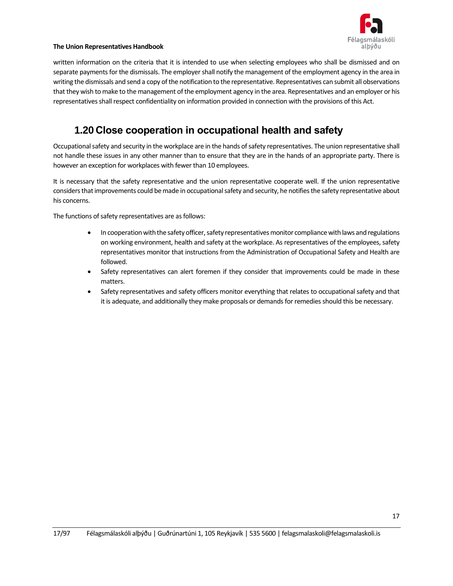

written information on the criteria that it is intended to use when selecting employees who shall be dismissed and on separate payments for the dismissals. The employer shall notify the management of the employment agency in the area in writing the dismissals and send a copy of the notification to the representative. Representatives can submit all observations that they wish to make to the management of the employment agency in the area. Representatives and an employer or his representatives shall respect confidentiality on information provided in connection with the provisions of this Act.

## <span id="page-16-0"></span>**1.20 Close cooperation in occupational health and safety**

Occupational safety and security in the workplace are in the hands of safety representatives. The union representative shall not handle these issues in any other manner than to ensure that they are in the hands of an appropriate party. There is however an exception for workplaces with fewer than 10 employees.

It is necessary that the safety representative and the union representative cooperate well. If the union representative considers that improvements could be made in occupational safety and security, he notifies the safety representative about his concerns.

The functions of safety representatives are as follows:

- In cooperationwith the safety officer, safety representatives monitor compliance with laws and regulations on working environment, health and safety at the workplace. As representatives of the employees, safety representatives monitor that instructions from the Administration of Occupational Safety and Health are followed.
- Safety representatives can alert foremen if they consider that improvements could be made in these matters.
- Safety representatives and safety officers monitor everything that relates to occupational safety and that it is adequate, and additionally they make proposals or demands for remedies should this be necessary.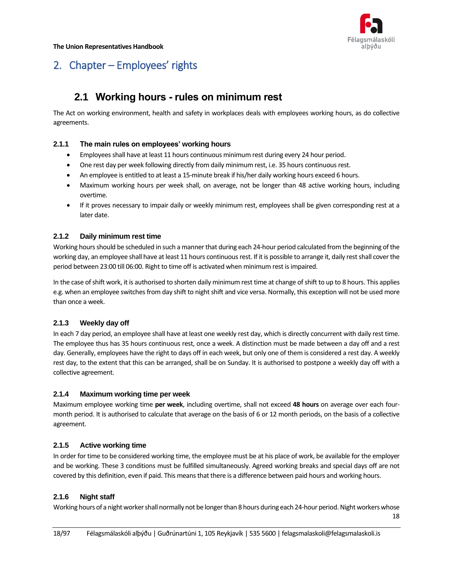

# <span id="page-17-1"></span><span id="page-17-0"></span>2. Chapter – Employees' rights

## **2.1 Working hours - rules on minimum rest**

The Act on working environment, health and safety in workplaces deals with employees working hours, as do collective agreements.

#### **2.1.1 The main rules on employees' working hours**

- Employees shall have at least 11 hours continuous minimum rest during every 24 hour period.
- One rest day per week following directly from daily minimum rest, i.e. 35 hours continuous rest.
- An employee is entitled to at least a 15-minute break if his/her daily working hours exceed 6 hours.
- Maximum working hours per week shall, on average, not be longer than 48 active working hours, including overtime.
- If it proves necessary to impair daily or weekly minimum rest, employees shall be given corresponding rest at a later date.

#### **2.1.2 Daily minimum rest time**

Working hours should be scheduled in such a manner that during each 24-hour period calculated from the beginning of the working day, an employee shall have at least 11 hours continuous rest. If it is possible to arrange it, daily rest shall cover the period between 23:00 till 06:00. Right to time off is activated when minimum rest is impaired.

In the case of shift work, it is authorised to shorten daily minimum rest time at change of shift to up to 8 hours. This applies e.g. when an employee switches from day shift to night shift and vice versa. Normally, this exception will not be used more than once a week.

#### **2.1.3 Weekly day off**

In each 7 day period, an employee shall have at least one weekly rest day, which is directly concurrent with daily rest time. The employee thus has 35 hours continuous rest, once a week. A distinction must be made between a day off and a rest day. Generally, employees have the right to days off in each week, but only one of them is considered a rest day. A weekly rest day, to the extent that this can be arranged, shall be on Sunday. It is authorised to postpone a weekly day off with a collective agreement.

#### **2.1.4 Maximum working time per week**

Maximum employee working time **per week**, including overtime, shall not exceed **48 hours** on average over each fourmonth period. It is authorised to calculate that average on the basis of 6 or 12 month periods, on the basis of a collective agreement.

#### **2.1.5 Active working time**

In order for time to be considered working time, the employee must be at his place of work, be available for the employer and be working. These 3 conditions must be fulfilled simultaneously. Agreed working breaks and special days off are not covered by this definition, even if paid. This meansthat there is a difference between paid hours and working hours.

#### **2.1.6 Night staff**

Working hours of a night worker shall normally not be longer than 8 hours during each 24-hour period. Night workers whose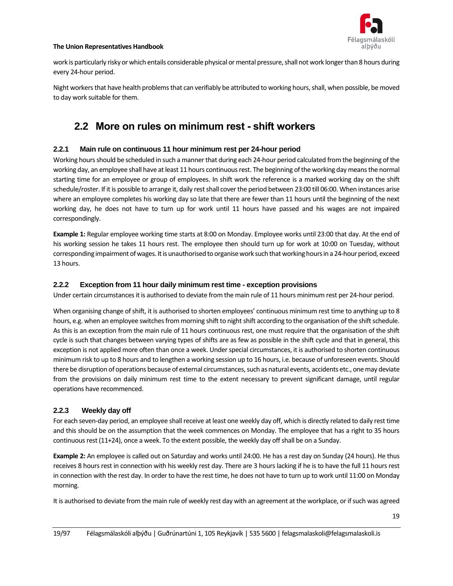

work is particularly risky or which entails considerable physical or mental pressure, shall not work longer than 8 hours during every 24-hour period.

<span id="page-18-0"></span>Night workers that have health problems that can verifiably be attributed to working hours, shall, when possible, be moved to day work suitable for them.

## **2.2 More on rules on minimum rest - shift workers**

#### **2.2.1 Main rule on continuous 11 hour minimum rest per 24-hour period**

Working hours should be scheduled in such a manner that during each 24-hour period calculated from the beginning of the working day, an employee shall have at least 11 hours continuous rest. The beginning of the working day means the normal starting time for an employee or group of employees. In shift work the reference is a marked working day on the shift schedule/roster. If it is possible to arrange it, daily rest shall cover the period between 23:00 till 06:00. When instances arise where an employee completes his working day so late that there are fewer than 11 hours until the beginning of the next working day, he does not have to turn up for work until 11 hours have passed and his wages are not impaired correspondingly.

**Example 1:** Regular employee working time starts at 8:00 on Monday. Employee works until 23:00 that day. At the end of his working session he takes 11 hours rest. The employee then should turn up for work at 10:00 on Tuesday, without corresponding impairment of wages. It is unauthorised to organise work such that working hours in a 24-hour period, exceed 13 hours.

#### **2.2.2 Exception from 11 hour daily minimum rest time - exception provisions**

Under certain circumstances it is authorised to deviate from the main rule of 11 hours minimum rest per 24-hour period.

When organising change of shift, it is authorised to shorten employees' continuous minimum rest time to anything up to 8 hours, e.g. when an employee switches from morning shift to night shift according to the organisation of the shift schedule. As this is an exception from the main rule of 11 hours continuous rest, one must require that the organisation of the shift cycle is such that changes between varying types of shifts are as few as possible in the shift cycle and that in general, this exception is not applied more often than once a week. Under special circumstances, it is authorised to shorten continuous minimum risk to up to 8 hours and to lengthen a working session up to 16 hours, i.e. because of unforeseen events. Should there be disruption of operations because of external circumstances, such as natural events, accidents etc., one may deviate from the provisions on daily minimum rest time to the extent necessary to prevent significant damage, until regular operations have recommenced.

#### **2.2.3 Weekly day off**

For each seven-day period, an employee shall receive at least one weekly day off, which is directly related to daily rest time and this should be on the assumption that the week commences on Monday. The employee that has a right to 35 hours continuous rest (11+24), once a week. To the extent possible, the weekly day off shall be on a Sunday.

**Example 2:** An employee is called out on Saturday and works until 24:00. He has a rest day on Sunday (24 hours). He thus receives 8 hours rest in connection with his weekly rest day. There are 3 hours lacking if he is to have the full 11 hours rest in connection with the rest day. In order to have the rest time, he does not have to turn up to work until 11:00 on Monday morning.

It is authorised to deviate from the main rule of weekly rest day with an agreement at the workplace, or if such was agreed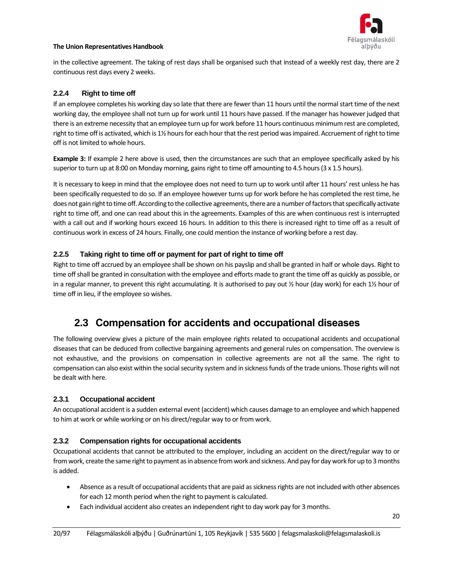

in the collective agreement. The taking of rest days shall be organised such that instead of a weekly rest day, there are 2 continuous rest days every 2 weeks.

#### **2.2.4 Right to time off**

If an employee completes his working day so late that there are fewer than 11 hours until the normal start time of the next working day, the employee shall not turn up for work until 11 hours have passed. If the manager has however judged that there is an extreme necessity that an employee turn up for work before 11 hours continuous minimum rest are completed, right to time off is activated, which is 1½ hours for each hour that the rest period was impaired. Accruement of right to time off is not limited to whole hours.

**Example 3:** If example 2 here above is used, then the circumstances are such that an employee specifically asked by his superior to turn up at 8:00 on Monday morning, gains right to time off amounting to 4.5 hours (3 x 1.5 hours).

It is necessary to keep in mind that the employee does not need to turn up to work until after 11 hours' rest unless he has been specifically requested to do so. If an employee however turns up for work before he has completed the rest time, he does not gain right to time off. According to the collective agreements, there are a number of factors that specifically activate right to time off, and one can read about this in the agreements. Examples of this are when continuous rest is interrupted with a call out and if working hours exceed 16 hours. In addition to this there is increased right to time off as a result of continuous work in excess of 24 hours. Finally, one could mention the instance of working before a rest day.

#### **2.2.5 Taking right to time off or payment for part of right to time off**

Right to time off accrued by an employee shall be shown on his payslip and shall be granted in half or whole days. Right to time off shall be granted in consultation with the employee and efforts made to grant the time off as quickly as possible, or in a regular manner, to prevent this right accumulating. It is authorised to pay out  $\frac{1}{2}$  hour (day work) for each 11/2 hour of time off in lieu, if the employee so wishes.

## <span id="page-19-0"></span>**2.3 Compensation for accidents and occupational diseases**

The following overview gives a picture of the main employee rights related to occupational accidents and occupational diseases that can be deduced from collective bargaining agreements and general rules on compensation. The overview is not exhaustive, and the provisions on compensation in collective agreements are not all the same. The right to compensation can also exist within the social security system and in sickness funds of the trade unions. Those rights will not be dealt with here.

#### **2.3.1 Occupational accident**

An occupational accident is a sudden external event (accident) which causes damage to an employee and which happened to him at work or while working or on his direct/regular way to or from work.

#### **2.3.2 Compensation rights for occupational accidents**

Occupational accidents that cannot be attributed to the employer, including an accident on the direct/regular way to or from work, create the same right to payment as in absence from work and sickness. And pay for day work for up to 3 months is added.

- Absence as a result of occupational accidents that are paid as sickness rights are not included with other absences for each 12 month period when the right to payment is calculated.
- Each individual accident also creates an independent right to day work pay for 3 months.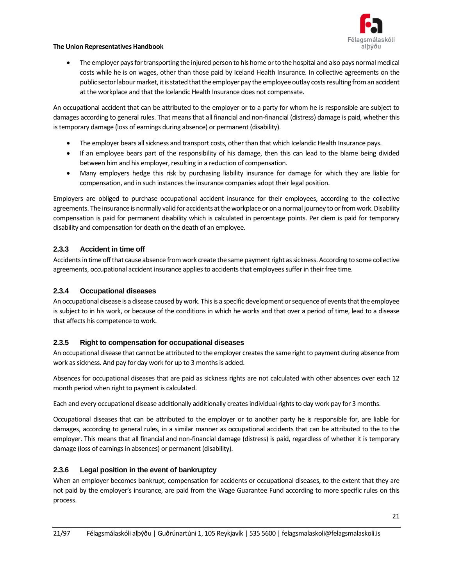

• The employer pays for transporting the injured person to his home or to the hospital and also pays normal medical costs while he is on wages, other than those paid by Iceland Health Insurance. In collective agreements on the public sector labour market, it is stated that the employer pay the employee outlay costs resulting from an accident at the workplace and that the Icelandic Health Insurance does not compensate.

An occupational accident that can be attributed to the employer or to a party for whom he is responsible are subject to damages according to general rules. That means that all financial and non-financial (distress) damage is paid, whether this is temporary damage (loss of earnings during absence) or permanent (disability).

- The employer bears all sickness and transport costs, other than that which Icelandic Health Insurance pays.
- If an employee bears part of the responsibility of his damage, then this can lead to the blame being divided between him and his employer, resulting in a reduction of compensation.
- Many employers hedge this risk by purchasing liability insurance for damage for which they are liable for compensation, and in such instances the insurance companies adopt their legal position.

Employers are obliged to purchase occupational accident insurance for their employees, according to the collective agreements. The insurance is normally valid for accidents at the workplace or on a normal journey to or from work. Disability compensation is paid for permanent disability which is calculated in percentage points. Per diem is paid for temporary disability and compensation for death on the death of an employee.

#### **2.3.3 Accident in time off**

Accidents in time offthat cause absence from work create the same payment right as sickness. According to some collective agreements, occupational accident insurance applies to accidents that employees suffer in their free time.

#### **2.3.4 Occupational diseases**

An occupational disease is a disease caused by work. This is a specific development or sequence of events that the employee is subject to in his work, or because of the conditions in which he works and that over a period of time, lead to a disease that affects his competence to work.

#### **2.3.5 Right to compensation for occupational diseases**

An occupational disease that cannot be attributed to the employer creates the same right to payment during absence from work as sickness. And pay for day work for up to 3 months is added.

Absences for occupational diseases that are paid as sickness rights are not calculated with other absences over each 12 month period when right to payment is calculated.

Each and every occupational disease additionally additionally creates individual rights to day work pay for 3 months.

Occupational diseases that can be attributed to the employer or to another party he is responsible for, are liable for damages, according to general rules, in a similar manner as occupational accidents that can be attributed to the to the employer. This means that all financial and non-financial damage (distress) is paid, regardless of whether it is temporary damage (loss of earnings in absences) or permanent (disability).

#### **2.3.6 Legal position in the event of bankruptcy**

When an employer becomes bankrupt, compensation for accidents or occupational diseases, to the extent that they are not paid by the employer's insurance, are paid from the Wage Guarantee Fund according to more specific rules on this process.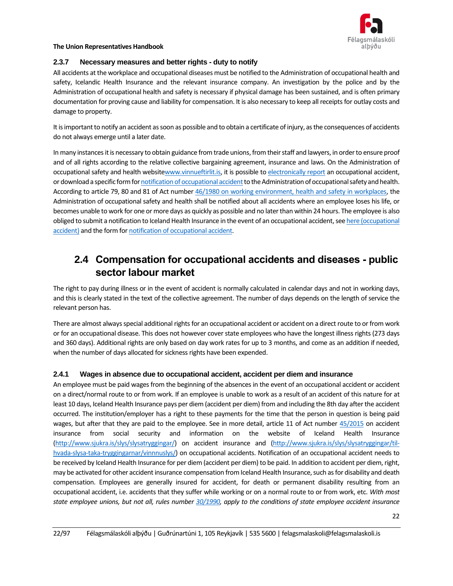

#### **2.3.7 Necessary measures and better rights - duty to notify**

All accidents at the workplace and occupational diseases must be notified to the Administration of occupational health and safety, Icelandic Health Insurance and the relevant insurance company. An investigation by the police and by the Administration of occupational health and safety is necessary if physical damage has been sustained, and is often primary documentation for proving cause and liability for compensation. It is also necessary to keep all receipts for outlay costs and damage to property.

It is important to notify an accident assoon as possible and to obtain a certificate of injury, as the consequences of accidents do not always emerge until a later date.

In many instances it is necessary to obtain guidance from trade unions, from their staff and lawyers, in order to ensure proof and of all rights according to the relative collective bargaining agreement, insurance and laws. On the Administration of occupational safety and health websit[ewww.vinnueftirlit.is,](http://www.vinnueftirlit.is/) it is possible t[o electronically report](https://www.vinnueftirlit.is/vinnuvernd/oryggi/vinnuslys) an occupational accident, or download a specific form for notification of occupational accident to the Administration of occupational safety and health. According to article 79, 80 and 81 of Act number [46/1980 on working environment, health and safety in workplaces,](https://www.althingi.is/lagas/nuna/1980046.html) the Administration of occupational safety and health shall be notified about all accidents where an employee loses his life, or becomes unable to work for one or more days as quickly as possible and no later than within 24 hours. The employee is also obliged to submit a notification to Iceland Health Insurance in the event of an occupational accident, se[e here \(occupational](https://www.sjukra.is/slys/slysatryggingar/til-hvada-slysa-taka-tryggingarnar/vinnnuslys/)  [accident\)](https://www.sjukra.is/slys/slysatryggingar/til-hvada-slysa-taka-tryggingarnar/vinnnuslys/) and the form fo[r notification of occupational accident.](https://www.sjukra.is/slys/slysatryggingar/)

## <span id="page-21-0"></span>**2.4 Compensation for occupational accidents and diseases - public sector labour market**

The right to pay during illness or in the event of accident is normally calculated in calendar days and not in working days, and this is clearly stated in the text of the collective agreement. The number of days depends on the length of service the relevant person has.

There are almost always special additional rights for an occupational accident or accident on a direct route to or from work or for an occupational disease. This does not however cover state employees who have the longest illness rights (273 days and 360 days). Additional rights are only based on day work rates for up to 3 months, and come as an addition if needed, when the number of days allocated for sickness rights have been expended.

#### **2.4.1 Wages in absence due to occupational accident, accident per diem and insurance**

An employee must be paid wages from the beginning of the absences in the event of an occupational accident or accident on a direct/normal route to or from work. If an employee is unable to work as a result of an accident of this nature for at least 10 days, Iceland Health Insurance pays per diem (accident per diem) from and including the 8th day after the accident occurred. The institution/employer has a right to these payments for the time that the person in question is being paid wages, but after that they are paid to the employee. See in more detail, article 11 of Act number [45/2015](https://www.althingi.is/lagas/nuna/2015045.html) on accident insurance from social security and information on the website of Iceland Health Insurance [\(http://www.sjukra.is/slys/slysatryggingar/\)](http://www.sjukra.is/slys/slysatryggingar/) on accident insurance and [\(http://www.sjukra.is/slys/slysatryggingar/til](http://www.sjukra.is/slys/slysatryggingar/til-hvada-slysa-taka-tryggingarnar/vinnnuslys/)[hvada-slysa-taka-tryggingarnar/vinnnuslys/\)](http://www.sjukra.is/slys/slysatryggingar/til-hvada-slysa-taka-tryggingarnar/vinnnuslys/) on occupational accidents. Notification of an occupational accident needs to be received by Iceland Health Insurance for per diem (accident per diem) to be paid. In addition to accident per diem, right, may be activated for other accident insurance compensation from Iceland Health Insurance, such as for disability and death compensation. Employees are generally insured for accident, for death or permanent disability resulting from an occupational accident, i.e. accidents that they suffer while working or on a normal route to or from work, etc. *With most state employee unions, but not all, rules number [30/1990,](https://www.stjornarradid.is/verkefni/allar-frettir/frett/1990/01/16/Reglur-nr.-31-1990-um-skilmala-slysatryggingar-rikisstarfsmanna-skv.-kjarasamningum-vegna-slysa-sem-starfsmenn-verda-fyrir-utan-starfs/) apply to the conditions of state employee accident insurance*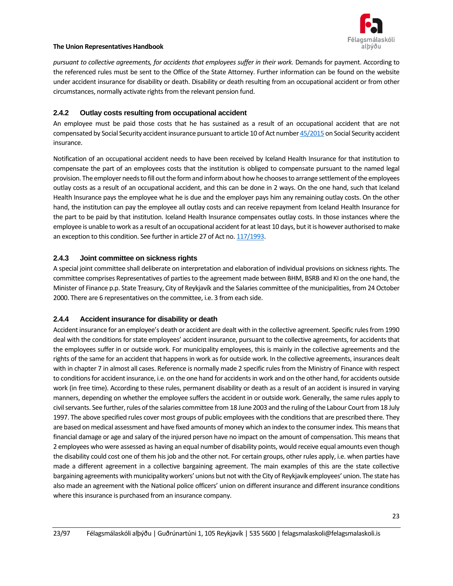

*pursuant to collective agreements, for accidents that employees suffer in their work.* Demands for payment. According to the referenced rules must be sent to the Office of the State Attorney. Further information can be found on the website under accident insurance for disability or death. Disability or death resulting from an occupational accident or from other circumstances, normally activate rights from the relevant pension fund.

#### **2.4.2 Outlay costs resulting from occupational accident**

An employee must be paid those costs that he has sustained as a result of an occupational accident that are not compensated by Social Security accident insurance pursuant to article 10 of Act numbe[r 45/2015](https://www.althingi.is/lagas/nuna/2015045.html) on Social Security accident insurance.

Notification of an occupational accident needs to have been received by Iceland Health Insurance for that institution to compensate the part of an employees costs that the institution is obliged to compensate pursuant to the named legal provision. The employer needs to fill out the form and inform about how he chooses to arrange settlement of the employees outlay costs as a result of an occupational accident, and this can be done in 2 ways. On the one hand, such that Iceland Health Insurance pays the employee what he is due and the employer pays him any remaining outlay costs. On the other hand, the institution can pay the employee all outlay costs and can receive repayment from Iceland Health Insurance for the part to be paid by that institution. Iceland Health Insurance compensates outlay costs. In those instances where the employee is unable to work as a result of an occupational accident for at least 10 days, but it is however authorised to make an exception to this condition. See further in article 27 of Act no[. 117/1993.](https://www.althingi.is/lagas/133a/1993117.html)

#### **2.4.3 Joint committee on sickness rights**

A special joint committee shall deliberate on interpretation and elaboration of individual provisions on sickness rights. The committee comprises Representatives of parties to the agreement made between BHM, BSRB and KI on the one hand, the Minister of Finance p.p. State Treasury, City of Reykjavík and the Salaries committee of the municipalities, from 24 October 2000. There are 6 representatives on the committee, i.e. 3 from each side.

#### **2.4.4 Accident insurance for disability or death**

Accident insurance for an employee's death or accident are dealt with in the collective agreement. Specific rules from 1990 deal with the conditions for state employees' accident insurance, pursuant to the collective agreements, for accidents that the employees suffer in or outside work. For municipality employees, this is mainly in the collective agreements and the rights of the same for an accident that happens in work as for outside work. In the collective agreements, insurances dealt with in chapter 7 in almost all cases. Reference is normally made 2 specific rules from the Ministry of Finance with respect to conditions for accident insurance, i.e. on the one hand for accidents in work and on the other hand, for accidents outside work (in free time). According to these rules, permanent disability or death as a result of an accident is insured in varying manners, depending on whether the employee suffers the accident in or outside work. Generally, the same rules apply to civil servants. See further, rules of the salaries committee from 18 June 2003 and the ruling of the Labour Court from 18 July 1997. The above specified rules cover most groups of public employees with the conditions that are prescribed there. They are based on medical assessment and have fixed amounts of money which an index to the consumer index. This means that financial damage or age and salary of the injured person have no impact on the amount of compensation. This means that 2 employees who were assessed as having an equal number of disability points, would receive equal amounts even though the disability could cost one of them his job and the other not. For certain groups, other rules apply, i.e. when parties have made a different agreement in a collective bargaining agreement. The main examples of this are the state collective bargaining agreements with municipality workers' unions but not with the City of Reykjavík employees' union. The state has also made an agreement with the National police officers' union on different insurance and different insurance conditions where this insurance is purchased from an insurance company.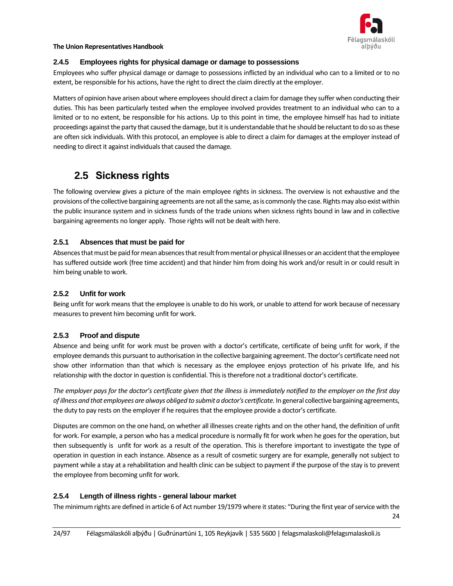

#### **2.4.5 Employees rights for physical damage or damage to possessions**

Employees who suffer physical damage or damage to possessions inflicted by an individual who can to a limited or to no extent, be responsible for his actions, have the right to direct the claim directly at the employer.

Matters of opinion have arisen about where employees should direct a claim for damage they suffer when conducting their duties. This has been particularly tested when the employee involved provides treatment to an individual who can to a limited or to no extent, be responsible for his actions. Up to this point in time, the employee himself has had to initiate proceedings against the party that caused the damage, but it is understandable that he should be reluctant to do so as these are often sick individuals. With this protocol, an employee is able to direct a claim for damages at the employer instead of needing to direct it against individuals that caused the damage.

## <span id="page-23-0"></span>**2.5 Sickness rights**

The following overview gives a picture of the main employee rights in sickness. The overview is not exhaustive and the provisions of the collective bargaining agreements are not all the same, as is commonly the case. Rights may also exist within the public insurance system and in sickness funds of the trade unions when sickness rights bound in law and in collective bargaining agreements no longer apply. Those rights will not be dealt with here.

#### **2.5.1 Absences that must be paid for**

Absences that must be paid for mean absences that result from mental or physical illnesses or an accident that the employee has suffered outside work (free time accident) and that hinder him from doing his work and/or result in or could result in him being unable to work.

#### **2.5.2 Unfit for work**

Being unfit for work means that the employee is unable to do his work, or unable to attend for work because of necessary measures to prevent him becoming unfit for work.

#### **2.5.3 Proof and dispute**

Absence and being unfit for work must be proven with a doctor's certificate, certificate of being unfit for work, if the employee demands this pursuant to authorisation in the collective bargaining agreement. The doctor's certificate need not show other information than that which is necessary as the employee enjoys protection of his private life, and his relationship with the doctor in question is confidential. This is therefore not a traditional doctor's certificate.

*The employer pays for the doctor's certificate given that the illness is immediately notified to the employer on the first day of illness and that employees are always obliged to submit a doctor's certificate.* In general collective bargaining agreements, the duty to pay rests on the employer if he requires that the employee provide a doctor's certificate.

Disputes are common on the one hand, on whether all illnesses create rights and on the other hand, the definition of unfit for work. For example, a person who has a medical procedure is normally fit for work when he goes for the operation, but then subsequently is unfit for work as a result of the operation. This is therefore important to investigate the type of operation in question in each instance. Absence as a result of cosmetic surgery are for example, generally not subject to payment while a stay at a rehabilitation and health clinic can be subject to payment if the purpose of the stay is to prevent the employee from becoming unfit for work.

#### **2.5.4 Length of illness rights - general labour market**

The minimum rights are defined in article 6 of Act number 19/1979 where it states: "During the first year of service with the

24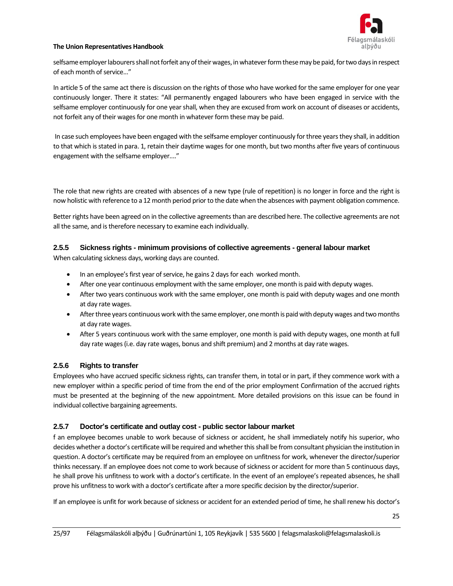

selfsame employer labourers shall not forfeit any of their wages, in whatever form these may be paid, for two days in respect of each month of service..."

In article 5 of the same act there is discussion on the rights of those who have worked for the same employer for one year continuously longer. There it states: "All permanently engaged labourers who have been engaged in service with the selfsame employer continuously for one year shall, when they are excused from work on account of diseases or accidents, not forfeit any of their wages for one month in whatever form these may be paid.

In case such employees have been engaged with the selfsame employer continuously for three years they shall, in addition to that which is stated in para. 1, retain their daytime wages for one month, but two months after five years of continuous engagement with the selfsame employer...."

The role that new rights are created with absences of a new type (rule of repetition) is no longer in force and the right is now holistic with reference to a 12 month period prior to the date when the absences with payment obligation commence.

Better rights have been agreed on in the collective agreements than are described here. The collective agreements are not all the same, and is therefore necessary to examine each individually.

#### **2.5.5 Sickness rights - minimum provisions of collective agreements - general labour market**

When calculating sickness days, working days are counted.

- In an employee's first year of service, he gains 2 days for each worked month.
- After one year continuous employment with the same employer, one month is paid with deputy wages.
- After two years continuous work with the same employer, one month is paid with deputy wages and one month at day rate wages.
- After three years continuous work with the same employer, one month is paid with deputy wages and two months at day rate wages.
- After 5 years continuous work with the same employer, one month is paid with deputy wages, one month at full day rate wages(i.e. day rate wages, bonus and shift premium) and 2 months at day rate wages.

#### **2.5.6 Rights to transfer**

Employees who have accrued specific sickness rights, can transfer them, in total or in part, if they commence work with a new employer within a specific period of time from the end of the prior employment Confirmation of the accrued rights must be presented at the beginning of the new appointment. More detailed provisions on this issue can be found in individual collective bargaining agreements.

#### **2.5.7 Doctor's certificate and outlay cost - public sector labour market**

f an employee becomes unable to work because of sickness or accident, he shall immediately notify his superior, who decides whether a doctor's certificate will be required and whether this shall be from consultant physician the institution in question. A doctor's certificate may be required from an employee on unfitness for work, whenever the director/superior thinks necessary. If an employee does not come to work because of sickness or accident for more than 5 continuous days, he shall prove his unfitness to work with a doctor's certificate. In the event of an employee's repeated absences, he shall prove his unfitness to work with a doctor's certificate after a more specific decision by the director/superior.

If an employee is unfit for work because of sickness or accident for an extended period of time, he shall renew his doctor's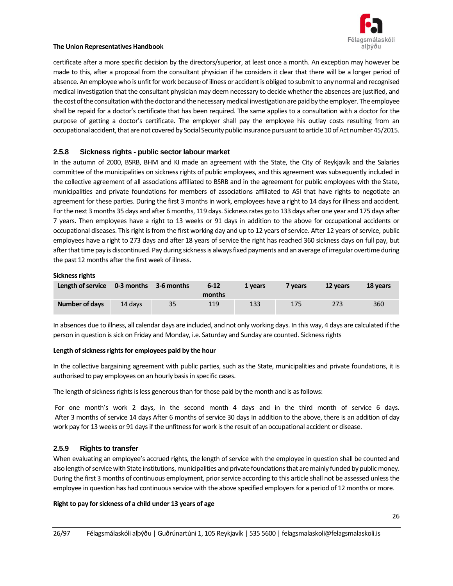

certificate after a more specific decision by the directors/superior, at least once a month. An exception may however be made to this, after a proposal from the consultant physician if he considers it clear that there will be a longer period of absence. An employee who is unfit for work because of illness or accident is obliged to submit to any normal and recognised medical investigation that the consultant physician may deem necessary to decide whether the absences are justified, and the cost of the consultation with the doctor and the necessary medical investigation are paid by the employer. The employee shall be repaid for a doctor's certificate that has been required. The same applies to a consultation with a doctor for the purpose of getting a doctor's certificate. The employer shall pay the employee his outlay costs resulting from an occupational accident, that are not covered by Social Security public insurance pursuant to article 10 of Act number 45/2015.

#### **2.5.8 Sickness rights - public sector labour market**

In the autumn of 2000, BSRB, BHM and KI made an agreement with the State, the City of Reykjavík and the Salaries committee of the municipalities on sickness rights of public employees, and this agreement was subsequently included in the collective agreement of all associations affiliated to BSRB and in the agreement for public employees with the State, municipalities and private foundations for members of associations affiliated to ASI that have rights to negotiate an agreement for these parties. During the first 3 months in work, employees have a right to 14 days for illness and accident. For the next 3 months 35 days and after 6 months, 119 days. Sickness rates go to 133 days after one year and 175 days after 7 years. Then employees have a right to 13 weeks or 91 days in addition to the above for occupational accidents or occupational diseases. This right is from the first working day and up to 12 years of service. After 12 years of service, public employees have a right to 273 days and after 18 years of service the right has reached 360 sickness days on full pay, but after that time pay is discontinued. Pay during sickness is always fixed payments and an average of irregular overtime during the past 12 months after the first week of illness.

#### **Sickness rights**

| Length of service 0-3 months |         | 3-6 months | $6 - 12$<br>months | 1 years | 7 years | 12 years | 18 years |
|------------------------------|---------|------------|--------------------|---------|---------|----------|----------|
| <b>Number of days</b>        | 14 days | 35         | 119                | 133     | 175     | 273      | 360      |

In absences due to illness, all calendar days are included, and not only working days. In this way, 4 days are calculated if the person in question is sick on Friday and Monday, i.e. Saturday and Sunday are counted. Sickness rights

#### **Length of sickness rights for employees paid by the hour**

In the collective bargaining agreement with public parties, such as the State, municipalities and private foundations, it is authorised to pay employees on an hourly basis in specific cases.

The length of sickness rights is less generous than for those paid by the month and is as follows:

For one month's work 2 days, in the second month 4 days and in the third month of service 6 days. After 3 months of service 14 days After 6 months of service 30 days In addition to the above, there is an addition of day work pay for 13 weeks or 91 days if the unfitness for work is the result of an occupational accident or disease.

#### **2.5.9 Rights to transfer**

When evaluating an employee's accrued rights, the length of service with the employee in question shall be counted and also length of service with State institutions, municipalities and private foundations that are mainly funded by public money. During the first 3 months of continuous employment, prior service according to this article shall not be assessed unless the employee in question has had continuous service with the above specified employers for a period of 12 months or more.

#### **Right to pay for sickness of a child under 13 years of age**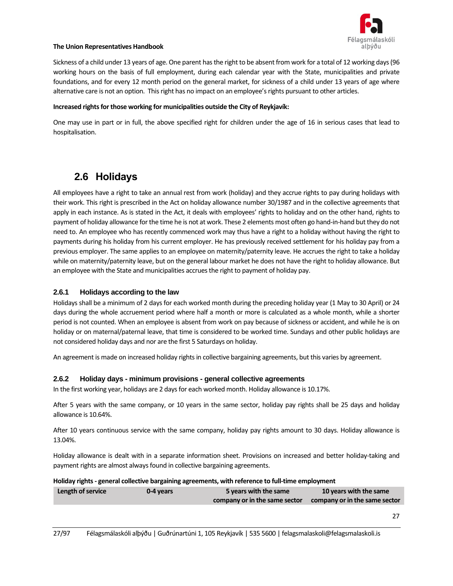

Sickness of a child under 13 years of age. One parent has the right to be absent from work for a total of 12 working days (96 working hours on the basis of full employment, during each calendar year with the State, municipalities and private foundations, and for every 12 month period on the general market, for sickness of a child under 13 years of age where alternative care is not an option. This right has no impact on an employee's rights pursuant to other articles.

#### **Increased rights for those working for municipalities outside the City of Reykjavík:**

One may use in part or in full, the above specified right for children under the age of 16 in serious cases that lead to hospitalisation.

## <span id="page-26-0"></span>**2.6 Holidays**

All employees have a right to take an annual rest from work (holiday) and they accrue rights to pay during holidays with their work. This right is prescribed in the Act on holiday allowance number 30/1987 and in the collective agreements that apply in each instance. As is stated in the Act, it deals with employees' rights to holiday and on the other hand, rights to payment of holiday allowance for the time he is not at work. These 2 elements most often go hand-in-hand but they do not need to. An employee who has recently commenced work may thus have a right to a holiday without having the right to payments during his holiday from his current employer. He has previously received settlement for his holiday pay from a previous employer. The same applies to an employee on maternity/paternity leave. He accrues the right to take a holiday while on maternity/paternity leave, but on the general labour market he does not have the right to holiday allowance. But an employee with the State and municipalities accrues the right to payment of holiday pay.

#### **2.6.1 Holidays according to the law**

Holidays shall be a minimum of 2 days for each worked month during the preceding holiday year (1 May to 30 April) or 24 days during the whole accruement period where half a month or more is calculated as a whole month, while a shorter period is not counted. When an employee is absent from work on pay because of sickness or accident, and while he is on holiday or on maternal/paternal leave, that time is considered to be worked time. Sundays and other public holidays are not considered holiday days and nor are the first 5 Saturdays on holiday.

An agreement is made on increased holiday rights in collective bargaining agreements, but this varies by agreement.

#### **2.6.2 Holiday days - minimum provisions - general collective agreements**

In the first working year, holidays are 2 days for each worked month. Holiday allowance is 10.17%.

After 5 years with the same company, or 10 years in the same sector, holiday pay rights shall be 25 days and holiday allowance is 10.64%.

After 10 years continuous service with the same company, holiday pay rights amount to 30 days. Holiday allowance is 13.04%.

Holiday allowance is dealt with in a separate information sheet. Provisions on increased and better holiday-taking and payment rights are almost always found in collective bargaining agreements.

#### **Holiday rights - general collective bargaining agreements, with reference to full-time employment**

| Length of service | 0-4 years | 5 years with the same         | 10 years with the same        |  |
|-------------------|-----------|-------------------------------|-------------------------------|--|
|                   |           | company or in the same sector | company or in the same sector |  |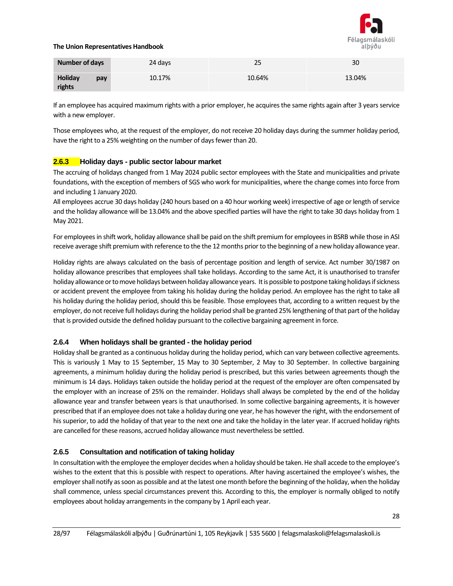

| <b>Number of days</b> |     | 24 days | 25     | 30     |
|-----------------------|-----|---------|--------|--------|
| Holiday<br>rights     | pay | 10.17%  | 10.64% | 13.04% |

If an employee has acquired maximum rights with a prior employer, he acquires the same rights again after 3 years service with a new employer.

Those employees who, at the request of the employer, do not receive 20 holiday days during the summer holiday period, have the right to a 25% weighting on the number of days fewer than 20.

#### **2.6.3 Holiday days - public sector labour market**

The accruing of holidays changed from 1 May 2024 public sector employees with the State and municipalities and private foundations, with the exception of members of SGS who work for municipalities, where the change comes into force from and including 1 January 2020.

All employees accrue 30 days holiday (240 hours based on a 40 hour working week) irrespective of age or length of service and the holiday allowance will be 13.04% and the above specified parties will have the right to take 30 days holiday from 1 May 2021.

For employees in shift work, holiday allowance shall be paid on the shift premium for employees in BSRB while those in ASI receive average shift premium with reference to the the 12 months prior to the beginning of a new holiday allowance year.

Holiday rights are always calculated on the basis of percentage position and length of service. Act number 30/1987 on holiday allowance prescribes that employees shall take holidays. According to the same Act, it is unauthorised to transfer holiday allowance or tomove holidays between holiday allowance years. It is possible to postpone taking holidays if sickness or accident prevent the employee from taking his holiday during the holiday period. An employee has the right to take all his holiday during the holiday period, should this be feasible. Those employees that, according to a written request by the employer, do not receive full holidays during the holiday period shall be granted 25% lengthening of that part of the holiday that is provided outside the defined holiday pursuant to the collective bargaining agreement in force.

#### **2.6.4 When holidays shall be granted - the holiday period**

Holiday shall be granted as a continuous holiday during the holiday period, which can vary between collective agreements. This is variously 1 May to 15 September, 15 May to 30 September, 2 May to 30 September. In collective bargaining agreements, a minimum holiday during the holiday period is prescribed, but this varies between agreements though the minimum is 14 days. Holidays taken outside the holiday period at the request of the employer are often compensated by the employer with an increase of 25% on the remainder. Holidays shall always be completed by the end of the holiday allowance year and transfer between years is that unauthorised. In some collective bargaining agreements, it is however prescribed that if an employee does not take a holiday during one year, he has however the right, with the endorsement of his superior, to add the holiday of that year to the next one and take the holiday in the later year. If accrued holiday rights are cancelled for these reasons, accrued holiday allowance must nevertheless be settled.

#### **2.6.5 Consultation and notification of taking holiday**

In consultation with the employee the employer decides when a holiday should be taken. He shall accede to the employee's wishes to the extent that this is possible with respect to operations. After having ascertained the employee's wishes, the employer shall notify as soon as possible and at the latest one month before the beginning of the holiday, when the holiday shall commence, unless special circumstances prevent this. According to this, the employer is normally obliged to notify employees about holiday arrangements in the company by 1 April each year.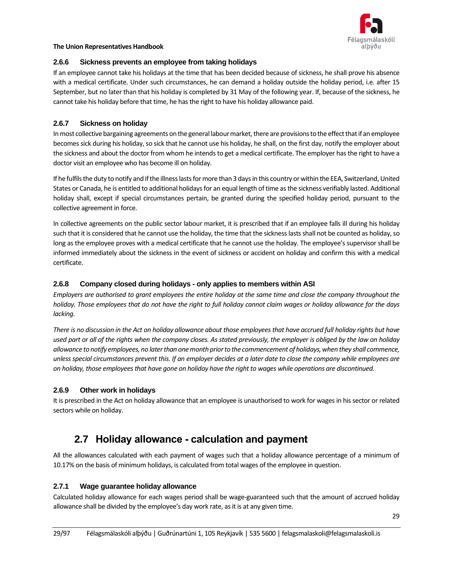

#### **2.6.6 Sickness prevents an employee from taking holidays**

If an employee cannot take his holidays at the time that has been decided because of sickness, he shall prove his absence with a medical certificate. Under such circumstances, he can demand a holiday outside the holiday period, i.e. after 15 September, but no later than that his holiday is completed by 31 May of the following year. If, because of the sickness, he cannot take his holiday before that time, he has the right to have his holiday allowance paid.

#### **2.6.7 Sickness on holiday**

In most collective bargaining agreements on the general labour market, there are provisions to the effect that if an employee becomes sick during his holiday, so sick that he cannot use his holiday, he shall, on the first day, notify the employer about the sickness and about the doctor from whom he intends to get a medical certificate. The employer has the right to have a doctor visit an employee who has become ill on holiday.

If he fulfils the duty to notify and if the illness lasts for more than 3 days in this country or within the EEA, Switzerland, United States or Canada, he is entitled to additional holidays for an equal length of time as the sickness verifiably lasted. Additional holiday shall, except if special circumstances pertain, be granted during the specified holiday period, pursuant to the collective agreement in force.

In collective agreements on the public sector labour market, it is prescribed that if an employee falls ill during his holiday such that it is considered that he cannot use the holiday, the time that the sickness lasts shall not be counted as holiday, so long as the employee proves with a medical certificate that he cannot use the holiday. The employee's supervisor shall be informed immediately about the sickness in the event of sickness or accident on holiday and confirm this with a medical certificate.

#### **2.6.8 Company closed during holidays - only applies to members within ASI**

*Employers are authorised to grant employees the entire holiday at the same time and close the company throughout the holiday. Those employees that do not have the right to full holiday cannot claim wages or holiday allowance for the days lacking.*

*There is no discussion in the Act on holiday allowance about those employees that have accrued full holiday rights but have used part or all of the rights when the company closes. As stated previously, the employer is obliged by the law on holiday allowance to notify employees, no later than one month prior to the commencement of holidays, when they shall commence, unless special circumstances prevent this. If an employer decides at a later date to close the company while employees are on holiday, those employees that have gone on holiday have the right to wages while operations are discontinued.*

#### **2.6.9 Other work in holidays**

<span id="page-28-0"></span>It is prescribed in the Act on holiday allowance that an employee is unauthorised to work for wages in his sector or related sectors while on holiday.

## **2.7 Holiday allowance - calculation and payment**

All the allowances calculated with each payment of wages such that a holiday allowance percentage of a minimum of 10.17% on the basis of minimum holidays, is calculated from total wages of the employee in question.

#### **2.7.1 Wage guarantee holiday allowance**

Calculated holiday allowance for each wages period shall be wage-guaranteed such that the amount of accrued holiday allowance shall be divided by the employee's day work rate, as it is at any given time.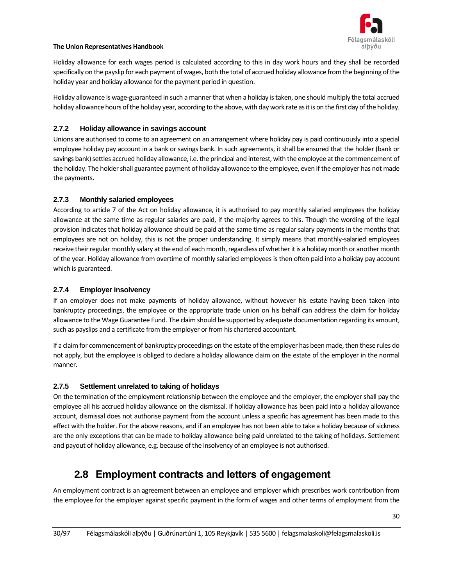

Holiday allowance for each wages period is calculated according to this in day work hours and they shall be recorded specifically on the payslip for each payment of wages, both the total of accrued holiday allowance from the beginning of the holiday year and holiday allowance for the payment period in question.

Holiday allowance is wage-guaranteed in such a manner that when a holiday is taken, one should multiply the total accrued holiday allowance hours of the holiday year, according to the above, with day work rate as it is on the first day of the holiday.

#### **2.7.2 Holiday allowance in savings account**

Unions are authorised to come to an agreement on an arrangement where holiday pay is paid continuously into a special employee holiday pay account in a bank or savings bank. In such agreements, it shall be ensured that the holder (bank or savings bank) settles accrued holiday allowance, i.e. the principal and interest, with the employee at the commencement of the holiday. The holder shall guarantee payment of holiday allowance to the employee, even if the employer has not made the payments.

#### **2.7.3 Monthly salaried employees**

According to article 7 of the Act on holiday allowance, it is authorised to pay monthly salaried employees the holiday allowance at the same time as regular salaries are paid, if the majority agrees to this. Though the wording of the legal provision indicates that holiday allowance should be paid at the same time as regular salary payments in the months that employees are not on holiday, this is not the proper understanding. It simply means that monthly-salaried employees receive their regular monthly salary at the end of each month, regardless of whether it is a holiday month or another month of the year. Holiday allowance from overtime of monthly salaried employees is then often paid into a holiday pay account which is guaranteed.

#### **2.7.4 Employer insolvency**

If an employer does not make payments of holiday allowance, without however his estate having been taken into bankruptcy proceedings, the employee or the appropriate trade union on his behalf can address the claim for holiday allowance to the Wage Guarantee Fund. The claim should be supported by adequate documentation regarding its amount, such as payslips and a certificate from the employer or from his chartered accountant.

If a claim for commencement of bankruptcy proceedings on the estate of the employer has been made, then these rules do not apply, but the employee is obliged to declare a holiday allowance claim on the estate of the employer in the normal manner.

#### **2.7.5 Settlement unrelated to taking of holidays**

On the termination of the employment relationship between the employee and the employer, the employer shall pay the employee all his accrued holiday allowance on the dismissal. If holiday allowance has been paid into a holiday allowance account, dismissal does not authorise payment from the account unless a specific has agreement has been made to this effect with the holder. For the above reasons, and if an employee has not been able to take a holiday because of sickness are the only exceptions that can be made to holiday allowance being paid unrelated to the taking of holidays. Settlement and payout of holiday allowance, e.g. because of the insolvency of an employee is not authorised.

## <span id="page-29-0"></span>**2.8 Employment contracts and letters of engagement**

An employment contract is an agreement between an employee and employer which prescribes work contribution from the employee for the employer against specific payment in the form of wages and other terms of employment from the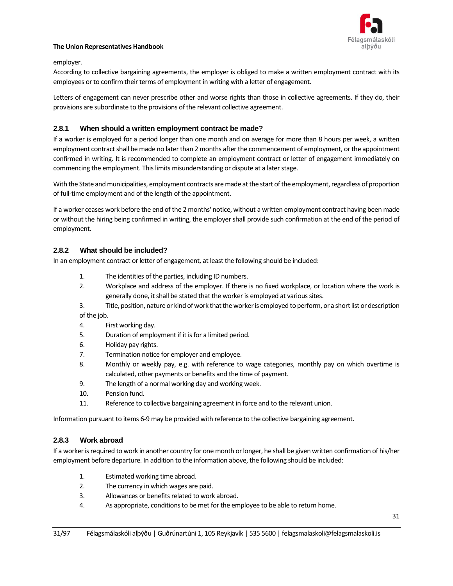

#### employer.

According to collective bargaining agreements, the employer is obliged to make a written employment contract with its employees or to confirm their terms of employment in writing with a letter of engagement.

Letters of engagement can never prescribe other and worse rights than those in collective agreements. If they do, their provisions are subordinate to the provisions of the relevant collective agreement.

#### **2.8.1 When should a written employment contract be made?**

If a worker is employed for a period longer than one month and on average for more than 8 hours per week, a written employment contract shall be made no later than 2 months after the commencement of employment, or the appointment confirmed in writing. It is recommended to complete an employment contract or letter of engagement immediately on commencing the employment. This limits misunderstanding or dispute at a later stage.

With the State and municipalities, employment contracts are made at the start of the employment, regardless of proportion of full-time employment and of the length of the appointment.

If a worker ceases work before the end of the 2 months' notice, without a written employment contract having been made or without the hiring being confirmed in writing, the employer shall provide such confirmation at the end of the period of employment.

#### **2.8.2 What should be included?**

In an employment contract or letter of engagement, at least the following should be included:

- 1. The identities of the parties, including ID numbers.
- 2. Workplace and address of the employer. If there is no fixed workplace, or location where the work is generally done, it shall be stated that the worker is employed at various sites.
- 3. Title, position, nature or kind of work that theworker is employed to perform, or a short list or description

of the job.

- 4. First working day.
- 5. Duration of employment if it is for a limited period.
- 6. Holiday pay rights.
- 7. Termination notice for employer and employee.
- 8. Monthly or weekly pay, e.g. with reference to wage categories, monthly pay on which overtime is calculated, other payments or benefits and the time of payment.
- 9. The length of a normal working day and working week.
- 10. Pension fund.
- 11. Reference to collective bargaining agreement in force and to the relevant union.

Information pursuant to items 6-9 may be provided with reference to the collective bargaining agreement.

#### **2.8.3 Work abroad**

If a worker is required to work in another country for one month or longer, he shall be given written confirmation of his/her employment before departure. In addition to the information above, the following should be included:

- 1. Estimated working time abroad.
- 2. The currency in which wages are paid.
- 3. Allowances or benefits related to work abroad.
- 4. As appropriate, conditions to be met for the employee to be able to return home.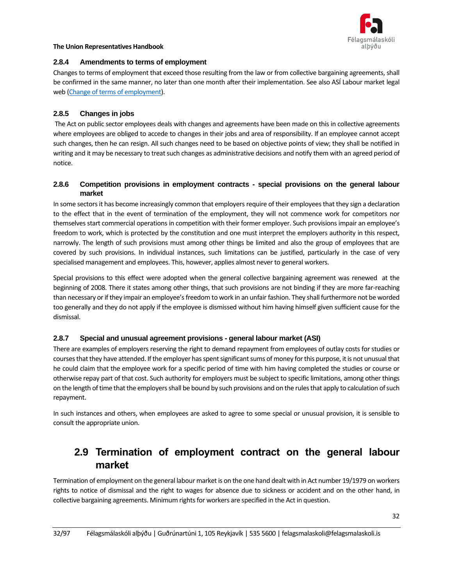

#### **2.8.4 Amendments to terms of employment**

Changes to terms of employment that exceed those resulting from the law or from collective bargaining agreements, shall be confirmed in the same manner, no later than one month after their implementation. See also ASÍ Labour market legal web (Change [of terms of employment\)](https://www.asi.is/vinnurettarvefur/rettindi-og-skyldur/radningarsambond-stofnun-og-edli/breyting-a-radningarkjorum/#starfsmadur).

#### **2.8.5 Changes in jobs**

The Act on public sector employees deals with changes and agreements have been made on this in collective agreements where employees are obliged to accede to changes in their jobs and area of responsibility. If an employee cannot accept such changes, then he can resign. All such changes need to be based on objective points of view; they shall be notified in writing and it may be necessary to treat such changes as administrative decisions and notify them with an agreed period of notice.

#### **2.8.6 Competition provisions in employment contracts - special provisions on the general labour market**

In some sectors it has become increasingly common that employers require of their employees that they sign a declaration to the effect that in the event of termination of the employment, they will not commence work for competitors nor themselves start commercial operations in competition with their former employer. Such provisions impair an employee's freedom to work, which is protected by the constitution and one must interpret the employers authority in this respect, narrowly. The length of such provisions must among other things be limited and also the group of employees that are covered by such provisions. In individual instances, such limitations can be justified, particularly in the case of very specialised management and employees. This, however, applies almost never to general workers.

Special provisions to this effect were adopted when the general collective bargaining agreement was renewed at the beginning of 2008. There it states among other things, that such provisions are not binding if they are more far-reaching than necessary or if they impair an employee's freedom to work in an unfair fashion. They shall furthermore not be worded too generally and they do not apply if the employee is dismissed without him having himself given sufficient cause for the dismissal.

#### **2.8.7 Special and unusual agreement provisions - general labour market (ASI)**

There are examples of employers reserving the right to demand repayment from employees of outlay costs for studies or courses that they have attended. If the employer has spent significant sums of money for this purpose, it is not unusual that he could claim that the employee work for a specific period of time with him having completed the studies or course or otherwise repay part of that cost. Such authority for employers must be subject to specific limitations, among other things on the length of time that the employers shall be bound by such provisions and on the rules that apply to calculation of such repayment.

<span id="page-31-0"></span>In such instances and others, when employees are asked to agree to some special or unusual provision, it is sensible to consult the appropriate union.

## **2.9 Termination of employment contract on the general labour market**

Termination of employment on the general labour market is on the one hand dealt with in Act number 19/1979 on workers rights to notice of dismissal and the right to wages for absence due to sickness or accident and on the other hand, in collective bargaining agreements. Minimum rights for workers are specified in the Act in question.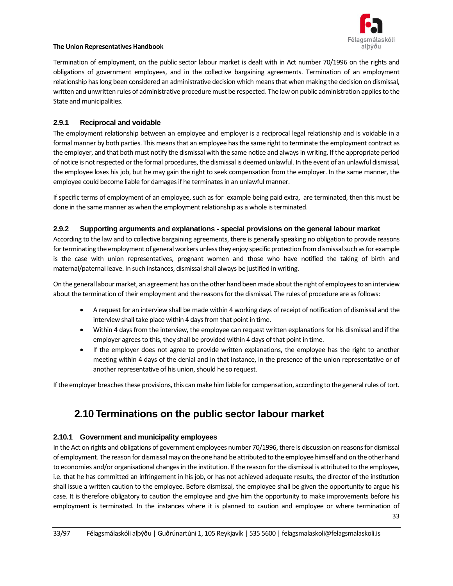

Termination of employment, on the public sector labour market is dealt with in Act number 70/1996 on the rights and obligations of government employees, and in the collective bargaining agreements. Termination of an employment relationship has long been considered an administrative decision which means that when making the decision on dismissal, written and unwritten rules of administrative procedure must be respected. The law on public administration applies to the State and municipalities.

#### **2.9.1 Reciprocal and voidable**

The employment relationship between an employee and employer is a reciprocal legal relationship and is voidable in a formal manner by both parties. This means that an employee has the same right to terminate the employment contract as the employer, and that both must notify the dismissal with the same notice and always in writing. If the appropriate period of notice is not respected or the formal procedures, the dismissal is deemed unlawful. In the event of an unlawful dismissal, the employee loses his job, but he may gain the right to seek compensation from the employer. In the same manner, the employee could become liable for damages if he terminates in an unlawful manner.

If specific terms of employment of an employee, such as for example being paid extra, are terminated, then this must be done in the same manner as when the employment relationship as a whole is terminated.

#### **2.9.2 Supporting arguments and explanations - special provisions on the general labour market**

According to the law and to collective bargaining agreements, there is generally speaking no obligation to provide reasons for terminating the employment of general workers unless they enjoy specific protection from dismissal such as for example is the case with union representatives, pregnant women and those who have notified the taking of birth and maternal/paternal leave. In such instances, dismissal shall always be justified in writing.

On the general labour market, an agreement has on the other hand been made aboutthe right of employees to an interview about the termination of their employment and the reasons for the dismissal. The rules of procedure are as follows:

- A request for an interview shall be made within 4 working days of receipt of notification of dismissal and the interview shall take place within 4 days from that point in time.
- Within 4 days from the interview, the employee can request written explanations for his dismissal and if the employer agrees to this, they shall be provided within 4 days of that point in time.
- If the employer does not agree to provide written explanations, the employee has the right to another meeting within 4 days of the denial and in that instance, in the presence of the union representative or of another representative of his union, should he so request.

<span id="page-32-0"></span>If the employer breaches these provisions, this can make him liable for compensation, according to the general rules of tort.

## **2.10 Terminations on the public sector labour market**

#### **2.10.1 Government and municipality employees**

In the Act on rights and obligations of government employees number 70/1996, there is discussion on reasons for dismissal of employment. The reason for dismissal may on the one hand be attributed to the employee himself and on the other hand to economies and/or organisational changes in the institution. If the reason for the dismissal is attributed to the employee, i.e. that he has committed an infringement in his job, or has not achieved adequate results, the director of the institution shall issue a written caution to the employee. Before dismissal, the employee shall be given the opportunity to argue his case. It is therefore obligatory to caution the employee and give him the opportunity to make improvements before his employment is terminated. In the instances where it is planned to caution and employee or where termination of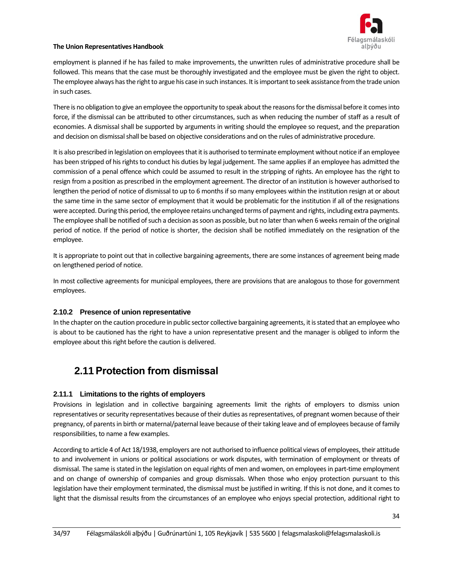

employment is planned if he has failed to make improvements, the unwritten rules of administrative procedure shall be followed. This means that the case must be thoroughly investigated and the employee must be given the right to object. The employee always has the right to argue his case in such instances. It is important to seek assistance from the trade union in such cases.

There is no obligation to give an employee the opportunity to speak about the reasons for the dismissal before it comes into force, if the dismissal can be attributed to other circumstances, such as when reducing the number of staff as a result of economies. A dismissal shall be supported by arguments in writing should the employee so request, and the preparation and decision on dismissal shall be based on objective considerations and on the rules of administrative procedure.

It is also prescribed in legislation on employees that it is authorised to terminate employment without notice if an employee has been stripped of his rights to conduct his duties by legal judgement. The same applies if an employee has admitted the commission of a penal offence which could be assumed to result in the stripping of rights. An employee has the right to resign from a position as prescribed in the employment agreement. The director of an institution is however authorised to lengthen the period of notice of dismissal to up to 6 months if so many employees within the institution resign at or about the same time in the same sector of employment that it would be problematic for the institution if all of the resignations were accepted. During this period, the employee retains unchanged terms of payment and rights, including extra payments. The employee shall be notified of such a decision as soon as possible, but no later than when 6 weeks remain of the original period of notice. If the period of notice is shorter, the decision shall be notified immediately on the resignation of the employee.

It is appropriate to point out that in collective bargaining agreements, there are some instances of agreement being made on lengthened period of notice.

In most collective agreements for municipal employees, there are provisions that are analogous to those for government employees.

#### **2.10.2 Presence of union representative**

In the chapter on the caution procedure in public sector collective bargaining agreements, it is stated that an employee who is about to be cautioned has the right to have a union representative present and the manager is obliged to inform the employee about this right before the caution is delivered.

## <span id="page-33-0"></span>**2.11Protection from dismissal**

#### **2.11.1 Limitations to the rights of employers**

Provisions in legislation and in collective bargaining agreements limit the rights of employers to dismiss union representatives or security representatives because of their duties as representatives, of pregnant women because of their pregnancy, of parents in birth or maternal/paternal leave because of their taking leave and of employees because of family responsibilities, to name a few examples.

According to article 4 of Act 18/1938, employers are not authorised to influence political views of employees, their attitude to and involvement in unions or political associations or work disputes, with termination of employment or threats of dismissal. The same is stated in the legislation on equal rights of men and women, on employees in part-time employment and on change of ownership of companies and group dismissals. When those who enjoy protection pursuant to this legislation have their employment terminated, the dismissal must be justified in writing. If this is not done, and it comes to light that the dismissal results from the circumstances of an employee who enjoys special protection, additional right to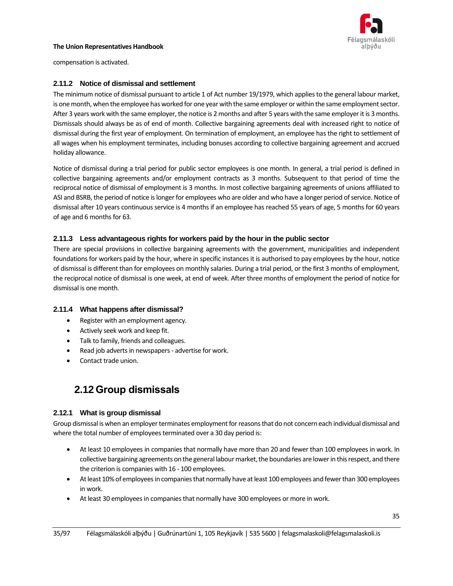

compensation is activated.

#### **2.11.2 Notice of dismissal and settlement**

The minimum notice of dismissal pursuant to article 1 of Act number 19/1979, which appliesto the general labour market, is one month, when the employee has worked for one year with the same employer or within the same employment sector. After 3 years work with the same employer, the notice is 2 months and after 5 years with the same employer it is 3 months. Dismissals should always be as of end of month. Collective bargaining agreements deal with increased right to notice of dismissal during the first year of employment. On termination of employment, an employee has the right to settlement of all wages when his employment terminates, including bonuses according to collective bargaining agreement and accrued holiday allowance.

Notice of dismissal during a trial period for public sector employees is one month. In general, a trial period is defined in collective bargaining agreements and/or employment contracts as 3 months. Subsequent to that period of time the reciprocal notice of dismissal of employment is 3 months. In most collective bargaining agreements of unions affiliated to ASI and BSRB, the period of notice is longer for employees who are older and who have a longer period of service. Notice of dismissal after 10 years continuous service is 4 months if an employee has reached 55 years of age, 5 months for 60 years of age and 6 months for 63.

#### **2.11.3 Less advantageous rights for workers paid by the hour in the public sector**

There are special provisions in collective bargaining agreements with the government, municipalities and independent foundations for workers paid by the hour, where in specific instances it is authorised to pay employees by the hour, notice of dismissal is different than for employees on monthly salaries. During a trial period, or the first 3 months of employment, the reciprocal notice of dismissal is one week, at end of week. After three months of employment the period of notice for dismissal is one month.

#### **2.11.4 What happens after dismissal?**

- Register with an employment agency.
- Actively seek work and keep fit.
- Talk to family, friends and colleagues.
- Read job adverts in newspapers advertise for work.
- <span id="page-34-0"></span>Contact trade union.

## **2.12Group dismissals**

#### **2.12.1 What is group dismissal**

Group dismissal is when an employer terminates employment for reasons that do not concern each individual dismissal and where the total number of employees terminated over a 30 day period is:

- At least 10 employees in companies that normally have more than 20 and fewer than 100 employees in work. In collective bargaining agreements on the general labour market, the boundaries are lower in this respect, and there the criterion is companies with 16 - 100 employees.
- At least 10% of employees in companies that normally have at least 100 employees and fewer than 300 employees in work.
- At least 30 employees in companies that normally have 300 employees or more in work.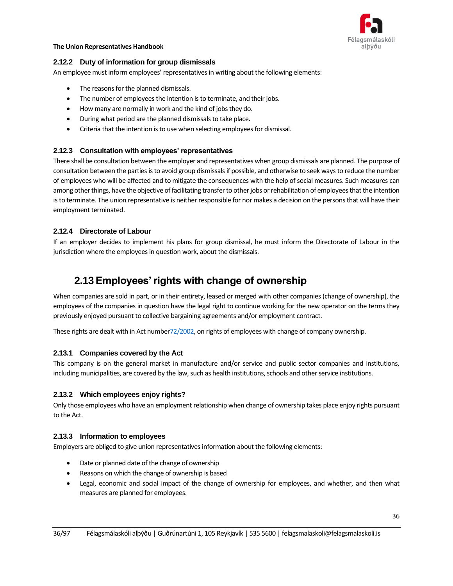

#### **2.12.2 Duty of information for group dismissals**

An employee must inform employees' representatives in writing about the following elements:

- The reasons for the planned dismissals.
- The number of employees the intention is to terminate, and their jobs.
- How many are normally in work and the kind of jobs they do.
- During what period are the planned dismissals to take place.
- Criteria that the intention is to use when selecting employees for dismissal.

#### **2.12.3 Consultation with employees' representatives**

There shall be consultation between the employer and representatives when group dismissals are planned. The purpose of consultation between the parties is to avoid group dismissals if possible, and otherwise to seek ways to reduce the number of employees who will be affected and to mitigate the consequences with the help of social measures. Such measures can among other things, have the objective of facilitating transfer to other jobs or rehabilitation of employees that the intention is to terminate. The union representative is neither responsible for nor makes a decision on the persons that will have their employment terminated.

#### **2.12.4 Directorate of Labour**

<span id="page-35-0"></span>If an employer decides to implement his plans for group dismissal, he must inform the Directorate of Labour in the jurisdiction where the employees in question work, about the dismissals.

## **2.13Employees' rights with change of ownership**

When companies are sold in part, or in their entirety, leased or merged with other companies (change of ownership), the employees of the companies in question have the legal right to continue working for the new operator on the terms they previously enjoyed pursuant to collective bargaining agreements and/or employment contract.

These rights are dealt with in Act numbe[r72/2002,](https://www.althingi.is/lagas/nuna/2002072.html) on rights of employees with change of company ownership.

#### **2.13.1 Companies covered by the Act**

This company is on the general market in manufacture and/or service and public sector companies and institutions, including municipalities, are covered by the law, such as health institutions, schools and other service institutions.

#### **2.13.2 Which employees enjoy rights?**

Only those employees who have an employment relationship when change of ownership takes place enjoy rights pursuant to the Act.

#### **2.13.3 Information to employees**

Employers are obliged to give union representatives information about the following elements:

- Date or planned date of the change of ownership
- Reasons on which the change of ownership is based
- Legal, economic and social impact of the change of ownership for employees, and whether, and then what measures are planned for employees.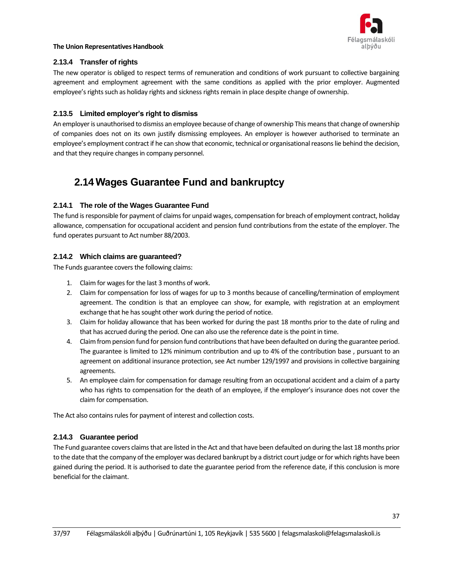

## **2.13.4 Transfer of rights**

The new operator is obliged to respect terms of remuneration and conditions of work pursuant to collective bargaining agreement and employment agreement with the same conditions as applied with the prior employer. Augmented employee's rights such as holiday rights and sickness rights remain in place despite change of ownership.

## **2.13.5 Limited employer's right to dismiss**

An employer is unauthorised to dismiss an employee because of change of ownership This means that change of ownership of companies does not on its own justify dismissing employees. An employer is however authorised to terminate an employee's employment contract if he can show that economic, technical or organisational reasons lie behind the decision, and that they require changes in company personnel.

## **2.14Wages Guarantee Fund and bankruptcy**

## **2.14.1 The role of the Wages Guarantee Fund**

The fund is responsible for payment of claims for unpaid wages, compensation for breach of employment contract, holiday allowance, compensation for occupational accident and pension fund contributions from the estate of the employer. The fund operates pursuant to Act number 88/2003.

## **2.14.2 Which claims are guaranteed?**

The Funds guarantee covers the following claims:

- 1. Claim for wages for the last 3 months of work.
- 2. Claim for compensation for loss of wages for up to 3 months because of cancelling/termination of employment agreement. The condition is that an employee can show, for example, with registration at an employment exchange that he has sought other work during the period of notice.
- 3. Claim for holiday allowance that has been worked for during the past 18 months prior to the date of ruling and that has accrued during the period. One can also use the reference date is the point in time.
- 4. Claim from pension fund for pension fund contributions that have been defaulted on during the guarantee period. The guarantee is limited to 12% minimum contribution and up to 4% of the contribution base , pursuant to an agreement on additional insurance protection, see Act number 129/1997 and provisions in collective bargaining agreements.
- 5. An employee claim for compensation for damage resulting from an occupational accident and a claim of a party who has rights to compensation for the death of an employee, if the employer's insurance does not cover the claim for compensation.

The Act also contains rules for payment of interest and collection costs.

## **2.14.3 Guarantee period**

The Fund guarantee covers claims that are listed in the Act and that have been defaulted on during the last 18 months prior to the date that the company of the employer was declared bankrupt by a district court judge or for which rights have been gained during the period. It is authorised to date the guarantee period from the reference date, if this conclusion is more beneficial for the claimant.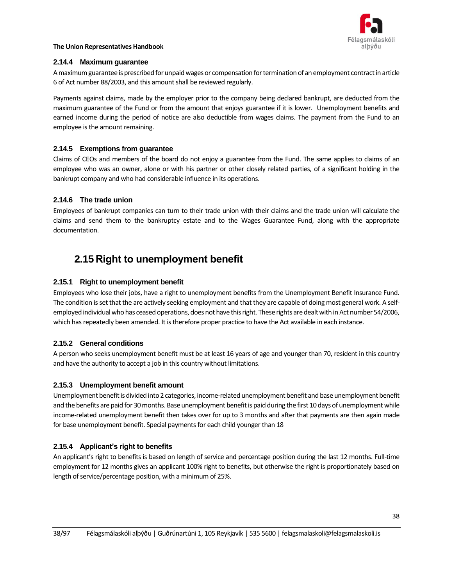

### **2.14.4 Maximum guarantee**

A maximum guarantee is prescribed for unpaid wages or compensation for termination of an employment contract in article 6 of Act number 88/2003, and this amount shall be reviewed regularly.

Payments against claims, made by the employer prior to the company being declared bankrupt, are deducted from the maximum guarantee of the Fund or from the amount that enjoys guarantee if it is lower. Unemployment benefits and earned income during the period of notice are also deductible from wages claims. The payment from the Fund to an employee is the amount remaining.

## **2.14.5 Exemptions from guarantee**

Claims of CEOs and members of the board do not enjoy a guarantee from the Fund. The same applies to claims of an employee who was an owner, alone or with his partner or other closely related parties, of a significant holding in the bankrupt company and who had considerable influence in its operations.

## **2.14.6 The trade union**

Employees of bankrupt companies can turn to their trade union with their claims and the trade union will calculate the claims and send them to the bankruptcy estate and to the Wages Guarantee Fund, along with the appropriate documentation.

## **2.15 Right to unemployment benefit**

## **2.15.1 Right to unemployment benefit**

Employees who lose their jobs, have a right to unemployment benefits from the Unemployment Benefit Insurance Fund. The condition is set that the are actively seeking employment and that they are capable of doing most general work. A selfemployed individual who has ceased operations, does not have this right. These rights are dealt with in Act number 54/2006, which has repeatedly been amended. It is therefore proper practice to have the Act available in each instance.

## **2.15.2 General conditions**

A person who seeks unemployment benefit must be at least 16 years of age and younger than 70, resident in this country and have the authority to accept a job in this country without limitations.

### **2.15.3 Unemployment benefit amount**

Unemployment benefit is divided into 2 categories, income-related unemployment benefit and base unemployment benefit and the benefits are paid for 30 months. Base unemployment benefit is paid during the first 10 days of unemployment while income-related unemployment benefit then takes over for up to 3 months and after that payments are then again made for base unemployment benefit. Special payments for each child younger than 18

## **2.15.4 Applicant's right to benefits**

An applicant's right to benefits is based on length of service and percentage position during the last 12 months. Full-time employment for 12 months gives an applicant 100% right to benefits, but otherwise the right is proportionately based on length of service/percentage position, with a minimum of 25%.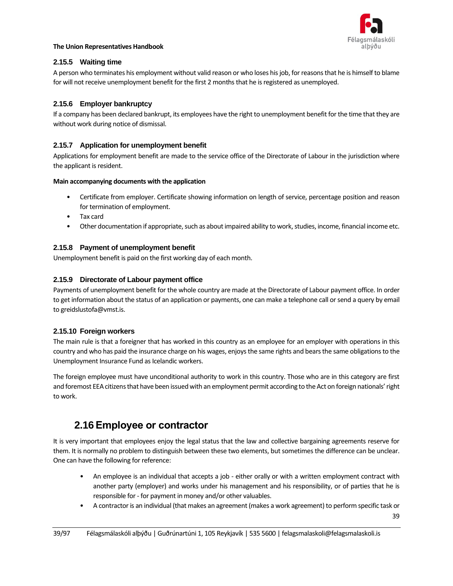

## **2.15.5 Waiting time**

A person who terminates his employment without valid reason or who loses his job, for reasons that he is himself to blame for will not receive unemployment benefit for the first 2 months that he is registered as unemployed.

## **2.15.6 Employer bankruptcy**

If a company has been declared bankrupt, its employees have the right to unemployment benefit for the time that they are without work during notice of dismissal.

## **2.15.7 Application for unemployment benefit**

Applications for employment benefit are made to the service office of the Directorate of Labour in the jurisdiction where the applicant is resident.

### **Main accompanying documents with the application**

- Certificate from employer. Certificate showing information on length of service, percentage position and reason for termination of employment.
- Tax card
- Other documentation if appropriate, such as about impaired ability to work, studies, income, financial income etc.

## **2.15.8 Payment of unemployment benefit**

Unemployment benefit is paid on the first working day of each month.

## **2.15.9 Directorate of Labour payment office**

Payments of unemployment benefit for the whole country are made at the Directorate of Labour payment office. In order to get information about the status of an application or payments, one can make a telephone call or send a query by email to greidslustofa@vmst.is.

### **2.15.10 Foreign workers**

The main rule is that a foreigner that has worked in this country as an employee for an employer with operations in this country and who has paid the insurance charge on his wages, enjoys the same rights and bears the same obligations to the Unemployment Insurance Fund as Icelandic workers.

The foreign employee must have unconditional authority to work in this country. Those who are in this category are first and foremost EEA citizens that have been issued with an employment permit according to the Act on foreign nationals' right to work.

## **2.16Employee or contractor**

It is very important that employees enjoy the legal status that the law and collective bargaining agreements reserve for them. It is normally no problem to distinguish between these two elements, but sometimes the difference can be unclear. One can have the following for reference:

- An employee is an individual that accepts a job either orally or with a written employment contract with another party (employer) and works under his management and his responsibility, or of parties that he is responsible for - for payment in money and/or other valuables.
- A contractor is an individual (that makes an agreement (makes a work agreement) to perform specific task or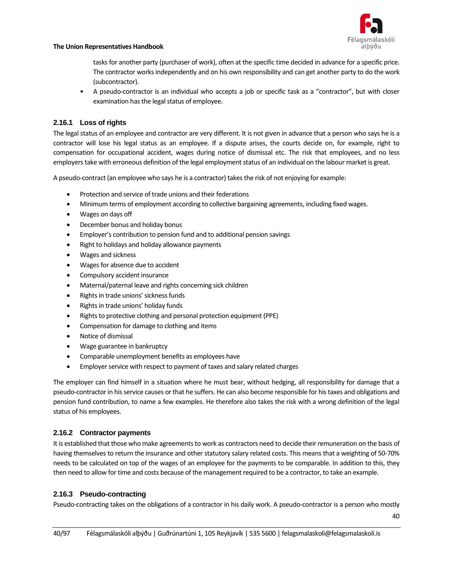

40

#### **The Union Representatives Handbook**

tasks for another party (purchaser of work), often at the specific time decided in advance for a specific price. The contractor works independently and on his own responsibility and can get another party to do the work (subcontractor).

• A pseudo-contractor is an individual who accepts a job or specific task as a "contractor", but with closer examination has the legal status of employee.

## **2.16.1 Loss of rights**

The legal status of an employee and contractor are very different. It is not given in advance that a person who says he is a contractor will lose his legal status as an employee. If a dispute arises, the courts decide on, for example, right to compensation for occupational accident, wages during notice of dismissal etc. The risk that employees, and no less employers take with erroneous definition of the legal employment status of an individual on the labour market is great.

A pseudo-contract (an employee who says he is a contractor) takes the risk of not enjoying for example:

- Protection and service of trade unions and their federations
- Minimum terms of employment according to collective bargaining agreements, including fixed wages.
- Wages on days off
- December bonus and holiday bonus
- Employer's contribution to pension fund and to additional pension savings
- Right to holidays and holiday allowance payments
- Wages and sickness
- Wages for absence due to accident
- Compulsory accident insurance
- Maternal/paternal leave and rights concerning sick children
- Rights in trade unions' sickness funds
- Rights in trade unions' holiday funds
- Rights to protective clothing and personal protection equipment (PPE)
- Compensation for damage to clothing and items
- Notice of dismissal
- Wage guarantee in bankruptcy
- Comparable unemployment benefits as employees have
- Employer service with respect to payment of taxes and salary related charges

The employer can find himself in a situation where he must bear, without hedging, all responsibility for damage that a pseudo-contractor in his service causes or that he suffers. He can also become responsible for his taxes and obligations and pension fund contribution, to name a few examples. He therefore also takes the risk with a wrong definition of the legal status of his employees.

## **2.16.2 Contractor payments**

It is established that those who make agreements to work as contractors need to decide their remuneration on the basis of having themselves to return the insurance and other statutory salary related costs. This means that a weighting of 50-70% needs to be calculated on top of the wages of an employee for the payments to be comparable. In addition to this, they then need to allow for time and costs because of the management required to be a contractor, to take an example.

## **2.16.3 Pseudo-contracting**

Pseudo-contracting takes on the obligations of a contractor in his daily work. A pseudo-contractor is a person who mostly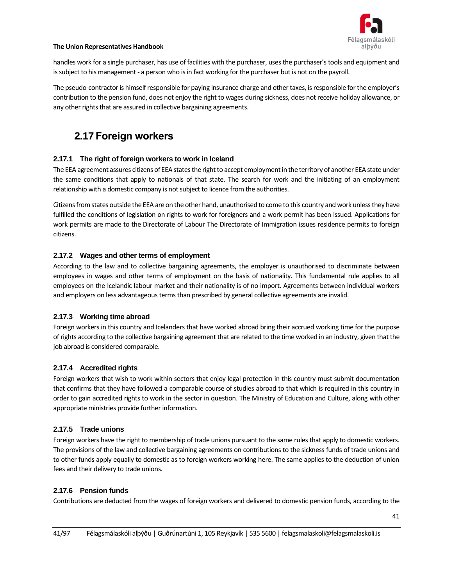

handles work for a single purchaser, has use of facilities with the purchaser, uses the purchaser's tools and equipment and is subject to his management - a person who is in fact working for the purchaser but is not on the payroll.

The pseudo-contractor is himself responsible for paying insurance charge and other taxes, is responsible for the employer's contribution to the pension fund, does not enjoy the right to wages during sickness, does not receive holiday allowance, or any other rights that are assured in collective bargaining agreements.

## **2.17 Foreign workers**

## **2.17.1 The right of foreign workers to work in Iceland**

The EEA agreement assures citizens of EEA states the right to accept employment in the territory of another EEA state under the same conditions that apply to nationals of that state. The search for work and the initiating of an employment relationship with a domestic company is not subject to licence from the authorities.

Citizens from states outside the EEA are on the other hand, unauthorised to come to this country and work unless they have fulfilled the conditions of legislation on rights to work for foreigners and a work permit has been issued. Applications for work permits are made to the Directorate of Labour The Directorate of Immigration issues residence permits to foreign citizens.

## **2.17.2 Wages and other terms of employment**

According to the law and to collective bargaining agreements, the employer is unauthorised to discriminate between employees in wages and other terms of employment on the basis of nationality. This fundamental rule applies to all employees on the Icelandic labour market and their nationality is of no import. Agreements between individual workers and employers on less advantageous terms than prescribed by general collective agreements are invalid.

### **2.17.3 Working time abroad**

Foreign workers in this country and Icelanders that have worked abroad bring their accrued working time for the purpose of rights according to the collective bargaining agreement that are related to the time worked in an industry, given that the job abroad is considered comparable.

### **2.17.4 Accredited rights**

Foreign workers that wish to work within sectors that enjoy legal protection in this country must submit documentation that confirms that they have followed a comparable course of studies abroad to that which is required in this country in order to gain accredited rights to work in the sector in question. The Ministry of Education and Culture, along with other appropriate ministries provide further information.

### **2.17.5 Trade unions**

Foreign workers have the right to membership of trade unions pursuant to the same rules that apply to domestic workers. The provisions of the law and collective bargaining agreements on contributions to the sickness funds of trade unions and to other funds apply equally to domestic as to foreign workers working here. The same applies to the deduction of union fees and their delivery to trade unions.

### **2.17.6 Pension funds**

Contributions are deducted from the wages of foreign workers and delivered to domestic pension funds, according to the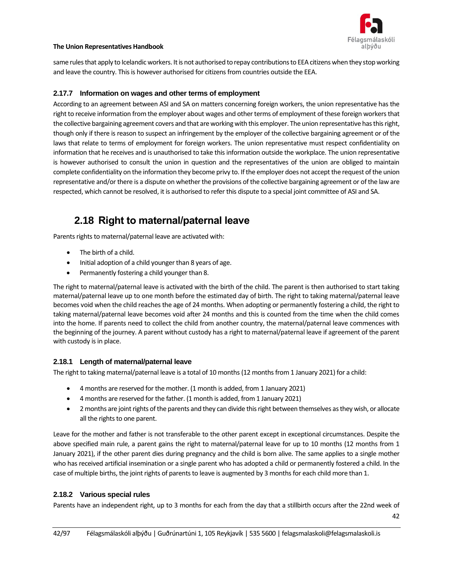

same rules that apply to Icelandic workers. It is not authorised to repay contributions to EEA citizens when they stop working and leave the country. This is however authorised for citizens from countries outside the EEA.

## **2.17.7 Information on wages and other terms of employment**

According to an agreement between ASI and SA on matters concerning foreign workers, the union representative has the right to receive information from the employer about wages and other terms of employment of these foreign workers that the collective bargaining agreement covers and that are working with this employer. The union representative has this right, though only if there is reason to suspect an infringement by the employer of the collective bargaining agreement or of the laws that relate to terms of employment for foreign workers. The union representative must respect confidentiality on information that he receives and is unauthorised to take this information outside the workplace. The union representative is however authorised to consult the union in question and the representatives of the union are obliged to maintain complete confidentiality on the information they become privy to. If the employer does not accept the request of the union representative and/or there is a dispute on whether the provisions of the collective bargaining agreement or of the law are respected, which cannot be resolved, it is authorised to refer this dispute to a special joint committee of ASI and SA.

## **2.18 Right to maternal/paternal leave**

Parents rights to maternal/paternal leave are activated with:

- The birth of a child.
- Initial adoption of a child younger than 8 years of age.
- Permanently fostering a child younger than 8.

The right to maternal/paternal leave is activated with the birth of the child. The parent is then authorised to start taking maternal/paternal leave up to one month before the estimated day of birth. The right to taking maternal/paternal leave becomes void when the child reaches the age of 24 months. When adopting or permanently fostering a child, the right to taking maternal/paternal leave becomes void after 24 months and this is counted from the time when the child comes into the home. If parents need to collect the child from another country, the maternal/paternal leave commences with the beginning of the journey. A parent without custody has a right to maternal/paternal leave if agreement of the parent with custody is in place.

### **2.18.1 Length of maternal/paternal leave**

The right to taking maternal/paternal leave is a total of 10 months (12 months from 1 January 2021) for a child:

- 4 months are reserved for the mother. (1 month is added, from 1 January 2021)
- 4 months are reserved for the father. (1 month is added, from 1 January 2021)
- 2 months are joint rights of the parents and they can divide this right between themselves as they wish, or allocate all the rights to one parent.

Leave for the mother and father is not transferable to the other parent except in exceptional circumstances. Despite the above specified main rule, a parent gains the right to maternal/paternal leave for up to 10 months (12 months from 1 January 2021), if the other parent dies during pregnancy and the child is born alive. The same applies to a single mother who has received artificial insemination or a single parent who has adopted a child or permanently fostered a child. In the case of multiple births, the joint rights of parents to leave is augmented by 3 months for each child more than 1.

### **2.18.2 Various special rules**

Parents have an independent right, up to 3 months for each from the day that a stillbirth occurs after the 22nd week of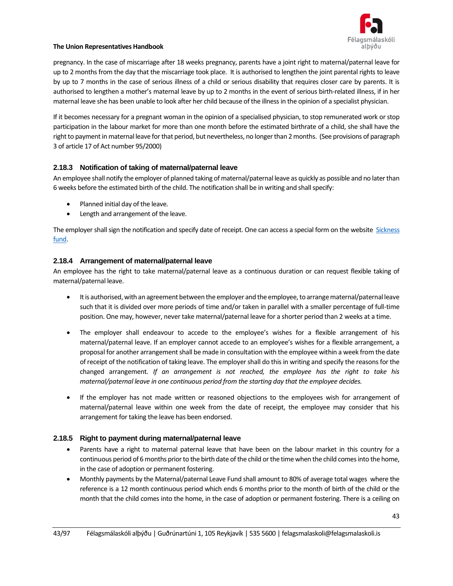

pregnancy. In the case of miscarriage after 18 weeks pregnancy, parents have a joint right to maternal/paternal leave for up to 2 months from the day that the miscarriage took place. It is authorised to lengthen the joint parental rights to leave by up to 7 months in the case of serious illness of a child or serious disability that requires closer care by parents. It is authorised to lengthen a mother's maternal leave by up to 2 months in the event of serious birth-related illness, if in her maternal leave she has been unable to look after her child because of the illness in the opinion of a specialist physician.

If it becomes necessary for a pregnant woman in the opinion of a specialised physician, to stop remunerated work or stop participation in the labour market for more than one month before the estimated birthrate of a child, she shall have the right to payment in maternal leave for that period, but nevertheless, no longer than 2 months. (See provisions of paragraph 3 of article 17 of Act number 95/2000)

## **2.18.3 Notification of taking of maternal/paternal leave**

An employee shall notify the employer of planned taking of maternal/paternal leave as quickly as possible and no later than 6 weeks before the estimated birth of the child. The notification shall be in writing and shall specify:

- Planned initial day of the leave.
- Length and arrangement of the leave.

The employer shall sign the notification and specify date of receipt. One can access a special form on the website [Sickness](http://www.faedingarorlof.is/)  [fund.](http://www.faedingarorlof.is/)

## **2.18.4 Arrangement of maternal/paternal leave**

An employee has the right to take maternal/paternal leave as a continuous duration or can request flexible taking of maternal/paternal leave.

- It is authorised, with an agreement between the employer and the employee, to arrange maternal/paternal leave such that it is divided over more periods of time and/or taken in parallel with a smaller percentage of full-time position. One may, however, never take maternal/paternal leave for a shorter period than 2 weeks at a time.
- The employer shall endeavour to accede to the employee's wishes for a flexible arrangement of his maternal/paternal leave. If an employer cannot accede to an employee's wishes for a flexible arrangement, a proposal for another arrangement shall be made in consultation with the employee within a week from the date of receipt of the notification of taking leave. The employer shall do this in writing and specify the reasons for the changed arrangement. *If an arrangement is not reached, the employee has the right to take his maternal/paternal leave in one continuous period from the starting day that the employee decides.*
- If the employer has not made written or reasoned objections to the employees wish for arrangement of maternal/paternal leave within one week from the date of receipt, the employee may consider that his arrangement for taking the leave has been endorsed.

### **2.18.5 Right to payment during maternal/paternal leave**

- Parents have a right to maternal paternal leave that have been on the labour market in this country for a continuous period of 6 months prior to the birth date of the child orthe time when the child comes into the home, in the case of adoption or permanent fostering.
- Monthly payments by the Maternal/paternal Leave Fund shall amount to 80% of average total wages where the reference is a 12 month continuous period which ends 6 months prior to the month of birth of the child or the month that the child comes into the home, in the case of adoption or permanent fostering. There is a ceiling on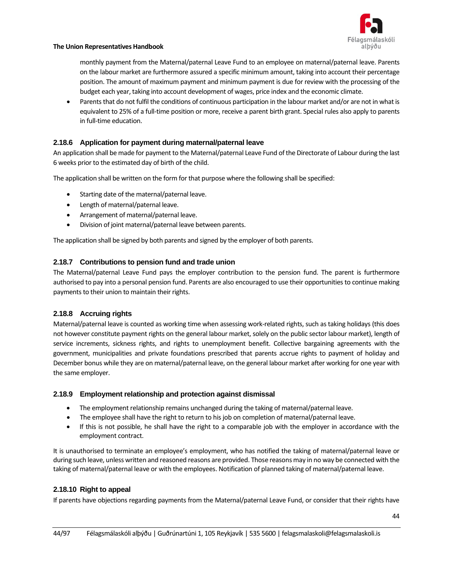

monthly payment from the Maternal/paternal Leave Fund to an employee on maternal/paternal leave. Parents on the labour market are furthermore assured a specific minimum amount, taking into account their percentage position. The amount of maximum payment and minimum payment is due for review with the processing of the budget each year, taking into account development of wages, price index and the economic climate.

• Parents that do not fulfil the conditions of continuous participation in the labour market and/or are not in what is equivalent to 25% of a full-time position or more, receive a parent birth grant. Special rules also apply to parents in full-time education.

## **2.18.6 Application for payment during maternal/paternal leave**

An application shall be made for payment to the Maternal/paternal Leave Fund of the Directorate of Labour during the last 6 weeks prior to the estimated day of birth of the child.

The application shall be written on the form for that purpose where the following shall be specified:

- Starting date of the maternal/paternal leave.
- Length of maternal/paternal leave.
- Arrangement of maternal/paternal leave.
- Division of joint maternal/paternal leave between parents.

The application shall be signed by both parents and signed by the employer of both parents.

## **2.18.7 Contributions to pension fund and trade union**

The Maternal/paternal Leave Fund pays the employer contribution to the pension fund. The parent is furthermore authorised to pay into a personal pension fund. Parents are also encouraged to use their opportunities to continue making payments to their union to maintain their rights.

### **2.18.8 Accruing rights**

Maternal/paternal leave is counted as working time when assessing work-related rights, such as taking holidays (this does not however constitute payment rights on the general labour market, solely on the public sector labour market), length of service increments, sickness rights, and rights to unemployment benefit. Collective bargaining agreements with the government, municipalities and private foundations prescribed that parents accrue rights to payment of holiday and December bonus while they are on maternal/paternal leave, on the general labour market after working for one year with the same employer.

### **2.18.9 Employment relationship and protection against dismissal**

- The employment relationship remains unchanged during the taking of maternal/paternal leave.
- The employee shall have the right to return to his job on completion of maternal/paternal leave.
- If this is not possible, he shall have the right to a comparable job with the employer in accordance with the employment contract.

It is unauthorised to terminate an employee's employment, who has notified the taking of maternal/paternal leave or during such leave, unless written and reasoned reasons are provided. Those reasons may in no way be connected with the taking of maternal/paternal leave or with the employees. Notification of planned taking of maternal/paternal leave.

### **2.18.10 Right to appeal**

If parents have objections regarding payments from the Maternal/paternal Leave Fund, or consider that their rights have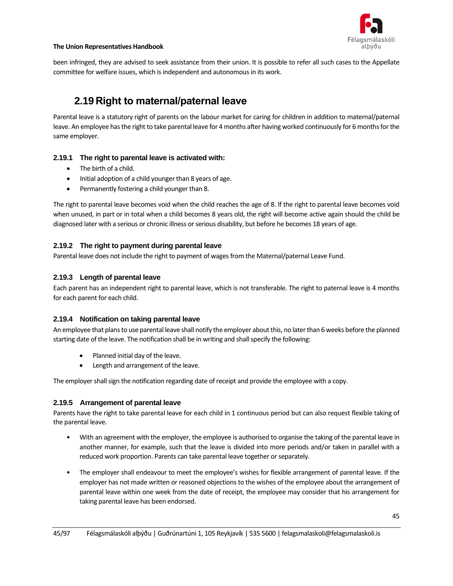

been infringed, they are advised to seek assistance from their union. It is possible to refer all such cases to the Appellate committee for welfare issues, which is independent and autonomous in its work.

## **2.19 Right to maternal/paternal leave**

Parental leave is a statutory right of parents on the labour market for caring for children in addition to maternal/paternal leave. An employee has the right to take parental leave for 4 months after having worked continuously for 6 months for the same employer.

## **2.19.1 The right to parental leave is activated with:**

- The birth of a child.
- Initial adoption of a child younger than 8 years of age.
- Permanently fostering a child younger than 8.

The right to parental leave becomes void when the child reaches the age of 8. If the right to parental leave becomes void when unused, in part or in total when a child becomes 8 years old, the right will become active again should the child be diagnosed later with a serious or chronic illness or serious disability, but before he becomes 18 years of age.

## **2.19.2 The right to payment during parental leave**

Parental leave does not include the right to payment of wages from the Maternal/paternal Leave Fund.

## **2.19.3 Length of parental leave**

Each parent has an independent right to parental leave, which is not transferable. The right to paternal leave is 4 months for each parent for each child.

### **2.19.4 Notification on taking parental leave**

An employee that plans to use parental leave shall notify the employer about this, no later than 6 weeks before the planned starting date of the leave. The notification shall be in writing and shall specify the following:

- Planned initial day of the leave.
- Length and arrangement of the leave.

The employer shall sign the notification regarding date of receipt and provide the employee with a copy.

### **2.19.5 Arrangement of parental leave**

Parents have the right to take parental leave for each child in 1 continuous period but can also request flexible taking of the parental leave.

- With an agreement with the employer, the employee is authorised to organise the taking of the parental leave in another manner, for example, such that the leave is divided into more periods and/or taken in parallel with a reduced work proportion. Parents can take parental leave together or separately.
- The employer shall endeavour to meet the employee's wishes for flexible arrangement of parental leave. If the employer has not made written or reasoned objections to the wishes of the employee about the arrangement of parental leave within one week from the date of receipt, the employee may consider that his arrangement for taking parental leave has been endorsed.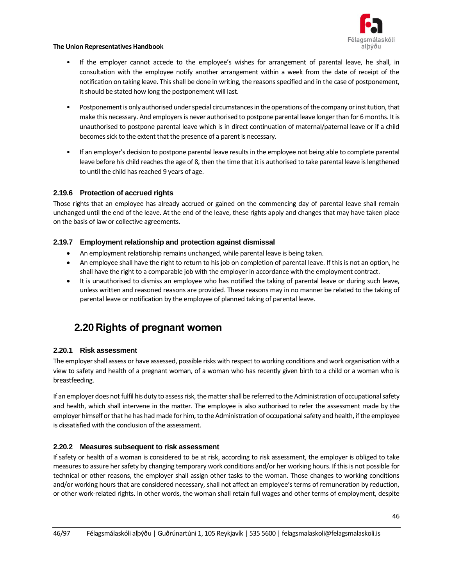

- If the employer cannot accede to the employee's wishes for arrangement of parental leave, he shall, in consultation with the employee notify another arrangement within a week from the date of receipt of the notification on taking leave. This shall be done in writing, the reasons specified and in the case of postponement, it should be stated how long the postponement will last.
- Postponement is only authorised under special circumstances in the operations of the company or institution, that make this necessary. And employers is never authorised to postpone parental leave longer than for 6 months. It is unauthorised to postpone parental leave which is in direct continuation of maternal/paternal leave or if a child becomes sick to the extent that the presence of a parent is necessary.
- If an employer's decision to postpone parental leave results in the employee not being able to complete parental leave before his child reaches the age of 8, then the time that it is authorised to take parental leave is lengthened to until the child has reached 9 years of age.

## **2.19.6 Protection of accrued rights**

Those rights that an employee has already accrued or gained on the commencing day of parental leave shall remain unchanged until the end of the leave. At the end of the leave, these rights apply and changes that may have taken place on the basis of law or collective agreements.

## **2.19.7 Employment relationship and protection against dismissal**

- An employment relationship remains unchanged, while parental leave is being taken.
- An employee shall have the right to return to his job on completion of parental leave. If this is not an option, he shall have the right to a comparable job with the employer in accordance with the employment contract.
- It is unauthorised to dismiss an employee who has notified the taking of parental leave or during such leave, unless written and reasoned reasons are provided. These reasons may in no manner be related to the taking of parental leave or notification by the employee of planned taking of parental leave.

## **2.20 Rights of pregnant women**

### **2.20.1 Risk assessment**

The employer shall assess or have assessed, possible risks with respect to working conditions and work organisation with a view to safety and health of a pregnant woman, of a woman who has recently given birth to a child or a woman who is breastfeeding.

If an employer does not fulfil his duty to assess risk, the matter shall be referred to the Administration of occupational safety and health, which shall intervene in the matter. The employee is also authorised to refer the assessment made by the employer himself or that he has had made for him, to the Administration of occupational safety and health, if the employee is dissatisfied with the conclusion of the assessment.

### **2.20.2 Measures subsequent to risk assessment**

If safety or health of a woman is considered to be at risk, according to risk assessment, the employer is obliged to take measures to assure her safety by changing temporary work conditions and/or her working hours. If this is not possible for technical or other reasons, the employer shall assign other tasks to the woman. Those changes to working conditions and/or working hours that are considered necessary, shall not affect an employee's terms of remuneration by reduction, or other work-related rights. In other words, the woman shall retain full wages and other terms of employment, despite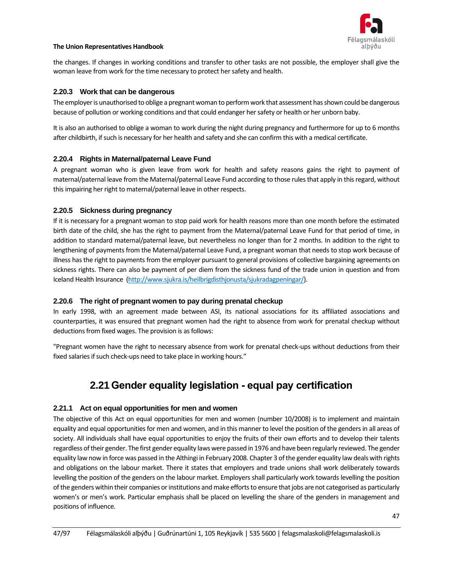

the changes. If changes in working conditions and transfer to other tasks are not possible, the employer shall give the woman leave from work for the time necessary to protect her safety and health.

### **2.20.3 Work that can be dangerous**

The employer is unauthorised to oblige a pregnant woman to perform work that assessment has shown could be dangerous because of pollution or working conditions and that could endanger her safety or health or her unborn baby.

It is also an authorised to oblige a woman to work during the night during pregnancy and furthermore for up to 6 months after childbirth, if such is necessary for her health and safety and she can confirm this with a medical certificate.

### **2.20.4 Rights in Maternal/paternal Leave Fund**

A pregnant woman who is given leave from work for health and safety reasons gains the right to payment of maternal/paternal leave from the Maternal/paternal Leave Fund according to those rules that apply in this regard, without this impairing her right to maternal/paternal leave in other respects.

### **2.20.5 Sickness during pregnancy**

If it is necessary for a pregnant woman to stop paid work for health reasons more than one month before the estimated birth date of the child, she has the right to payment from the Maternal/paternal Leave Fund for that period of time, in addition to standard maternal/paternal leave, but nevertheless no longer than for 2 months. In addition to the right to lengthening of payments from the Maternal/paternal Leave Fund, a pregnant woman that needs to stop work because of illness has the right to payments from the employer pursuant to general provisions of collective bargaining agreements on sickness rights. There can also be payment of per diem from the sickness fund of the trade union in question and from Iceland Health Insurance [\(http://www.sjukra.is/heilbrigdisthjonusta/sjukradagpeningar/\)](http://www.sjukra.is/heilbrigdisthjonusta/sjukradagpeningar/).

### **2.20.6 The right of pregnant women to pay during prenatal checkup**

In early 1998, with an agreement made between ASI, its national associations for its affiliated associations and counterparties, it was ensured that pregnant women had the right to absence from work for prenatal checkup without deductions from fixed wages. The provision is as follows:

"Pregnant women have the right to necessary absence from work for prenatal check-ups without deductions from their fixed salaries if such check-ups need to take place in working hours."

## **2.21Gender equality legislation - equal pay certification**

### **2.21.1 Act on equal opportunities for men and women**

The objective of this Act on equal opportunities for men and women (number 10/2008) is to implement and maintain equality and equal opportunities for men and women, and in this manner to level the position of the genders in all areas of society. All individuals shall have equal opportunities to enjoy the fruits of their own efforts and to develop their talents regardless of their gender. The first gender equality laws were passed in 1976 and have been regularly reviewed. The gender equality law now in force was passed in the Althingi in February 2008. Chapter 3 of the gender equality law deals with rights and obligations on the labour market. There it states that employers and trade unions shall work deliberately towards levelling the position of the genders on the labour market. Employers shall particularly work towards levelling the position of the genders within their companies or institutions and make efforts to ensure that jobs are not categorised as particularly women's or men's work. Particular emphasis shall be placed on levelling the share of the genders in management and positions of influence.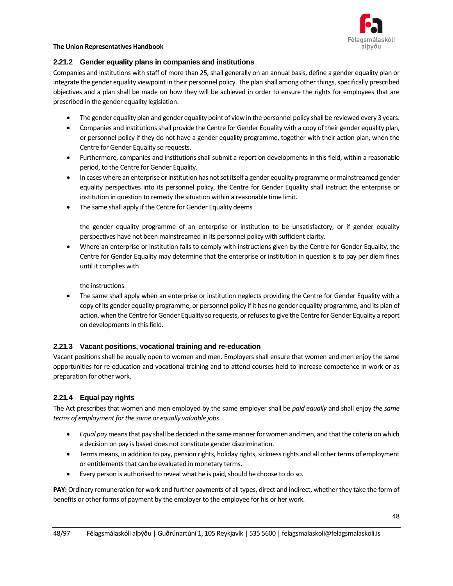

## **2.21.2 Gender equality plans in companies and institutions**

Companies and institutions with staff of more than 25, shall generally on an annual basis, define a gender equality plan or integrate the gender equality viewpoint in their personnel policy. The plan shall among other things, specifically prescribed objectives and a plan shall be made on how they will be achieved in order to ensure the rights for employees that are prescribed in the gender equality legislation.

- The gender equality plan and gender equality point of view in the personnel policy shall be reviewed every 3 years.
- Companies and institutions shall provide the Centre for Gender Equality with a copy of their gender equality plan, or personnel policy if they do not have a gender equality programme, together with their action plan, when the Centre for Gender Equality so requests.
- Furthermore, companies and institutions shall submit a report on developments in this field, within a reasonable period, to the Centre for Gender Equality.
- In cases where an enterprise or institution has not set itself a gender equality programme or mainstreamed gender equality perspectives into its personnel policy, the Centre for Gender Equality shall instruct the enterprise or institution in question to remedy the situation within a reasonable time limit.
- The same shall apply if the Centre for Gender Equality deems

the gender equality programme of an enterprise or institution to be unsatisfactory, or if gender equality perspectives have not been mainstreamed in its personnel policy with sufficient clarity.

• Where an enterprise or institution fails to comply with instructions given by the Centre for Gender Equality, the Centre for Gender Equality may determine that the enterprise or institution in question is to pay per diem fines until it complies with

the instructions.

• The same shall apply when an enterprise or institution neglects providing the Centre for Gender Equality with a copy of its gender equality programme, or personnel policy if it has no gender equality programme, and its plan of action, when the Centre for Gender Equality so requests, or refuses to give the Centre for Gender Equality a report on developments in this field.

## **2.21.3 Vacant positions, vocational training and re-education**

Vacant positions shall be equally open to women and men. Employers shall ensure that women and men enjoy the same opportunities for re-education and vocational training and to attend courses held to increase competence in work or as preparation for other work.

## **2.21.4 Equal pay rights**

The Act prescribes that women and men employed by the same employer shall be *paid equally* and shall enjoy *the same terms of employment for the same or equally valuable jobs*.

- *Equal pay*means that pay shall be decided in the same manner for women and men, and that the criteria on which a decision on pay is based does not constitute gender discrimination.
- Terms means, in addition to pay, pension rights, holiday rights, sickness rights and all other terms of employment or entitlements that can be evaluated in monetary terms.
- Every person is authorised to reveal what he is paid, should he choose to do so.

**PAY:** Ordinary remuneration for work and further payments of all types, direct and indirect, whether they take the form of benefits or other forms of payment by the employer to the employee for his or her work.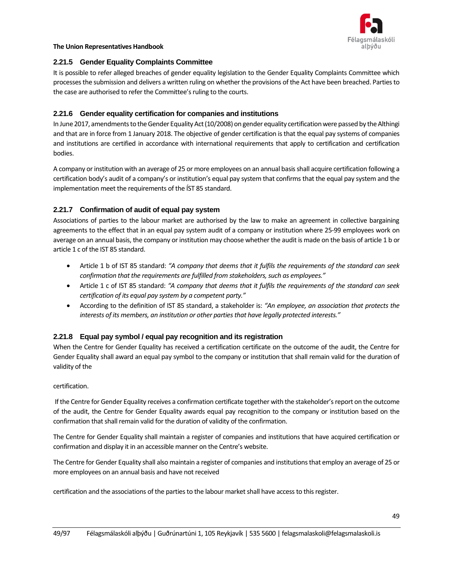

## **2.21.5 Gender Equality Complaints Committee**

It is possible to refer alleged breaches of gender equality legislation to the Gender Equality Complaints Committee which processes the submission and delivers a written ruling on whether the provisions of the Act have been breached. Parties to the case are authorised to refer the Committee's ruling to the courts.

## **2.21.6 Gender equality certification for companies and institutions**

In June 2017, amendments to the Gender Equality Act (10/2008) on gender equality certification were passed by the Althingi and that are in force from 1 January 2018. The objective of gender certification is that the equal pay systems of companies and institutions are certified in accordance with international requirements that apply to certification and certification bodies.

A company or institution with an average of 25 or more employees on an annual basis shall acquire certification following a certification body's audit of a company's or institution's equal pay system that confirms that the equal pay system and the implementation meet the requirements of the ÍST 85 standard.

## **2.21.7 Confirmation of audit of equal pay system**

Associations of parties to the labour market are authorised by the law to make an agreement in collective bargaining agreements to the effect that in an equal pay system audit of a company or institution where 25-99 employees work on average on an annual basis, the company or institution may choose whether the audit is made on the basis of article 1 b or article 1 c of the IST 85 standard.

- Article 1 b of IST 85 standard: *"A company that deems that it fulfils the requirements of the standard can seek confirmation that the requirements are fulfilled from stakeholders, such as employees."*
- Article 1 c of IST 85 standard: *"A company that deems that it fulfils the requirements of the standard can seek certification of its equal pay system by a competent party."*
- According to the definition of IST 85 standard, a stakeholder is: *"An employee, an association that protects the interests of its members, an institution or other parties that have legally protected interests."*

## **2.21.8 Equal pay symbol / equal pay recognition and its registration**

When the Centre for Gender Equality has received a certification certificate on the outcome of the audit, the Centre for Gender Equality shall award an equal pay symbol to the company or institution that shall remain valid for the duration of validity of the

### certification.

If the Centre for Gender Equality receives a confirmation certificate together with the stakeholder's report on the outcome of the audit, the Centre for Gender Equality awards equal pay recognition to the company or institution based on the confirmation that shall remain valid for the duration of validity of the confirmation.

The Centre for Gender Equality shall maintain a register of companies and institutions that have acquired certification or confirmation and display it in an accessible manner on the Centre's website.

The Centre for Gender Equality shall also maintain a register of companies and institutions that employ an average of 25 or more employees on an annual basis and have not received

certification and the associations of the parties to the labour market shall have access to this register.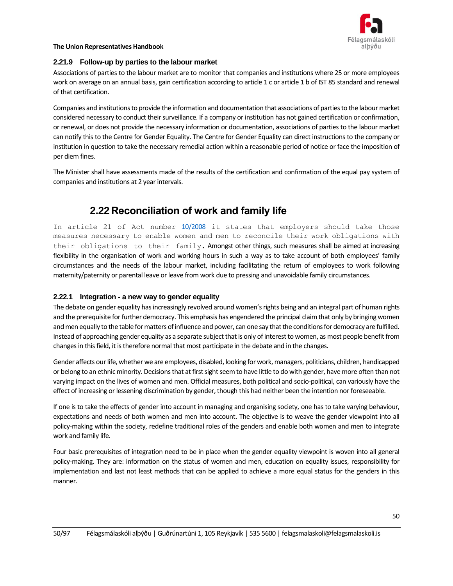

#### **2.21.9 Follow-up by parties to the labour market**

Associations of parties to the labour market are to monitor that companies and institutions where 25 or more employees work on average on an annual basis, gain certification according to article 1 c or article 1 b of IST 85 standard and renewal of that certification.

Companies and institutions to provide the information and documentation that associations of parties to the labour market considered necessary to conduct their surveillance. If a company or institution has not gained certification or confirmation, or renewal, or does not provide the necessary information or documentation, associations of parties to the labour market can notify this to the Centre for Gender Equality. The Centre for Gender Equality can direct instructions to the company or institution in question to take the necessary remedial action within a reasonable period of notice or face the imposition of per diem fines.

The Minister shall have assessments made of the results of the certification and confirmation of the equal pay system of companies and institutions at 2 year intervals.

## **2.22 Reconciliation of work and family life**

In article 21 of Act number  $10/2008$  it states that employers should take those measures necessary to enable women and men to reconcile their work obligations with their obligations to their family. Amongst other things, such measures shall be aimed at increasing flexibility in the organisation of work and working hours in such a way as to take account of both employees' family circumstances and the needs of the labour market, including facilitating the return of employees to work following maternity/paternity or parental leave or leave from work due to pressing and unavoidable family circumstances.

### **2.22.1 Integration - a new way to gender equality**

The debate on gender equality has increasingly revolved around women's rights being and an integral part of human rights and the prerequisite for further democracy. This emphasis has engendered the principal claim that only by bringing women and men equally to the table for matters of influence and power, can one say that the conditions for democracy are fulfilled. Instead of approaching gender equality as a separate subject that is only of interest to women, as most people benefit from changes in this field, it is therefore normal that most participate in the debate and in the changes.

Gender affects our life, whether we are employees, disabled, looking for work, managers, politicians, children, handicapped or belong to an ethnic minority. Decisions that at first sight seem to have little to do with gender, have more often than not varying impact on the lives of women and men. Official measures, both political and socio-political, can variously have the effect of increasing or lessening discrimination by gender, though this had neither been the intention nor foreseeable.

If one is to take the effects of gender into account in managing and organising society, one has to take varying behaviour, expectations and needs of both women and men into account. The objective is to weave the gender viewpoint into all policy-making within the society, redefine traditional roles of the genders and enable both women and men to integrate work and family life.

Four basic prerequisites of integration need to be in place when the gender equality viewpoint is woven into all general policy-making. They are: information on the status of women and men, education on equality issues, responsibility for implementation and last not least methods that can be applied to achieve a more equal status for the genders in this manner.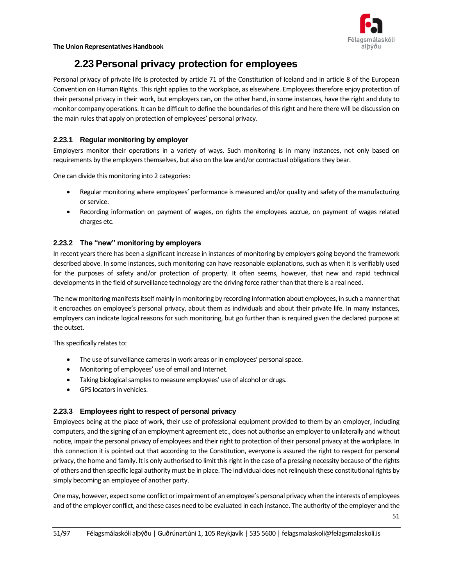

## **2.23Personal privacy protection for employees**

Personal privacy of private life is protected by article 71 of the Constitution of Iceland and in article 8 of the European Convention on Human Rights. This right applies to the workplace, as elsewhere. Employees therefore enjoy protection of their personal privacy in their work, but employers can, on the other hand, in some instances, have the right and duty to monitor company operations. It can be difficult to define the boundaries of this right and here there will be discussion on the main rules that apply on protection of employees' personal privacy.

## **2.23.1 Regular monitoring by employer**

Employers monitor their operations in a variety of ways. Such monitoring is in many instances, not only based on requirements by the employers themselves, but also on the law and/or contractual obligations they bear.

One can divide this monitoring into 2 categories:

- Regular monitoring where employees' performance is measured and/or quality and safety of the manufacturing or service.
- Recording information on payment of wages, on rights the employees accrue, on payment of wages related charges etc.

## **2.23.2 The "new" monitoring by employers**

In recent years there has been a significant increase in instances of monitoring by employers going beyond the framework described above. In some instances, such monitoring can have reasonable explanations, such as when it is verifiably used for the purposes of safety and/or protection of property. It often seems, however, that new and rapid technical developments in the field of surveillance technology are the driving force rather than that there is a real need.

The new monitoring manifests itself mainly in monitoring by recording information about employees, in such a manner that it encroaches on employee's personal privacy, about them as individuals and about their private life. In many instances, employers can indicate logical reasons for such monitoring, but go further than is required given the declared purpose at the outset.

This specifically relates to:

- The use of surveillance cameras in work areas or in employees' personal space.
- Monitoring of employees' use of email and Internet.
- Taking biological samples to measure employees' use of alcohol or drugs.
- GPS locators in vehicles.

## **2.23.3 Employees right to respect of personal privacy**

Employees being at the place of work, their use of professional equipment provided to them by an employer, including computers, and the signing of an employment agreement etc., does not authorise an employer to unilaterally and without notice, impair the personal privacy of employees and their right to protection of their personal privacy at the workplace. In this connection it is pointed out that according to the Constitution, everyone is assured the right to respect for personal privacy, the home and family. It is only authorised to limit this right in the case of a pressing necessity because of the rights of others and then specific legal authority must be in place. The individual does not relinquish these constitutional rights by simply becoming an employee of another party.

One may, however, expect some conflict or impairment of an employee's personal privacy when the interests of employees and of the employer conflict, and these cases need to be evaluated in each instance. The authority of the employer and the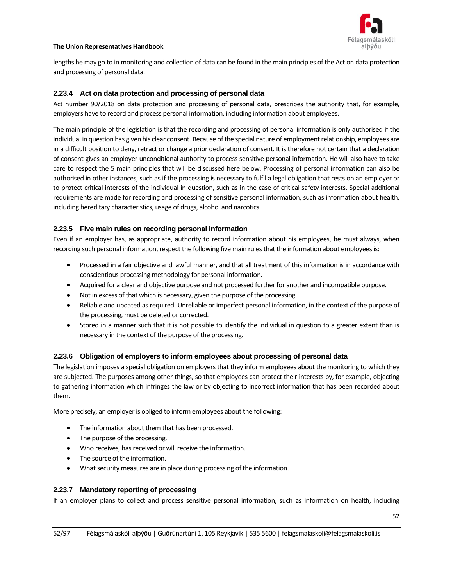

lengths he may go to in monitoring and collection of data can be found in the main principles of the Act on data protection and processing of personal data.

## **2.23.4 Act on data protection and processing of personal data**

Act number 90/2018 on data protection and processing of personal data, prescribes the authority that, for example, employers have to record and process personal information, including information about employees.

The main principle of the legislation is that the recording and processing of personal information is only authorised if the individual in question has given his clear consent. Because of the special nature of employment relationship, employees are in a difficult position to deny, retract or change a prior declaration of consent. It is therefore not certain that a declaration of consent gives an employer unconditional authority to process sensitive personal information. He will also have to take care to respect the 5 main principles that will be discussed here below. Processing of personal information can also be authorised in other instances, such as if the processing is necessary to fulfil a legal obligation that rests on an employer or to protect critical interests of the individual in question, such as in the case of critical safety interests. Special additional requirements are made for recording and processing of sensitive personal information, such as information about health, including hereditary characteristics, usage of drugs, alcohol and narcotics.

## **2.23.5 Five main rules on recording personal information**

Even if an employer has, as appropriate, authority to record information about his employees, he must always, when recording such personal information, respect the following five main rules that the information about employees is:

- Processed in a fair objective and lawful manner, and that all treatment of this information is in accordance with conscientious processing methodology for personal information.
- Acquired for a clear and objective purpose and not processed further for another and incompatible purpose.
- Not in excess of that which is necessary, given the purpose of the processing.
- Reliable and updated as required. Unreliable or imperfect personal information, in the context of the purpose of the processing, must be deleted or corrected.
- Stored in a manner such that it is not possible to identify the individual in question to a greater extent than is necessary in the context of the purpose of the processing.

### **2.23.6 Obligation of employers to inform employees about processing of personal data**

The legislation imposes a special obligation on employers that they inform employees about the monitoring to which they are subjected. The purposes among other things, so that employees can protect their interests by, for example, objecting to gathering information which infringes the law or by objecting to incorrect information that has been recorded about them.

More precisely, an employer is obliged to inform employees about the following:

- The information about them that has been processed.
- The purpose of the processing.
- Who receives, has received or will receive the information.
- The source of the information.
- What security measures are in place during processing of the information.

### **2.23.7 Mandatory reporting of processing**

If an employer plans to collect and process sensitive personal information, such as information on health, including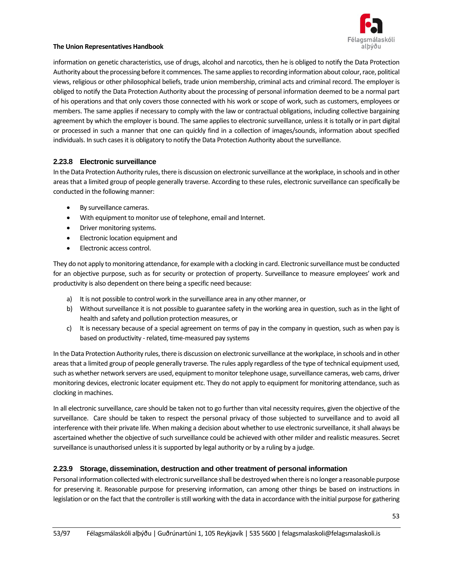

information on genetic characteristics, use of drugs, alcohol and narcotics, then he is obliged to notify the Data Protection Authority about the processing before it commences. The same applies to recording information about colour, race, political views, religious or other philosophical beliefs, trade union membership, criminal acts and criminal record. The employer is obliged to notify the Data Protection Authority about the processing of personal information deemed to be a normal part of his operations and that only covers those connected with his work or scope of work, such as customers, employees or members. The same applies if necessary to comply with the law or contractual obligations, including collective bargaining agreement by which the employer is bound. The same applies to electronic surveillance, unless it is totally or in part digital or processed in such a manner that one can quickly find in a collection of images/sounds, information about specified individuals. In such cases it is obligatory to notify the Data Protection Authority about the surveillance.

## **2.23.8 Electronic surveillance**

In the Data Protection Authority rules, there is discussion on electronic surveillance at the workplace, in schools and in other areas that a limited group of people generally traverse. According to these rules, electronic surveillance can specifically be conducted in the following manner:

- By surveillance cameras.
- With equipment to monitor use of telephone, email and Internet.
- Driver monitoring systems.
- Electronic location equipment and
- Electronic access control.

They do not apply to monitoring attendance, for example with a clocking in card. Electronic surveillance must be conducted for an objective purpose, such as for security or protection of property. Surveillance to measure employees' work and productivity is also dependent on there being a specific need because:

- a) It is not possible to control work in the surveillance area in any other manner, or
- b) Without surveillance it is not possible to guarantee safety in the working area in question, such as in the light of health and safety and pollution protection measures, or
- c) It is necessary because of a special agreement on terms of pay in the company in question, such as when pay is based on productivity - related, time-measured pay systems

In the Data Protection Authority rules, there is discussion on electronic surveillance at the workplace, in schools and in other areas that a limited group of people generally traverse. The rules apply regardless of the type of technical equipment used, such as whether network servers are used, equipment to monitor telephone usage, surveillance cameras, web cams, driver monitoring devices, electronic locater equipment etc. They do not apply to equipment for monitoring attendance, such as clocking in machines.

In all electronic surveillance, care should be taken not to go further than vital necessity requires, given the objective of the surveillance. Care should be taken to respect the personal privacy of those subjected to surveillance and to avoid all interference with their private life. When making a decision about whether to use electronic surveillance, it shall always be ascertained whether the objective of such surveillance could be achieved with other milder and realistic measures. Secret surveillance is unauthorised unless it is supported by legal authority or by a ruling by a judge.

## **2.23.9 Storage, dissemination, destruction and other treatment of personal information**

Personal information collected with electronic surveillance shall be destroyed when there is no longer a reasonable purpose for preserving it. Reasonable purpose for preserving information, can among other things be based on instructions in legislation or on the fact that the controller is still working with the data in accordance with the initial purpose for gathering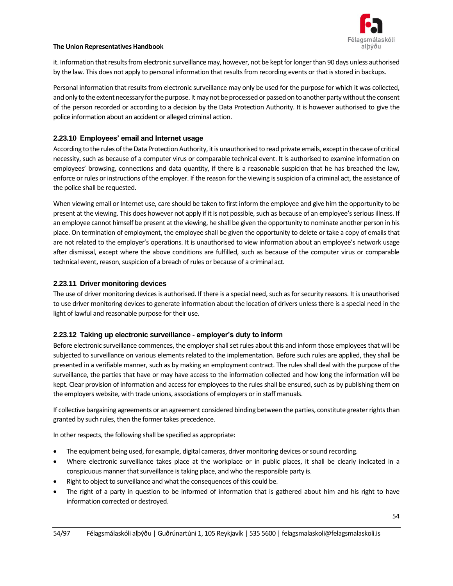

it. Information that results from electronic surveillance may, however, not be kept for longer than 90 days unless authorised by the law. This does not apply to personal information that results from recording events or that is stored in backups.

Personal information that results from electronic surveillance may only be used for the purpose for which it was collected, and only to the extent necessary for the purpose. It may not be processed or passed on to another party without the consent of the person recorded or according to a decision by the Data Protection Authority. It is however authorised to give the police information about an accident or alleged criminal action.

## **2.23.10 Employees' email and Internet usage**

According to the rules of the Data Protection Authority, it is unauthorised to read private emails, except in the case of critical necessity, such as because of a computer virus or comparable technical event. It is authorised to examine information on employees' browsing, connections and data quantity, if there is a reasonable suspicion that he has breached the law, enforce or rules or instructions of the employer. If the reason for the viewing is suspicion of a criminal act, the assistance of the police shall be requested.

When viewing email or Internet use, care should be taken to first inform the employee and give him the opportunity to be present at the viewing. This does however not apply if it is not possible, such as because of an employee's serious illness. If an employee cannot himself be present at the viewing, he shall be given the opportunity to nominate another person in his place. On termination of employment, the employee shall be given the opportunity to delete or take a copy of emails that are not related to the employer's operations. It is unauthorised to view information about an employee's network usage after dismissal, except where the above conditions are fulfilled, such as because of the computer virus or comparable technical event, reason, suspicion of a breach of rules or because of a criminal act.

### **2.23.11 Driver monitoring devices**

The use of driver monitoring devices is authorised. If there is a special need, such as for security reasons. It is unauthorised to use driver monitoring devices to generate information about the location of drivers unless there is a special need in the light of lawful and reasonable purpose for their use.

### **2.23.12 Taking up electronic surveillance - employer's duty to inform**

Before electronic surveillance commences, the employer shall set rules about this and inform those employees that will be subjected to surveillance on various elements related to the implementation. Before such rules are applied, they shall be presented in a verifiable manner, such as by making an employment contract. The rules shall deal with the purpose of the surveillance, the parties that have or may have access to the information collected and how long the information will be kept. Clear provision of information and access for employees to the rules shall be ensured, such as by publishing them on the employers website, with trade unions, associations of employers or in staff manuals.

If collective bargaining agreements or an agreement considered binding between the parties, constitute greater rights than granted by such rules, then the former takes precedence.

In other respects, the following shall be specified as appropriate:

- The equipment being used, for example, digital cameras, driver monitoring devices or sound recording.
- Where electronic surveillance takes place at the workplace or in public places, it shall be clearly indicated in a conspicuous manner that surveillance istaking place, and who the responsible party is.
- Right to object to surveillance and what the consequences of this could be.
- The right of a party in question to be informed of information that is gathered about him and his right to have information corrected or destroyed.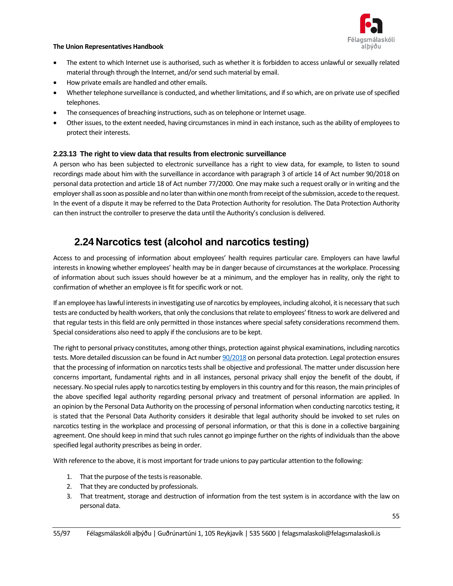

- The extent to which Internet use is authorised, such as whether it is forbidden to access unlawful or sexually related material through through the Internet, and/or send such material by email.
- How private emails are handled and other emails.
- Whether telephone surveillance is conducted, and whether limitations, and if so which, are on private use of specified telephones.
- The consequences of breaching instructions, such as on telephone or Internet usage.
- Other issues, to the extent needed, having circumstances in mind in each instance, such as the ability of employees to protect their interests.

## **2.23.13 The right to view data that results from electronic surveillance**

A person who has been subjected to electronic surveillance has a right to view data, for example, to listen to sound recordings made about him with the surveillance in accordance with paragraph 3 of article 14 of Act number 90/2018 on personal data protection and article 18 of Act number 77/2000. One may make such a request orally or in writing and the employer shall as soon as possible and no later than within one month from receipt of the submission, accede to the request. In the event of a dispute it may be referred to the Data Protection Authority for resolution. The Data Protection Authority can then instruct the controller to preserve the data until the Authority's conclusion is delivered.

## **2.24 Narcotics test (alcohol and narcotics testing)**

Access to and processing of information about employees' health requires particular care. Employers can have lawful interests in knowing whether employees' health may be in danger because of circumstances at the workplace. Processing of information about such issues should however be at a minimum, and the employer has in reality, only the right to confirmation of whether an employee is fit for specific work or not.

If an employee has lawful interests in investigating use of narcotics by employees, including alcohol, it is necessary that such tests are conducted by health workers, that only the conclusions that relate to employees' fitness to work are delivered and that regular tests in this field are only permitted in those instances where special safety considerations recommend them. Special considerations also need to apply if the conclusions are to be kept.

The right to personal privacy constitutes, among other things, protection against physical examinations, including narcotics tests. More detailed discussion can be found in Act numbe[r 90/2018](https://www.althingi.is/lagas/nuna/2018090.html) on personal data protection. Legal protection ensures that the processing of information on narcotics tests shall be objective and professional. The matter under discussion here concerns important, fundamental rights and in all instances, personal privacy shall enjoy the benefit of the doubt, if necessary. No special rules apply to narcotics testing by employers in this country and for this reason, the main principles of the above specified legal authority regarding personal privacy and treatment of personal information are applied. In an [opinion by the Personal Data Authority](http://www.personuvernd.is/efst-a-baugi/urskurdir-og-alit/2013/greinar/nr/1694) on the processing of personal information when conducting narcotics testing, it is stated that the Personal Data Authority considers it desirable that legal authority should be invoked to set rules on narcotics testing in the workplace and processing of personal information, or that this is done in a collective bargaining agreement. One should keep in mind that such rules cannot go impinge further on the rights of individuals than the above specified legal authority prescribes as being in order.

With reference to the above, it is most important for trade unions to pay particular attention to the following:

- 1. That the purpose of the tests is reasonable.
- 2. That they are conducted by professionals.
- 3. That treatment, storage and destruction of information from the test system is in accordance with the law on personal data.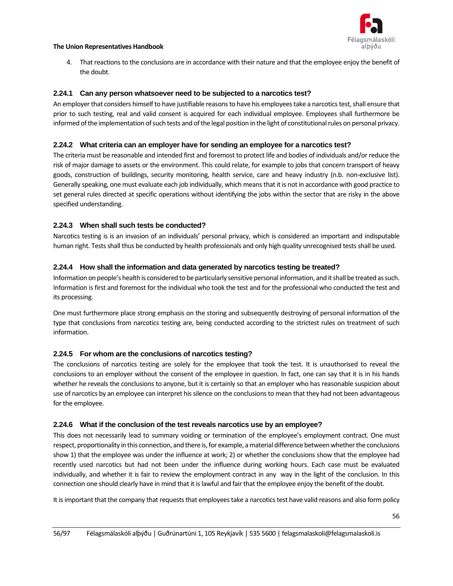

4. That reactions to the conclusions are in accordance with their nature and that the employee enjoy the benefit of the doubt.

### **2.24.1 Can any person whatsoever need to be subjected to a narcotics test?**

An employer that considers himself to have justifiable reasons to have his employees take a narcotics test, shall ensure that prior to such testing, real and valid consent is acquired for each individual employee. Employees shall furthermore be informed of the implementation of such tests and of the legal position in the light of constitutional rules on personal privacy.

## **2.24.2 What criteria can an employer have for sending an employee for a narcotics test?**

The criteria must be reasonable and intended first and foremost to protect life and bodies of individuals and/or reduce the risk of major damage to assets or the environment. This could relate, for example to jobs that concern transport of heavy goods, construction of buildings, security monitoring, health service, care and heavy industry (n.b. non-exclusive list). Generally speaking, one must evaluate each job individually, which means that it is not in accordance with good practice to set general rules directed at specific operations without identifying the jobs within the sector that are risky in the above specified understanding.

## **2.24.3 When shall such tests be conducted?**

Narcotics testing is is an invasion of an individuals' personal privacy, which is considered an important and indisputable human right. Tests shall thus be conducted by health professionals and only high quality unrecognised tests shall be used.

### **2.24.4 How shall the information and data generated by narcotics testing be treated?**

Information on people's health is considered to be particularly sensitive personal information, and it shall be treated as such. Information is first and foremost for the individual who took the test and for the professional who conducted the test and its processing.

One must furthermore place strong emphasis on the storing and subsequently destroying of personal information of the type that conclusions from narcotics testing are, being conducted according to the strictest rules on treatment of such information.

### **2.24.5 For whom are the conclusions of narcotics testing?**

The conclusions of narcotics testing are solely for the employee that took the test. It is unauthorised to reveal the conclusions to an employer without the consent of the employee in question. In fact, one can say that it is in his hands whether he reveals the conclusions to anyone, but it is certainly so that an employer who has reasonable suspicion about use of narcotics by an employee can interpret his silence on the conclusions to mean that they had not been advantageous for the employee.

### **2.24.6 What if the conclusion of the test reveals narcotics use by an employee?**

This does not necessarily lead to summary voiding or termination of the employee's employment contract. One must respect, proportionality in this connection, and there is, for example, a material difference between whether the conclusions show 1) that the employee was under the influence at work; 2) or whether the conclusions show that the employee had recently used narcotics but had not been under the influence during working hours. Each case must be evaluated individually, and whether it is fair to review the employment contract in any way in the light of the conclusion. In this connection one should clearly have in mind that it is lawful and fair that the employee enjoy the benefit of the doubt.

It is important that the company that requests that employees take a narcotics test have valid reasons and also form policy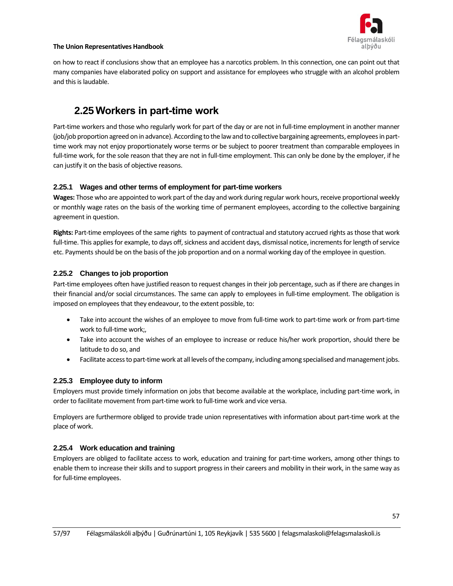

on how to react if conclusions show that an employee has a narcotics problem. In this connection, one can point out that many companies have elaborated policy on support and assistance for employees who struggle with an alcohol problem and this is laudable.

## **2.25Workers in part-time work**

Part-time workers and those who regularly work for part of the day or are not in full-time employment in another manner (job/job proportion agreed on in advance). According to the law and to collective bargaining agreements, employees in parttime work may not enjoy proportionately worse terms or be subject to poorer treatment than comparable employees in full-time work, for the sole reason that they are not in full-time employment. This can only be done by the employer, if he can justify it on the basis of objective reasons.

## **2.25.1 Wages and other terms of employment for part-time workers**

**Wages:** Those who are appointed to work part of the day and work during regular work hours, receive proportional weekly or monthly wage rates on the basis of the working time of permanent employees, according to the collective bargaining agreement in question.

**Rights:** Part-time employees of the same rights to payment of contractual and statutory accrued rights as those that work full-time. This applies for example, to days off, sickness and accident days, dismissal notice, increments for length of service etc. Payments should be on the basis of the job proportion and on a normal working day of the employee in question.

## **2.25.2 Changes to job proportion**

Part-time employees often have justified reason to request changes in their job percentage, such as if there are changes in their financial and/or social circumstances. The same can apply to employees in full-time employment. The obligation is imposed on employees that they endeavour, to the extent possible, to:

- Take into account the wishes of an employee to move from full-time work to part-time work or from part-time work to full-time work;,
- Take into account the wishes of an employee to increase or reduce his/her work proportion, should there be latitude to do so, and
- Facilitate access to part-time work at all levels of the company, including among specialised and management jobs.

## **2.25.3 Employee duty to inform**

Employers must provide timely information on jobs that become available at the workplace, including part-time work, in order to facilitate movement from part-time work to full-time work and vice versa.

Employers are furthermore obliged to provide trade union representatives with information about part-time work at the place of work.

## **2.25.4 Work education and training**

Employers are obliged to facilitate access to work, education and training for part-time workers, among other things to enable them to increase their skills and to support progress in their careers and mobility in their work, in the same way as for full-time employees.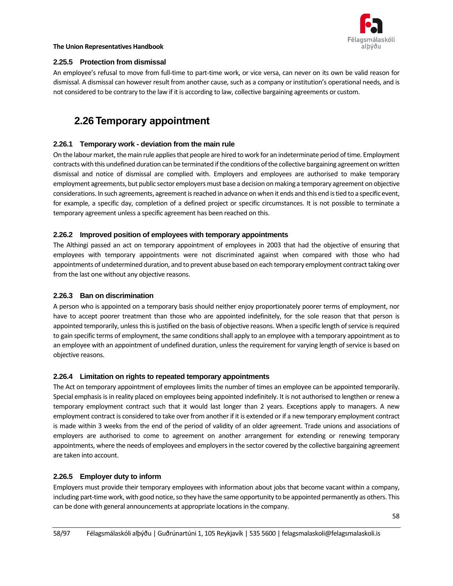

## **2.25.5 Protection from dismissal**

An employee's refusal to move from full-time to part-time work, or vice versa, can never on its own be valid reason for dismissal. A dismissal can however result from another cause, such as a company or institution's operational needs, and is not considered to be contrary to the law if it is according to law, collective bargaining agreements or custom.

## **2.26 Temporary appointment**

## **2.26.1 Temporary work - deviation from the main rule**

On the labour market, the main rule applies that people are hired to work for an indeterminate period of time. Employment contracts with this undefined duration can be terminated if the conditions of the collective bargaining agreement on written dismissal and notice of dismissal are complied with. Employers and employees are authorised to make temporary employment agreements, but public sector employers must base a decision on making a temporary agreement on objective considerations. In such agreements, agreement is reached in advance on when it ends and this end is tied to a specific event, for example, a specific day, completion of a defined project or specific circumstances. It is not possible to terminate a temporary agreement unless a specific agreement has been reached on this.

## **2.26.2 Improved position of employees with temporary appointments**

The Althingi passed an act on temporary appointment of employees in 2003 that had the objective of ensuring that employees with temporary appointments were not discriminated against when compared with those who had appointments of undetermined duration, and to prevent abuse based on each temporary employment contract taking over from the last one without any objective reasons.

### **2.26.3 Ban on discrimination**

A person who is appointed on a temporary basis should neither enjoy proportionately poorer terms of employment, nor have to accept poorer treatment than those who are appointed indefinitely, for the sole reason that that person is appointed temporarily, unless this is justified on the basis of objective reasons. When a specific length of service is required to gain specific terms of employment, the same conditions shall apply to an employee with a temporary appointment as to an employee with an appointment of undefined duration, unless the requirement for varying length of service is based on objective reasons.

### **2.26.4 Limitation on rights to repeated temporary appointments**

The Act on temporary appointment of employees limits the number of times an employee can be appointed temporarily. Special emphasis is in reality placed on employees being appointed indefinitely. It is not authorised to lengthen or renew a temporary employment contract such that it would last longer than 2 years. Exceptions apply to managers. A new employment contract is considered to take over from another if it is extended or if a new temporary employment contract is made within 3 weeks from the end of the period of validity of an older agreement. Trade unions and associations of employers are authorised to come to agreement on another arrangement for extending or renewing temporary appointments, where the needs of employees and employers in the sector covered by the collective bargaining agreement are taken into account.

### **2.26.5 Employer duty to inform**

Employers must provide their temporary employees with information about jobs that become vacant within a company, including part-time work, with good notice, so they have the same opportunity to be appointed permanently as others. This can be done with general announcements at appropriate locations in the company.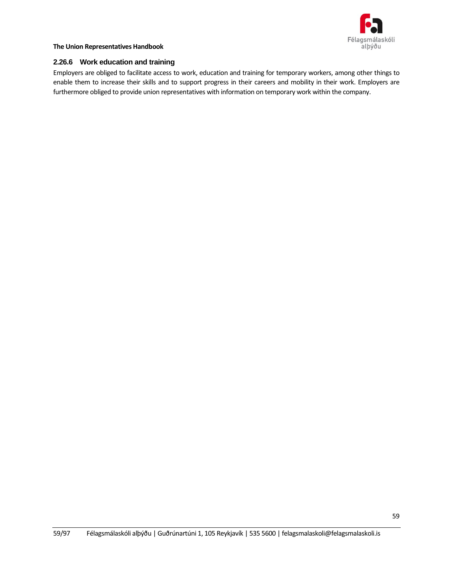

### **2.26.6 Work education and training**

Employers are obliged to facilitate access to work, education and training for temporary workers, among other things to enable them to increase their skills and to support progress in their careers and mobility in their work. Employers are furthermore obliged to provide union representatives with information on temporary work within the company.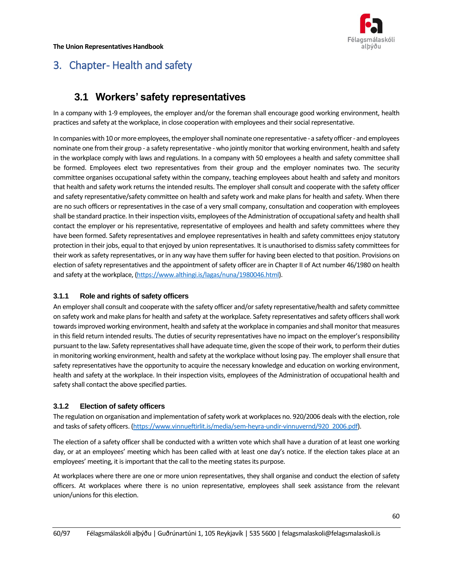

# 3. Chapter-Health and safety

## **3.1 Workers' safety representatives**

In a company with 1-9 employees, the employer and/or the foreman shall encourage good working environment, health practices and safety at the workplace, in close cooperation with employees and their social representative.

In companies with 10 or more employees, the employer shall nominate one representative - a safety officer - and employees nominate one from their group - a safety representative - who jointly monitor that working environment, health and safety in the workplace comply with laws and regulations. In a company with 50 employees a health and safety committee shall be formed. Employees elect two representatives from their group and the employer nominates two. The security committee organises occupational safety within the company, teaching employees about health and safety and monitors that health and safety work returns the intended results. The employer shall consult and cooperate with the safety officer and safety representative/safety committee on health and safety work and make plans for health and safety. When there are no such officers or representatives in the case of a very small company, consultation and cooperation with employees shall be standard practice. In their inspection visits, employees of the Administration of occupational safety and health shall contact the employer or his representative, representative of employees and health and safety committees where they have been formed. Safety representatives and employee representatives in health and safety committees enjoy statutory protection in their jobs, equal to that enjoyed by union representatives. It is unauthorised to dismiss safety committees for their work as safety representatives, or in any way have them suffer for having been elected to that position. Provisions on election of safety representatives and the appointment of safety officer are in Chapter II of Act number 46/1980 on health and safety at the workplace, [\(https://www.althingi.is/lagas/nuna/1980046.html\)](https://www.althingi.is/lagas/nuna/1980046.html).

## **3.1.1 Role and rights of safety officers**

An employer shall consult and cooperate with the safety officer and/or safety representative/health and safety committee on safety work and make plans for health and safety at the workplace. Safety representatives and safety officers shall work towards improved working environment, health and safety at the workplace in companies and shall monitor that measures in this field return intended results. The duties of security representatives have no impact on the employer's responsibility pursuant to the law. Safety representatives shall have adequate time, given the scope of their work, to perform their duties in monitoring working environment, health and safety at the workplace without losing pay. The employer shall ensure that safety representatives have the opportunity to acquire the necessary knowledge and education on working environment, health and safety at the workplace. In their inspection visits, employees of the Administration of occupational health and safety shall contact the above specified parties.

## **3.1.2 Election of safety officers**

The regulation on organisation and implementation of safety work at workplaces no. 920/2006 deals with the election, role and tasks of safety officers. [\(https://www.vinnueftirlit.is/media/sem-heyra-undir-vinnuvernd/920\\_2006.pdf\)](https://www.vinnueftirlit.is/media/sem-heyra-undir-vinnuvernd/920_2006.pdf).

The election of a safety officer shall be conducted with a written vote which shall have a duration of at least one working day, or at an employees' meeting which has been called with at least one day's notice. If the election takes place at an employees' meeting, it is important that the call to the meeting states its purpose.

At workplaces where there are one or more union representatives, they shall organise and conduct the election of safety officers. At workplaces where there is no union representative, employees shall seek assistance from the relevant union/unions for this election.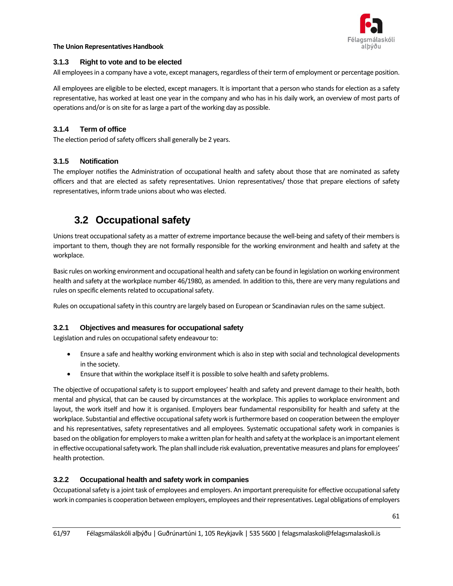

## **3.1.3 Right to vote and to be elected**

All employees in a company have a vote, except managers, regardless of their term of employment or percentage position.

All employees are eligible to be elected, except managers. It is important that a person who stands for election as a safety representative, has worked at least one year in the company and who has in his daily work, an overview of most parts of operations and/or is on site for as large a part of the working day as possible.

## **3.1.4 Term of office**

The election period of safety officers shall generally be 2 years.

## **3.1.5 Notification**

The employer notifies the Administration of occupational health and safety about those that are nominated as safety officers and that are elected as safety representatives. Union representatives/ those that prepare elections of safety representatives, inform trade unions about who was elected.

## **3.2 Occupational safety**

Unions treat occupational safety as a matter of extreme importance because the well-being and safety of their membersis important to them, though they are not formally responsible for the working environment and health and safety at the workplace.

Basic rules on working environment and occupational health and safety can be found in legislation on working environment health and safety at the workplace number 46/1980, as amended. In addition to this, there are very many regulations and rules on specific elements related to occupational safety.

Rules on occupational safety in this country are largely based on European or Scandinavian rules on the same subject.

## **3.2.1 Objectives and measures for occupational safety**

Legislation and rules on occupational safety endeavour to:

- Ensure a safe and healthy working environment which is also in step with social and technological developments in the society.
- Ensure that within the workplace itself it is possible to solve health and safety problems.

The objective of occupational safety is to support employees' health and safety and prevent damage to their health, both mental and physical, that can be caused by circumstances at the workplace. This applies to workplace environment and layout, the work itself and how it is organised. Employers bear fundamental responsibility for health and safety at the workplace. Substantial and effective occupational safety work is furthermore based on cooperation between the employer and his representatives, safety representatives and all employees. Systematic occupational safety work in companies is based on the obligation for employers to make a written plan for health and safety at the workplace is an important element in effective occupational safety work. The plan shall include risk evaluation, preventative measures and plans for employees' health protection.

## **3.2.2 Occupational health and safety work in companies**

Occupational safety is a joint task of employees and employers. An important prerequisite for effective occupational safety work in companies is cooperation between employers, employees and their representatives. Legal obligations of employers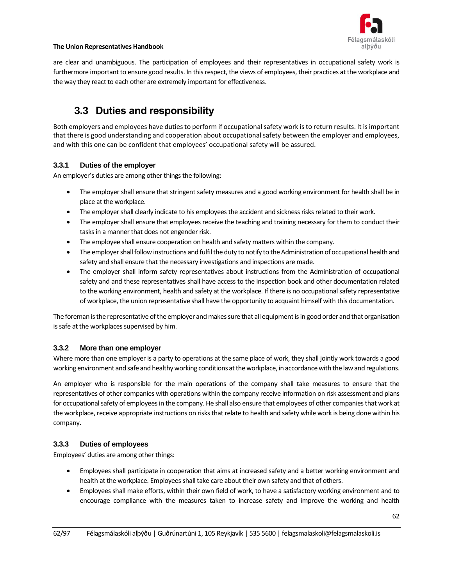

are clear and unambiguous. The participation of employees and their representatives in occupational safety work is furthermore important to ensure good results. In this respect, the views of employees, their practices at the workplace and the way they react to each other are extremely important for effectiveness.

## **3.3 Duties and responsibility**

Both employers and employees have duties to perform if occupational safety work is to return results. It is important that there is good understanding and cooperation about occupational safety between the employer and employees, and with this one can be confident that employees' occupational safety will be assured.

## **3.3.1 Duties of the employer**

An employer's duties are among other things the following:

- The employer shall ensure that stringent safety measures and a good working environment for health shall be in place at the workplace.
- The employer shall clearly indicate to his employees the accident and sickness risks related to their work.
- The employer shall ensure that employees receive the teaching and training necessary for them to conduct their tasks in a manner that does not engender risk.
- The employee shall ensure cooperation on health and safety matters within the company.
- The employer shall follow instructions and fulfil the duty to notify to the Administration of occupational health and safety and shall ensure that the necessary investigations and inspections are made.
- The employer shall inform safety representatives about instructions from the Administration of occupational safety and and these representatives shall have access to the inspection book and other documentation related to the working environment, health and safety at the workplace. If there is no occupational safety representative of workplace, the union representative shall have the opportunity to acquaint himself with this documentation.

The foreman is the representative of the employer and makes sure that all equipment is in good order and that organisation is safe at the workplaces supervised by him.

## **3.3.2 More than one employer**

Where more than one employer is a party to operations at the same place of work, they shall jointly work towards a good working environment and safe and healthy working conditions at the workplace, in accordance with the law and regulations.

An employer who is responsible for the main operations of the company shall take measures to ensure that the representatives of other companies with operations within the company receive information on risk assessment and plans for occupational safety of employees in the company. He shall also ensure that employees of other companies that work at the workplace, receive appropriate instructions on risks that relate to health and safety while work is being done within his company.

## **3.3.3 Duties of employees**

Employees' duties are among other things:

- Employees shall participate in cooperation that aims at increased safety and a better working environment and health at the workplace. Employees shall take care about their own safety and that of others.
- Employees shall make efforts, within their own field of work, to have a satisfactory working environment and to encourage compliance with the measures taken to increase safety and improve the working and health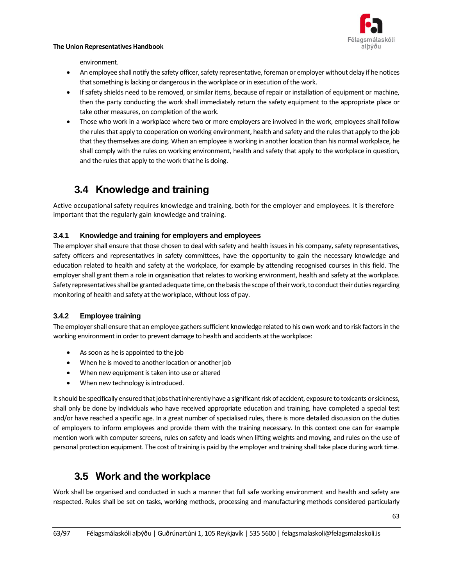

environment.

- An employee shall notify the safety officer, safety representative, foreman or employer without delay if he notices that something is lacking or dangerous in the workplace or in execution of the work.
- If safety shields need to be removed, or similar items, because of repair or installation of equipment or machine, then the party conducting the work shall immediately return the safety equipment to the appropriate place or take other measures, on completion of the work.
- Those who work in a workplace where two or more employers are involved in the work, employees shall follow the rules that apply to cooperation on working environment, health and safety and the rules that apply to the job that they themselves are doing. When an employee is working in another location than his normal workplace, he shall comply with the rules on working environment, health and safety that apply to the workplace in question, and the rules that apply to the work that he is doing.

## **3.4 Knowledge and training**

Active occupational safety requires knowledge and training, both for the employer and employees. It is therefore important that the regularly gain knowledge and training.

## **3.4.1 Knowledge and training for employers and employees**

The employer shall ensure that those chosen to deal with safety and health issues in his company, safety representatives, safety officers and representatives in safety committees, have the opportunity to gain the necessary knowledge and education related to health and safety at the workplace, for example by attending recognised courses in this field. The employer shall grant them a role in organisation that relates to working environment, health and safety at the workplace. Safety representatives shall be granted adequate time, on the basis the scope of their work, to conduct their duties regarding monitoring of health and safety at the workplace, without loss of pay.

## **3.4.2 Employee training**

The employer shall ensure that an employee gathers sufficient knowledge related to his own work and to risk factors in the working environment in order to prevent damage to health and accidents at the workplace:

- As soon as he is appointed to the job
- When he is moved to another location or another job
- When new equipment is taken into use or altered
- When new technology is introduced.

It should be specifically ensured that jobs that inherently have a significant risk of accident, exposure to toxicants or sickness, shall only be done by individuals who have received appropriate education and training, have completed a special test and/or have reached a specific age. In a great number of specialised rules, there is more detailed discussion on the duties of employers to inform employees and provide them with the training necessary. In this context one can for example mention work with computer screens, rules on safety and loads when lifting weights and moving, and rules on the use of personal protection equipment. The cost of training is paid by the employer and training shall take place during work time.

## **3.5 Work and the workplace**

Work shall be organised and conducted in such a manner that full safe working environment and health and safety are respected. Rules shall be set on tasks, working methods, processing and manufacturing methods considered particularly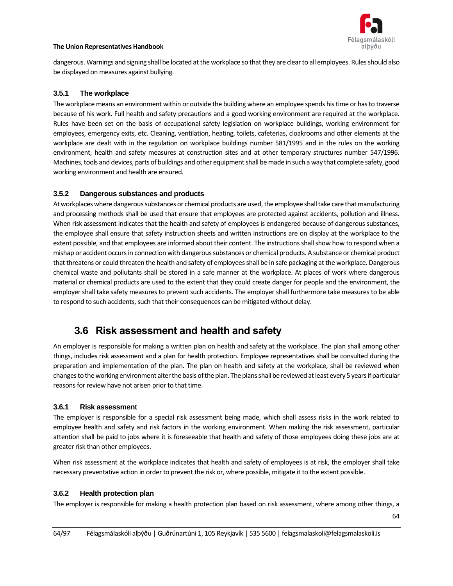

dangerous. Warnings and signing shall be located at the workplace so that they are clear to all employees. Rules should also be displayed on measures against bullying.

## **3.5.1 The workplace**

The workplace means an environment within or outside the building where an employee spends his time or has to traverse because of his work. Full health and safety precautions and a good working environment are required at the workplace. Rules have been set on the basis of occupational safety legislation on workplace buildings, working environment for employees, emergency exits, etc. Cleaning, ventilation, heating, toilets, cafeterias, cloakrooms and other elements at the workplace are dealt with in the regulation on workplace buildings number 581/1995 and in the rules on the working environment, health and safety measures at construction sites and at other temporary structures number 547/1996. Machines, tools and devices, parts of buildings and other equipment shall be made in such a way that complete safety, good working environment and health are ensured.

## **3.5.2 Dangerous substances and products**

At workplaces where dangerous substances or chemical products are used, the employee shall take care that manufacturing and processing methods shall be used that ensure that employees are protected against accidents, pollution and illness. When risk assessment indicates that the health and safety of employees is endangered because of dangerous substances, the employee shall ensure that safety instruction sheets and written instructions are on display at the workplace to the extent possible, and that employees are informed about their content. The instructions shall show how to respond when a mishap or accident occurs in connection with dangerous substances or chemical products. A substance or chemical product that threatens or could threaten the health and safety of employees shall be in safe packaging at the workplace. Dangerous chemical waste and pollutants shall be stored in a safe manner at the workplace. At places of work where dangerous material or chemical products are used to the extent that they could create danger for people and the environment, the employer shall take safety measures to prevent such accidents. The employer shall furthermore take measures to be able to respond to such accidents, such that their consequences can be mitigated without delay.

## **3.6 Risk assessment and health and safety**

An employer is responsible for making a written plan on health and safety at the workplace. The plan shall among other things, includes risk assessment and a plan for health protection. Employee representatives shall be consulted during the preparation and implementation of the plan. The plan on health and safety at the workplace, shall be reviewed when changes to the working environment alter the basis of the plan. The plans shall be reviewed at least every 5 years if particular reasons for review have not arisen prior to that time.

### **3.6.1 Risk assessment**

The employer is responsible for a special risk assessment being made, which shall assess risks in the work related to employee health and safety and risk factors in the working environment. When making the risk assessment, particular attention shall be paid to jobs where it is foreseeable that health and safety of those employees doing these jobs are at greater risk than other employees.

When risk assessment at the workplace indicates that health and safety of employees is at risk, the employer shall take necessary preventative action in order to prevent the risk or, where possible, mitigate it to the extent possible.

### **3.6.2 Health protection plan**

The employer is responsible for making a health protection plan based on risk assessment, where among other things, a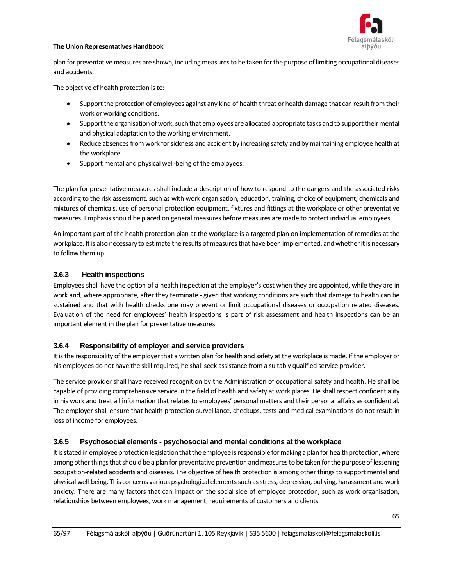

plan for preventative measures are shown, including measures to be taken for the purpose of limiting occupational diseases and accidents.

The objective of health protection is to:

- Support the protection of employees against any kind of health threat or health damage that can result from their work or working conditions.
- Support the organisation of work, such that employees are allocated appropriate tasks and to support their mental and physical adaptation to the working environment.
- Reduce absences from work for sickness and accident by increasing safety and by maintaining employee health at the workplace.
- Support mental and physical well-being of the employees.

The plan for preventative measures shall include a description of how to respond to the dangers and the associated risks according to the risk assessment, such as with work organisation, education, training, choice of equipment, chemicals and mixtures of chemicals, use of personal protection equipment, fixtures and fittings at the workplace or other preventative measures. Emphasis should be placed on general measures before measures are made to protect individual employees.

An important part of the health protection plan at the workplace is a targeted plan on implementation of remedies at the workplace. It is also necessary to estimate the results of measures that have been implemented, and whether it is necessary to follow them up.

## **3.6.3 Health inspections**

Employees shall have the option of a health inspection at the employer's cost when they are appointed, while they are in work and, where appropriate, after they terminate - given that working conditions are such that damage to health can be sustained and that with health checks one may prevent or limit occupational diseases or occupation related diseases. Evaluation of the need for employees' health inspections is part of risk assessment and health inspections can be an important element in the plan for preventative measures.

### **3.6.4 Responsibility of employer and service providers**

It is the responsibility of the employer that a written plan for health and safety at the workplace is made. If the employer or his employees do not have the skill required, he shall seek assistance from a suitably qualified service provider.

The service provider shall have received recognition by the Administration of occupational safety and health. He shall be capable of providing comprehensive service in the field of health and safety at work places. He shall respect confidentiality in his work and treat all information that relates to employees' personal matters and their personal affairs as confidential. The employer shall ensure that health protection surveillance, checkups, tests and medical examinations do not result in loss of income for employees.

### **3.6.5 Psychosocial elements - psychosocial and mental conditions at the workplace**

It is stated in employee protection legislation that the employee is responsible for making a plan for health protection, where among other things that should be a plan for preventative prevention and measures to be taken for the purpose of lessening occupation-related accidents and diseases. The objective of health protection is among other things to support mental and physical well-being. This concerns various psychological elements such as stress, depression, bullying, harassment and work anxiety. There are many factors that can impact on the social side of employee protection, such as work organisation, relationships between employees, work management, requirements of customers and clients.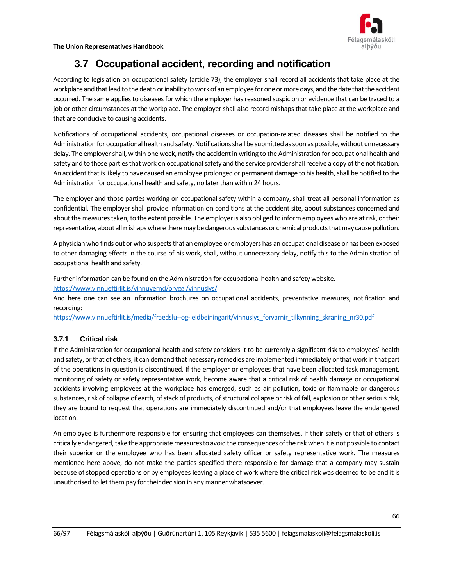Félagsmálaskóli alþýðu

**The Union Representatives Handbook**

## **3.7 Occupational accident, recording and notification**

According to legislation on occupational safety (article 73), the employer shall record all accidents that take place at the workplace and that lead to the death or inability to work of an employee for one or more days, and the date that the accident occurred. The same applies to diseases for which the employer has reasoned suspicion or evidence that can be traced to a job or other circumstances at the workplace. The employer shall also record mishaps that take place at the workplace and that are conducive to causing accidents.

Notifications of occupational accidents, occupational diseases or occupation-related diseases shall be notified to the Administration for occupational health and safety. Notifications shall be submitted as soon as possible, without unnecessary delay. The employer shall, within one week, notify the accident in writing to the Administration for occupational health and safety and to those parties that work on occupational safety and the service provider shall receive a copy of the notification. An accident that is likely to have caused an employee prolonged or permanent damage to his health, shall be notified to the Administration for occupational health and safety, no later than within 24 hours.

The employer and those parties working on occupational safety within a company, shall treat all personal information as confidential. The employer shall provide information on conditions at the accident site, about substances concerned and about the measures taken, to the extent possible. The employer is also obliged to inform employees who are at risk, or their representative, about all mishaps where there may be dangerous substances or chemical products that may cause pollution.

A physician who finds out or who suspects that an employee or employers has an occupational disease or has been exposed to other damaging effects in the course of his work, shall, without unnecessary delay, notify this to the Administration of occupational health and safety.

Further information can be found on the Administration for occupational health and safety website.

<https://www.vinnueftirlit.is/vinnuvernd/oryggi/vinnuslys/>

And here one can see an information brochures on occupational accidents, preventative measures, notification and recording:

[https://www.vinnueftirlit.is/media/fraedslu--og-leidbeiningarit/vinnuslys\\_forvarnir\\_tilkynning\\_skraning\\_nr30.pdf](https://www.vinnueftirlit.is/media/fraedslu--og-leidbeiningarit/vinnuslys_forvarnir_tilkynning_skraning_nr30.pdf)

## **3.7.1 Critical risk**

If the Administration for occupational health and safety considers it to be currently a significant risk to employees' health and safety, or that of others, it can demand that necessary remedies are implemented immediately or that work in that part of the operations in question is discontinued. If the employer or employees that have been allocated task management, monitoring of safety or safety representative work, become aware that a critical risk of health damage or occupational accidents involving employees at the workplace has emerged, such as air pollution, toxic or flammable or dangerous substances, risk of collapse of earth, of stack of products, of structural collapse or risk of fall, explosion or other serious risk, they are bound to request that operations are immediately discontinued and/or that employees leave the endangered location.

An employee is furthermore responsible for ensuring that employees can themselves, if their safety or that of others is critically endangered, take the appropriate measures to avoid the consequences of the risk when it is not possible to contact their superior or the employee who has been allocated safety officer or safety representative work. The measures mentioned here above, do not make the parties specified there responsible for damage that a company may sustain because of stopped operations or by employees leaving a place of work where the critical risk was deemed to be and it is unauthorised to let them pay for their decision in any manner whatsoever.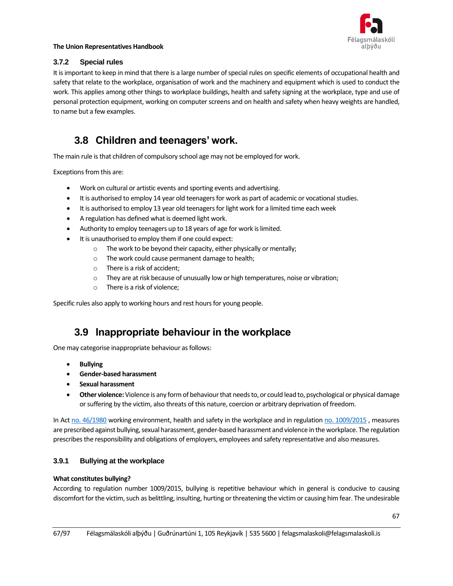

## **3.7.2 Special rules**

It is important to keep in mind that there is a large number of special rules on specific elements of occupational health and safety that relate to the workplace, organisation of work and the machinery and equipment which is used to conduct the work. This applies among other things to workplace buildings, health and safety signing at the workplace, type and use of personal protection equipment, working on computer screens and on health and safety when heavy weights are handled, to name but a few examples.

## **3.8 Children and teenagers' work.**

The main rule is that children of compulsory school age may not be employed for work.

Exceptions from this are:

- Work on cultural or artistic events and sporting events and advertising.
- It is authorised to employ 14 year old teenagers for work as part of academic or vocational studies.
- It is authorised to employ 13 year old teenagers for light work for a limited time each week
- A regulation has defined what is deemed light work.
- Authority to employ teenagers up to 18 years of age for work is limited.
- It is unauthorised to employ them if one could expect:
	- o The work to be beyond their capacity, either physically or mentally;
	- o The work could cause permanent damage to health;
	- o There is a risk of accident;
	- $\circ$  They are at risk because of unusually low or high temperatures, noise or vibration;
	- o There is a risk of violence;

Specific rules also apply to working hours and rest hours for young people.

## **3.9 Inappropriate behaviour in the workplace**

One may categorise inappropriate behaviour as follows:

- **Bullying**
- **Gender-based harassment**
- **Sexual harassment**
- **Other violence:** Violence is any form of behaviour that needs to, or could lead to, psychological or physical damage or suffering by the victim, also threats of this nature, coercion or arbitrary deprivation of freedom.

In Ac[t no. 46/1980](https://www.althingi.is/lagas/nuna/1980046.html) working environment, health and safety in the workplace and in regulatio[n no. 1009/2015](https://www.reglugerd.is/reglugerdir/eftir-raduneytum/felagsmalaraduneyti/nr/19859) , measures are prescribed against bullying, sexual harassment, gender-based harassment and violence in the workplace. The regulation prescribes the responsibility and obligations of employers, employees and safety representative and also measures.

## **3.9.1 Bullying at the workplace**

### **What constitutes bullying?**

According to regulation number 1009/2015, bullying is repetitive behaviour which in general is conducive to causing discomfort for the victim, such as belittling, insulting, hurting or threatening the victim or causing him fear. The undesirable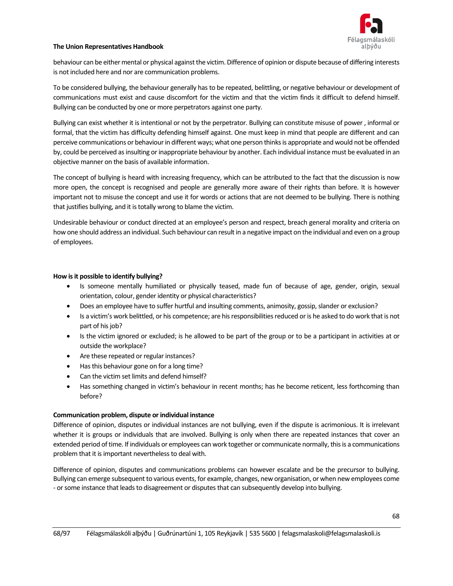

behaviour can be either mental or physical against the victim. Difference of opinion or dispute because of differing interests is not included here and nor are communication problems.

To be considered bullying, the behaviour generally has to be repeated, belittling, or negative behaviour or development of communications must exist and cause discomfort for the victim and that the victim finds it difficult to defend himself. Bullying can be conducted by one or more perpetrators against one party.

Bullying can exist whether it is intentional or not by the perpetrator. Bullying can constitute misuse of power , informal or formal, that the victim has difficulty defending himself against. One must keep in mind that people are different and can perceive communications or behaviour in different ways; what one person thinks is appropriate and would not be offended by, could be perceived as insulting or inappropriate behaviour by another. Each individual instance must be evaluated in an objective manner on the basis of available information.

The concept of bullying is heard with increasing frequency, which can be attributed to the fact that the discussion is now more open, the concept is recognised and people are generally more aware of their rights than before. It is however important not to misuse the concept and use it for words or actions that are not deemed to be bullying. There is nothing that justifies bullying, and it is totally wrong to blame the victim.

Undesirable behaviour or conduct directed at an employee's person and respect, breach general morality and criteria on how one should address an individual. Such behaviour can result in a negative impact on the individual and even on a group of employees.

#### **How is it possible to identify bullying?**

- Is someone mentally humiliated or physically teased, made fun of because of age, gender, origin, sexual orientation, colour, gender identity or physical characteristics?
- Does an employee have to suffer hurtful and insulting comments, animosity, gossip, slander or exclusion?
- Is a victim's work belittled, or his competence; are his responsibilities reduced or is he asked to do work that is not part of his job?
- Is the victim ignored or excluded; is he allowed to be part of the group or to be a participant in activities at or outside the workplace?
- Are these repeated or regular instances?
- Has this behaviour gone on for a long time?
- Can the victim set limits and defend himself?
- Has something changed in victim's behaviour in recent months; has he become reticent, less forthcoming than before?

### **Communication problem, dispute or individual instance**

Difference of opinion, disputes or individual instances are not bullying, even if the dispute is acrimonious. It is irrelevant whether it is groups or individuals that are involved. Bullying is only when there are repeated instances that cover an extended period of time. If individuals or employees can work together or communicate normally, this is a communications problem that it is important nevertheless to deal with.

Difference of opinion, disputes and communications problems can however escalate and be the precursor to bullying. Bullying can emerge subsequent to various events, for example, changes, new organisation, or when new employees come - or some instance that leads to disagreement or disputes that can subsequently develop into bullying.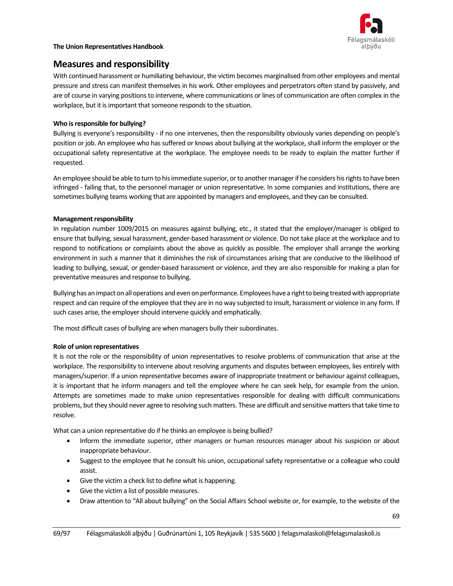

## **Measures and responsibility**

With continued harassment or humiliating behaviour, the victim becomes marginalised from other employees and mental pressure and stress can manifest themselves in his work. Other employees and perpetrators often stand by passively, and are of course in varying positions to intervene, where communications or lines of communication are often complex in the workplace, but it is important that someone responds to the situation.

### **Who is responsible for bullying?**

Bullying is everyone's responsibility - if no one intervenes, then the responsibility obviously varies depending on people's position or job. An employee who has suffered or knows about bullying at the workplace, shall inform the employer or the occupational safety representative at the workplace. The employee needs to be ready to explain the matter further if requested.

An employee should be able to turn to his immediate superior, or to another manager if he considers his rights to have been infringed - failing that, to the personnel manager or union representative. In some companies and institutions, there are sometimes bullying teams working that are appointed by managers and employees, and they can be consulted.

## **Management responsibility**

In regulation number 1009/2015 on measures against bullying, etc., it stated that the employer/manager is obliged to ensure that bullying, sexual harassment, gender-based harassment or violence. Do not take place at the workplace and to respond to notifications or complaints about the above as quickly as possible. The employer shall arrange the working environment in such a manner that it diminishes the risk of circumstances arising that are conducive to the likelihood of leading to bullying, sexual, or gender-based harassment or violence, and they are also responsible for making a plan for preventative measures and response to bullying.

Bullying has an impact on all operations and even on performance. Employees have a right to being treated with appropriate respect and can require of the employee that they are in no way subjected to insult, harassment or violence in any form. If such cases arise, the employer should intervene quickly and emphatically.

The most difficult cases of bullying are when managers bully their subordinates.

### **Role of union representatives**

It is not the role or the responsibility of union representatives to resolve problems of communication that arise at the workplace. The responsibility to intervene about resolving arguments and disputes between employees, lies entirely with managers/superior. If a union representative becomes aware of inappropriate treatment or behaviour against colleagues, it is important that he inform managers and tell the employee where he can seek help, for example from the union. Attempts are sometimes made to make union representatives responsible for dealing with difficult communications problems, but they should never agree to resolving such matters. These are difficult and sensitive matters that take time to resolve.

What can a union representative do if he thinks an employee is being bullied?

- Inform the immediate superior, other managers or human resources manager about his suspicion or about inappropriate behaviour.
- Suggest to the employee that he consult his union, occupational safety representative or a colleague who could assist.
- Give the victim a check list to define what is happening.
- Give the victim a list of possible measures.
- Draw attention to "All about bullying" on the Social Affairs School website or, for example, to the website of the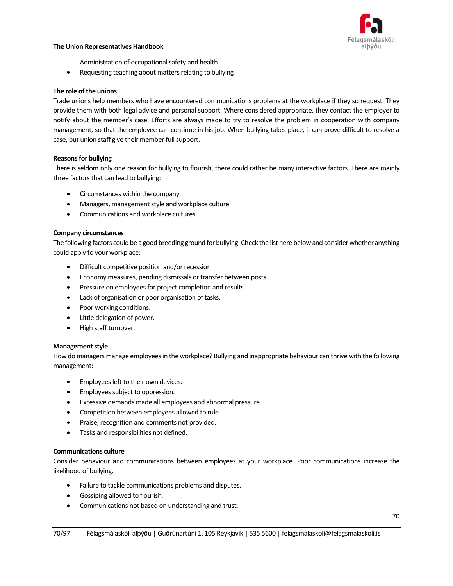

Administration of occupational safety and health.

• Requesting teaching about matters relating to bullying

#### **The role of the unions**

Trade unions help members who have encountered communications problems at the workplace if they so request. They provide them with both legal advice and personal support. Where considered appropriate, they contact the employer to notify about the member's case. Efforts are always made to try to resolve the problem in cooperation with company management, so that the employee can continue in his job. When bullying takes place, it can prove difficult to resolve a case, but union staff give their member full support.

### **Reasons for bullying**

There is seldom only one reason for bullying to flourish, there could rather be many interactive factors. There are mainly three factors that can lead to bullying:

- Circumstances within the company.
- Managers, management style and workplace culture.
- Communications and workplace cultures

#### **Company circumstances**

The following factors could be a good breeding ground for bullying. Check the list here below and consider whether anything could apply to your workplace:

- Difficult competitive position and/or recession
- Economy measures, pending dismissals or transfer between posts
- Pressure on employees for project completion and results.
- Lack of organisation or poor organisation of tasks.
- Poor working conditions.
- Little delegation of power.
- High staff turnover.

### **Management style**

How do managers manage employees in the workplace? Bullying and inappropriate behaviour can thrive with the following management:

- Employees left to their own devices.
- Employees subject to oppression.
- Excessive demands made all employees and abnormal pressure.
- Competition between employees allowed to rule.
- Praise, recognition and comments not provided.
- Tasks and responsibilities not defined.

### **Communications culture**

Consider behaviour and communications between employees at your workplace. Poor communications increase the likelihood of bullying.

- Failure to tackle communications problems and disputes.
- Gossiping allowed to flourish.
- Communications not based on understanding and trust.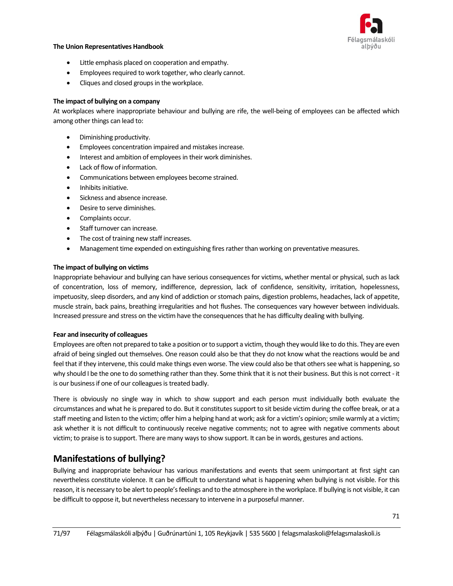

- Little emphasis placed on cooperation and empathy.
- Employees required to work together, who clearly cannot.
- Cliques and closed groups in the workplace.

#### **The impact of bullying on a company**

At workplaces where inappropriate behaviour and bullying are rife, the well-being of employees can be affected which among other things can lead to:

- Diminishing productivity.
- Employees concentration impaired and mistakes increase.
- Interest and ambition of employees in their work diminishes.
- Lack of flow of information.
- Communications between employees become strained.
- Inhibits initiative.
- Sickness and absence increase.
- Desire to serve diminishes.
- Complaints occur.
- Staff turnover can increase.
- The cost of training new staff increases.
- Management time expended on extinguishing fires rather than working on preventative measures.

#### **The impact of bullying on victims**

Inappropriate behaviour and bullying can have serious consequences for victims, whether mental or physical, such as lack of concentration, loss of memory, indifference, depression, lack of confidence, sensitivity, irritation, hopelessness, impetuosity, sleep disorders, and any kind of addiction or stomach pains, digestion problems, headaches, lack of appetite, muscle strain, back pains, breathing irregularities and hot flushes. The consequences vary however between individuals. Increased pressure and stress on the victim have the consequences that he has difficulty dealing with bullying.

#### **Fear and insecurity of colleagues**

Employees are often not prepared to take a position or to support a victim, though they would like to do this. They are even afraid of being singled out themselves. One reason could also be that they do not know what the reactions would be and feel that if they intervene, this could make things even worse. The view could also be that others see what is happening, so why should I be the one to do something rather than they. Some think that it is not their business. But this is not correct - it is our business if one of our colleagues is treated badly.

There is obviously no single way in which to show support and each person must individually both evaluate the circumstances and what he is prepared to do. But it constitutes support to sit beside victim during the coffee break, or at a staff meeting and listen to the victim; offer him a helping hand at work; ask for a victim's opinion; smile warmly at a victim; ask whether it is not difficult to continuously receive negative comments; not to agree with negative comments about victim; to praise is to support. There are many ways to show support. It can be in words, gestures and actions.

## **Manifestations of bullying?**

Bullying and inappropriate behaviour has various manifestations and events that seem unimportant at first sight can nevertheless constitute violence. It can be difficult to understand what is happening when bullying is not visible. For this reason, it is necessary to be alert to people's feelings and to the atmosphere in the workplace. If bullying is not visible, it can be difficult to oppose it, but nevertheless necessary to intervene in a purposeful manner.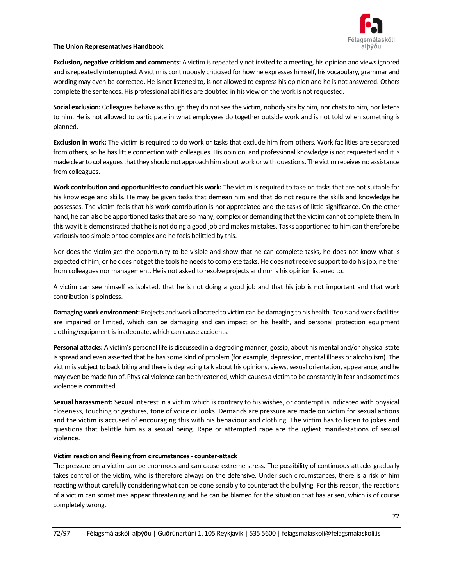

**Exclusion, negative criticism and comments:** A victim is repeatedly not invited to a meeting, his opinion and views ignored and is repeatedly interrupted. A victim is continuously criticised for how he expresses himself, his vocabulary, grammar and wording may even be corrected. He is not listened to, is not allowed to express his opinion and he is not answered. Others complete the sentences. His professional abilities are doubted in his view on the work is not requested.

**Social exclusion:** Colleagues behave as though they do not see the victim, nobody sits by him, nor chats to him, nor listens to him. He is not allowed to participate in what employees do together outside work and is not told when something is planned.

**Exclusion in work:** The victim is required to do work or tasks that exclude him from others. Work facilities are separated from others, so he has little connection with colleagues. His opinion, and professional knowledge is not requested and it is made clear to colleagues that they should not approach him about work or with questions. The victim receives no assistance from colleagues.

**Work contribution and opportunities to conduct his work:** The victim is required to take on tasks that are not suitable for his knowledge and skills. He may be given tasks that demean him and that do not require the skills and knowledge he possesses. The victim feels that his work contribution is not appreciated and the tasks of little significance. On the other hand, he can also be apportioned tasks that are so many, complex or demanding that the victim cannot complete them. In this way it is demonstrated that he is not doing a good job and makes mistakes. Tasks apportioned to him can therefore be variously too simple or too complex and he feels belittled by this.

Nor does the victim get the opportunity to be visible and show that he can complete tasks, he does not know what is expected of him, or he does not get the tools he needs to complete tasks. He does not receive support to do his job, neither from colleagues nor management. He is not asked to resolve projects and nor is his opinion listened to.

A victim can see himself as isolated, that he is not doing a good job and that his job is not important and that work contribution is pointless.

**Damaging work environment:** Projects and work allocated to victim can be damaging to his health. Tools and work facilities are impaired or limited, which can be damaging and can impact on his health, and personal protection equipment clothing/equipment is inadequate, which can cause accidents.

**Personal attacks:** A victim's personal life is discussed in a degrading manner; gossip, about his mental and/or physical state is spread and even asserted that he has some kind of problem (for example, depression, mental illness or alcoholism). The victim is subject to back biting and there is degrading talk about his opinions, views, sexual orientation, appearance, and he may even be made fun of. Physical violence can be threatened, which causes a victim to be constantly in fear and sometimes violence is committed.

**Sexual harassment:** Sexual interest in a victim which is contrary to his wishes, or contempt is indicated with physical closeness, touching or gestures, tone of voice or looks. Demands are pressure are made on victim for sexual actions and the victim is accused of encouraging this with his behaviour and clothing. The victim has to listen to jokes and questions that belittle him as a sexual being. Rape or attempted rape are the ugliest manifestations of sexual violence.

### **Victim reaction and fleeing from circumstances - counter-attack**

The pressure on a victim can be enormous and can cause extreme stress. The possibility of continuous attacks gradually takes control of the victim, who is therefore always on the defensive. Under such circumstances, there is a risk of him reacting without carefully considering what can be done sensibly to counteract the bullying. For this reason, the reactions of a victim can sometimes appear threatening and he can be blamed for the situation that has arisen, which is of course completely wrong.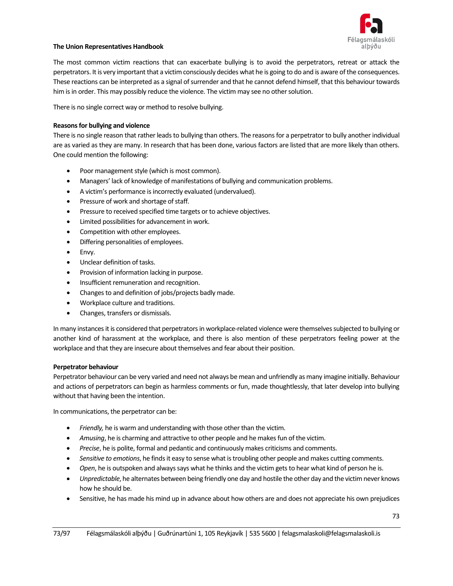

The most common victim reactions that can exacerbate bullying is to avoid the perpetrators, retreat or attack the perpetrators. It is very important that a victim consciously decides what he is going to do and is aware of the consequences. These reactions can be interpreted as a signal of surrender and that he cannot defend himself, that this behaviour towards him is in order. This may possibly reduce the violence. The victim may see no other solution.

There is no single correct way or method to resolve bullying.

#### **Reasons for bullying and violence**

There is no single reason that rather leads to bullying than others. The reasons for a perpetrator to bully another individual are as varied as they are many. In research that has been done, various factors are listed that are more likely than others. One could mention the following:

- Poor management style (which is most common).
- Managers' lack of knowledge of manifestations of bullying and communication problems.
- A victim's performance is incorrectly evaluated (undervalued).
- Pressure of work and shortage of staff.
- Pressure to received specified time targets or to achieve objectives.
- Limited possibilities for advancement in work.
- Competition with other employees.
- Differing personalities of employees.
- Envy.
- Unclear definition of tasks.
- Provision of information lacking in purpose.
- Insufficient remuneration and recognition.
- Changes to and definition of jobs/projects badly made.
- Workplace culture and traditions.
- Changes, transfers or dismissals.

In many instances it is considered that perpetrators in workplace-related violence were themselves subjected to bullying or another kind of harassment at the workplace, and there is also mention of these perpetrators feeling power at the workplace and that they are insecure about themselves and fear about their position.

#### **Perpetrator behaviour**

Perpetrator behaviour can be very varied and need not always be mean and unfriendly as many imagine initially. Behaviour and actions of perpetrators can begin as harmless comments or fun, made thoughtlessly, that later develop into bullying without that having been the intention.

In communications, the perpetrator can be:

- *Friendly,* he is warm and understanding with those other than the victim.
- *Amusing*, he is charming and attractive to other people and he makes fun of the victim.
- *Precise*, he is polite, formal and pedantic and continuously makes criticisms and comments.
- *Sensitive to emotions*, he finds it easy to sense what is troubling other people and makes cutting comments.
- *Open*, he is outspoken and always says what he thinks and the victim gets to hear what kind of person he is.
- *Unpredictable*, he alternates between being friendly one day and hostile the other day and the victim never knows how he should be.
- Sensitive, he has made his mind up in advance about how others are and does not appreciate his own prejudices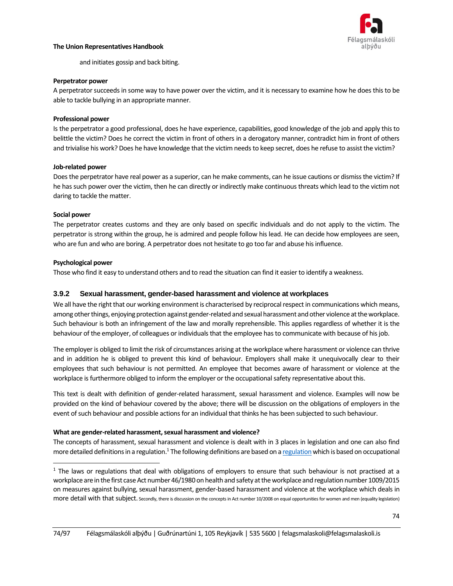

and initiates gossip and back biting.

#### **Perpetrator power**

A perpetrator succeeds in some way to have power over the victim, and it is necessary to examine how he does this to be able to tackle bullying in an appropriate manner.

#### **Professional power**

Is the perpetrator a good professional, does he have experience, capabilities, good knowledge of the job and apply this to belittle the victim? Does he correct the victim in front of others in a derogatory manner, contradict him in front of others and trivialise his work? Does he have knowledge that the victim needs to keep secret, does he refuse to assist the victim?

#### **Job-related power**

Does the perpetrator have real power as a superior, can he make comments, can he issue cautions or dismiss the victim? If he has such power over the victim, then he can directly or indirectly make continuous threats which lead to the victim not daring to tackle the matter.

#### **Social power**

The perpetrator creates customs and they are only based on specific individuals and do not apply to the victim. The perpetrator is strong within the group, he is admired and people follow his lead. He can decide how employees are seen, who are fun and who are boring. A perpetrator does not hesitate to go too far and abuse his influence.

#### **Psychological power**

Those who find it easy to understand others and to read the situation can find it easier to identify a weakness.

#### **3.9.2 Sexual harassment, gender-based harassment and violence at workplaces**

We all have the right that our working environment is characterised by reciprocal respect in communications which means, among other things, enjoying protection against gender-related and sexual harassment and other violence at the workplace. Such behaviour is both an infringement of the law and morally reprehensible. This applies regardless of whether it is the behaviour of the employer, of colleagues or individuals that the employee hasto communicate with because of his job.

The employer is obliged to limit the risk of circumstances arising at the workplace where harassment or violence can thrive and in addition he is obliged to prevent this kind of behaviour. Employers shall make it unequivocally clear to their employees that such behaviour is not permitted. An employee that becomes aware of harassment or violence at the workplace is furthermore obliged to inform the employer or the occupational safety representative about this.

This text is dealt with definition of gender-related harassment, sexual harassment and violence. Examples will now be provided on the kind of behaviour covered by the above; there will be discussion on the obligations of employers in the event of such behaviour and possible actions for an individual that thinks he has been subjected to such behaviour.

#### **What are gender-related harassment, sexual harassment and violence?**

The concepts of harassment, sexual harassment and violence is dealt with in 3 places in legislation and one can also find more detailed definitions in a regulation.<sup>1</sup> The following definitions are based on a regulation which is based on occupational

 $1$  The laws or regulations that deal with obligations of employers to ensure that such behaviour is not practised at a workplace are in the first case Act number 46/1980 on health and safety at the workplace and regulation number 1009/2015 on measures against bullying, sexual harassment, gender-based harassment and violence at the workplace which deals in more detail with that subject. Secondly, there is discussion on the concepts in Act number 10/2008 on equal opportunities for women and men (equality legislation)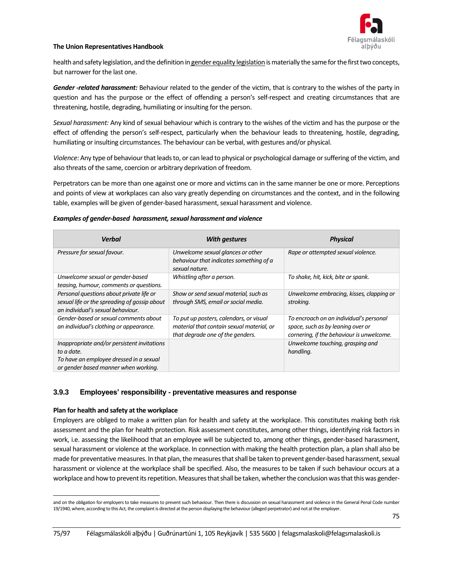

health and safety legislation, and the definition in [gender equality legislation](http://www.althingi.is/lagas/nuna/2008010.html) is materially the same for the first two concepts, but narrower for the last one.

*Gender -related harassment:* Behaviour related to the gender of the victim, that is contrary to the wishes of the party in question and has the purpose or the effect of offending a person's self-respect and creating circumstances that are threatening, hostile, degrading, humiliating or insulting for the person.

*Sexual harassment:* Any kind of sexual behaviour which is contrary to the wishes of the victim and has the purpose or the effect of offending the person's self-respect, particularly when the behaviour leads to threatening, hostile, degrading, humiliating or insulting circumstances. The behaviour can be verbal, with gestures and/or physical.

*Violence:* Any type of behaviour that leads to, or can lead to physical or psychological damage or suffering of the victim, and also threats of the same, coercion or arbitrary deprivation of freedom.

Perpetrators can be more than one against one or more and victims can in the same manner be one or more. Perceptions and points of view at workplaces can also vary greatly depending on circumstances and the context, and in the following table, examples will be given of gender-based harassment, sexual harassment and violence.

#### *Examples of gender-based harassment, sexual harassment and violence*

| <b>Verbal</b>                                                                                                                                | <b>With gestures</b>                                                                                                     | <b>Physical</b>                                                                                                           |
|----------------------------------------------------------------------------------------------------------------------------------------------|--------------------------------------------------------------------------------------------------------------------------|---------------------------------------------------------------------------------------------------------------------------|
| Pressure for sexual favour.                                                                                                                  | Unwelcome sexual glances or other<br>behaviour that indicates something of a<br>sexual nature.                           | Rape or attempted sexual violence.                                                                                        |
| Unwelcome sexual or gender-based<br>teasing, humour, comments or questions.                                                                  | Whistling after a person.                                                                                                | To shake, hit, kick, bite or spank.                                                                                       |
| Personal questions about private life or<br>sexual life or the spreading of gossip about<br>an individual's sexual behaviour.                | Show or send sexual material, such as<br>through SMS, email or social media.                                             | Unwelcome embracing, kisses, clapping or<br>stroking.                                                                     |
| Gender-based or sexual comments about<br>an individual's clothing or appearance.                                                             | To put up posters, calendars, or visual<br>material that contain sexual material, or<br>that degrade one of the genders. | To encroach on an individual's personal<br>space, such as by leaning over or<br>cornering, if the behaviour is unwelcome. |
| Inappropriate and/or persistent invitations<br>to a date.<br>To have an employee dressed in a sexual<br>or gender based manner when working. |                                                                                                                          | Unwelcome touching, grasping and<br>handling.                                                                             |

#### **3.9.3 Employees' responsibility - preventative measures and response**

#### **Plan for health and safety at the workplace**

Employers are obliged to make a written plan for health and safety at the workplace. This constitutes making both risk assessment and the plan for health protection. Risk assessment constitutes, among other things, identifying risk factors in work, i.e. assessing the likelihood that an employee will be subjected to, among other things, gender-based harassment, sexual harassment or violence at the workplace. In connection with making the health protection plan, a plan shall also be made for preventative measures. In that plan, the measures that shall be taken to prevent gender-based harassment, sexual harassment or violence at the workplace shall be specified. Also, the measures to be taken if such behaviour occurs at a workplace and how to prevent its repetition. Measures that shall be taken, whether the conclusion was that this was gender-

and on the obligation for employers to take measures to prevent such behaviour. Then there is discussion on sexual harassment and violence in the General Penal Code number 19/1940, where, according to this Act, the complaint is directed at the person displaying the behaviour (alleged perpetrator) and not at the employer.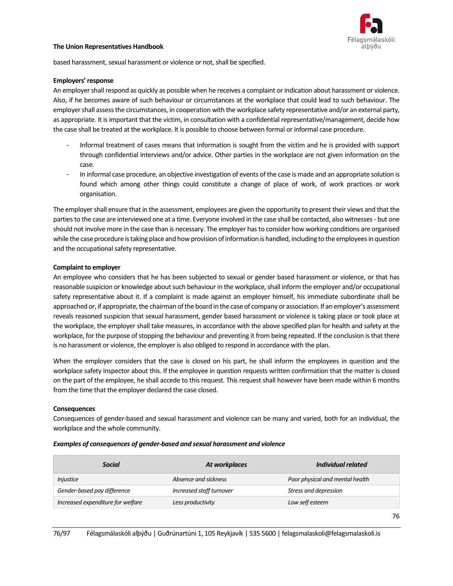

based harassment, sexual harassment or violence or not, shall be specified.

#### **Employers' response**

An employer shall respond as quickly as possible when he receives a complaint or indication about harassment or violence. Also, if he becomes aware of such behaviour or circumstances at the workplace that could lead to such behaviour. The employer shall assess the circumstances, in cooperation with the workplace safety representative and/or an external party, as appropriate. It is important that the victim, in consultation with a confidential representative/management, decide how the case shall be treated at the workplace. It is possible to choose between formal or informal case procedure.

- Informal treatment of cases means that information is sought from the victim and he is provided with support through confidential interviews and/or advice. Other parties in the workplace are not given information on the case.
- In informal case procedure, an objective investigation of events of the case is made and an appropriate solution is found which among other things could constitute a change of place of work, of work practices or work organisation.

The employer shall ensure that in the assessment, employees are given the opportunity to present their views and that the parties to the case are interviewed one at a time. Everyone involved in the case shall be contacted, also witnesses - but one should not involve more in the case than is necessary. The employer has to consider how working conditions are organised while the case procedure is taking place and how provision of information is handled, including to the employees in question and the occupational safety representative.

#### **Complaint to employer**

An employee who considers that he has been subjected to sexual or gender based harassment or violence, or that has reasonable suspicion or knowledge about such behaviour in the workplace, shall inform the employer and/or occupational safety representative about it. If a complaint is made against an employer himself, his immediate subordinate shall be approached or, if appropriate, the chairman of the board in the case of company or association. If an employer's assessment reveals reasoned suspicion that sexual harassment, gender based harassment or violence is taking place or took place at the workplace, the employer shall take measures, in accordance with the above specified plan for health and safety at the workplace, for the purpose of stopping the behaviour and preventing it from being repeated. If the conclusion is that there is no harassment or violence, the employer is also obliged to respond in accordance with the plan.

When the employer considers that the case is closed on his part, he shall inform the employees in question and the workplace safety inspector about this. If the employee in question requests written confirmation that the matter is closed on the part of the employee, he shall accede to this request. This request shall however have been made within 6 months from the time that the employer declared the case closed.

#### **Consequences**

Consequences of gender-based and sexual harassment and violence can be many and varied, both for an individual, the workplace and the whole community.

#### *Examples of consequences of gender-based and sexual harassment and violence*

| <b>Social</b>                     | At workplaces            | Individual related              |
|-----------------------------------|--------------------------|---------------------------------|
| <i>Injustice</i>                  | Absence and sickness     | Poor physical and mental health |
| Gender-based pay difference       | Increased staff turnover | Stress and depression           |
| Increased expenditure for welfare | Less productivity        | Low self esteem                 |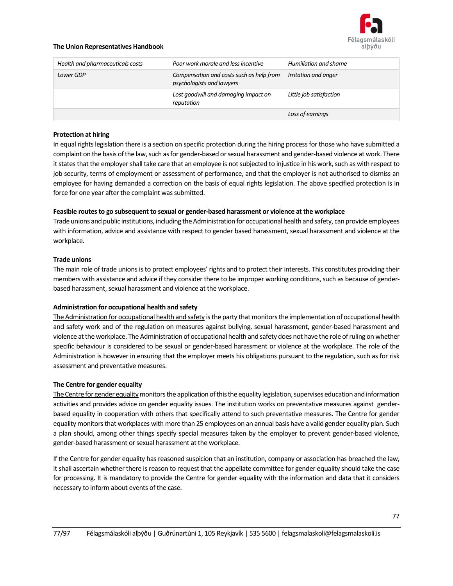

| Health and pharmaceuticals costs | Poor work morale and less incentive                                   | Humiliation and shame   |
|----------------------------------|-----------------------------------------------------------------------|-------------------------|
| Lower GDP                        | Compensation and costs such as help from<br>psychologists and lawyers | Irritation and anger    |
|                                  | Lost goodwill and damaging impact on<br>reputation                    | Little job satisfaction |
|                                  |                                                                       | Loss of earnings        |

#### **Protection at hiring**

In equal rights legislation there is a section on specific protection during the hiring process for those who have submitted a complaint on the basis of the law, such as for gender-based or sexual harassment and gender-based violence at work. There it states that the employer shall take care that an employee is not subjected to injustice in his work, such as with respect to job security, terms of employment or assessment of performance, and that the employer is not authorised to dismiss an employee for having demanded a correction on the basis of equal rights legislation. The above specified protection is in force for one year after the complaint was submitted.

#### **Feasible routes to go subsequent to sexual or gender-based harassment or violence at the workplace**

Trade unions and public institutions, including the Administration for occupational health and safety, can provide employees with information, advice and assistance with respect to gender based harassment, sexual harassment and violence at the workplace.

#### **Trade unions**

The main role of trade unions is to protect employees' rights and to protect their interests. This constitutes providing their members with assistance and advice if they consider there to be improper working conditions, such as because of genderbased harassment, sexual harassment and violence at the workplace.

#### **Administration for occupational health and safety**

The Administration [for occupational health and safety](http://www.vinnueftirlit.is/) is the party that monitors the implementation of occupational health and safety work and of the regulation on measures against bullying, sexual harassment, gender-based harassment and violence at the workplace. The Administration of occupational health and safety does not have the role of ruling on whether specific behaviour is considered to be sexual or gender-based harassment or violence at the workplace. The role of the Administration is however in ensuring that the employer meets his obligations pursuant to the regulation, such as for risk assessment and preventative measures.

#### **The Centre for gender equality**

The Centre for gender equality monitors the application of this the equality legislation, supervises education and information activities and provides advice on gender equality issues. The institution works on preventative measures against genderbased equality in cooperation with others that specifically attend to such preventative measures. The Centre for gender equality monitors that workplaces with more than 25 employees on an annual basis have a valid gender equality plan. Such a plan should, among other things specify special measures taken by the employer to prevent gender-based violence, gender-based harassment or sexual harassment at the workplace.

If the Centre for gender equality has reasoned suspicion that an institution, company or association has breached the law, it shall ascertain whether there is reason to request that the appellate committee for gender equality should take the case for processing. It is mandatory to provide the Centre for gender equality with the information and data that it considers necessary to inform about events of the case.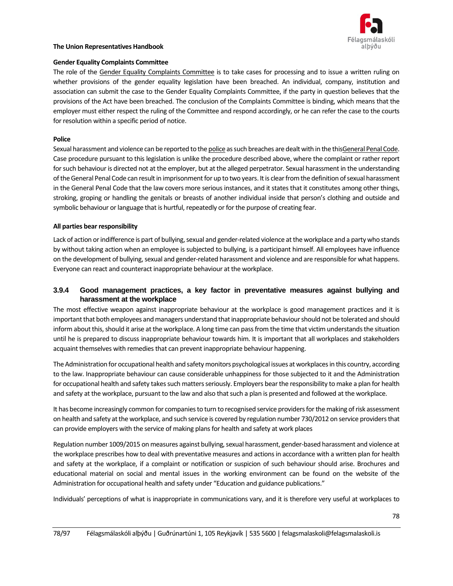

#### **Gender Equality Complaints Committee**

The role of the [Gender Equality Complaints Committee](https://www.velferdarraduneyti.is/kaerunefndir/jafnrettismal) is to take cases for processing and to issue a written ruling on whether provisions of the gender equality legislation have been breached. An individual, company, institution and association can submit the case to the Gender Equality Complaints Committee, if the party in question believes that the provisions of the Act have been breached. The conclusion of the Complaints Committee is binding, which means that the employer must either respect the ruling of the Committee and respond accordingly, or he can refer the case to the courts for resolution within a specific period of notice.

#### **Police**

Sexual harassment and violence can be reported to th[e police](http://logregla.is/) as such breaches are dealt with in the thi[sGeneral Penal Code.](thehttp://www.althingi.is/lagas/145a/1940019.html) Case procedure pursuant to this legislation is unlike the procedure described above, where the complaint or rather report for such behaviour is directed not at the employer, but at the alleged perpetrator. Sexual harassment in the understanding of the General Penal Code can result in imprisonment for up to two years. It is clear from the definition of sexual harassment in the General Penal Code that the law covers more serious instances, and it states that it constitutes among other things, stroking, groping or handling the genitals or breasts of another individual inside that person's clothing and outside and symbolic behaviour or language that is hurtful, repeatedly or for the purpose of creating fear.

#### **All parties bear responsibility**

Lack of action or indifference is part of bullying, sexual and gender-related violence at the workplace and a party who stands by without taking action when an employee is subjected to bullying, is a participant himself. All employees have influence on the development of bullying, sexual and gender-related harassment and violence and are responsible for what happens. Everyone can react and counteract inappropriate behaviour at the workplace.

### **3.9.4 Good management practices, a key factor in preventative measures against bullying and harassment at the workplace**

The most effective weapon against inappropriate behaviour at the workplace is good management practices and it is important that both employees and managers understand that inappropriate behaviour should not be tolerated and should inform about this, should it arise at the workplace. A long time can pass from the time that victim understands the situation until he is prepared to discuss inappropriate behaviour towards him. It is important that all workplaces and stakeholders acquaint themselves with remedies that can prevent inappropriate behaviour happening.

The Administration for occupational health and safety monitors psychological issues at workplaces in this country, according to the law. Inappropriate behaviour can cause considerable unhappiness for those subjected to it and the Administration for occupational health and safety takes such matters seriously. Employers bear the responsibility to make a plan for health and safety at the workplace, pursuant to the law and also that such a plan is presented and followed at the workplace.

It has become increasingly common for companies to turn to recognised service providers for the making of risk assessment on health and safety at the workplace, and such service is covered by regulation number 730/2012 on service providers that can provide employers with the service of making plans for health and safety at work places

Regulation number 1009/2015 on measures against bullying, sexual harassment, gender-based harassment and violence at the workplace prescribes how to deal with preventative measures and actions in accordance with a written plan for health and safety at the workplace, if a complaint or notification or suspicion of such behaviour should arise. Brochures and educational material on social and mental issues in the working environment can be found on the website of the Administration for occupational health and safety under "Education and guidance publications."

Individuals' perceptions of what is inappropriate in communications vary, and it is therefore very useful at workplaces to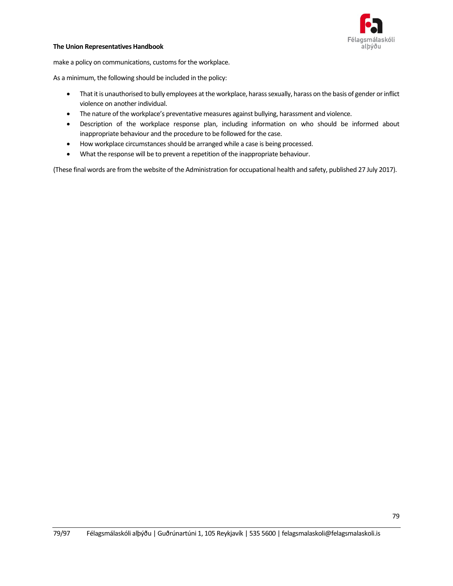

make a policy on communications, customs for the workplace.

As a minimum, the following should be included in the policy:

- That it is unauthorised to bully employees at the workplace, harass sexually, harass on the basis of gender or inflict violence on another individual.
- The nature of the workplace's preventative measures against bullying, harassment and violence.
- Description of the workplace response plan, including information on who should be informed about inappropriate behaviour and the procedure to be followed for the case.
- How workplace circumstances should be arranged while a case is being processed.
- What the response will be to prevent a repetition of the inappropriate behaviour.

(These final words are from the website of the Administration for occupational health and safety, published 27 July 2017).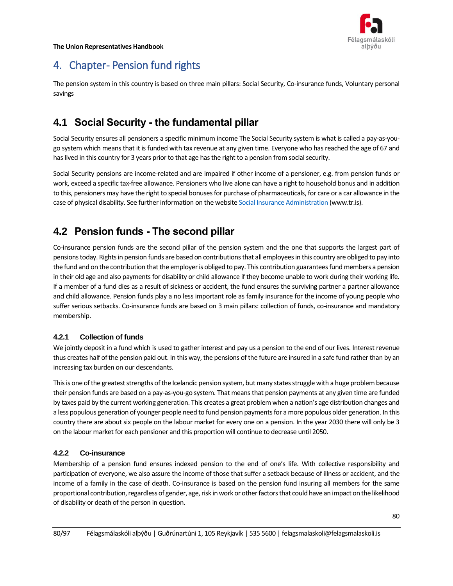

# 4. Chapter-Pension fund rights

The pension system in this country is based on three main pillars: Social Security, Co-insurance funds, Voluntary personal savings

## **4.1 Social Security - the fundamental pillar**

Social Security ensures all pensioners a specific minimum income The Social Security system is what is called a pay-as-yougo system which means that it is funded with tax revenue at any given time. Everyone who has reached the age of 67 and has lived in this country for 3 years prior to that age has the right to a pension from social security.

Social Security pensions are income-related and are impaired if other income of a pensioner, e.g. from pension funds or work, exceed a specific tax-free allowance. Pensioners who live alone can have a right to household bonus and in addition to this, pensioners may have the right to special bonuses for purchase of pharmaceuticals, for care or a car allowance in the case of physical disability. See further information on the websit[e Social Insurance Administration](http://www.tr.is/) (www.tr.is).

## **4.2 Pension funds - The second pillar**

Co-insurance pension funds are the second pillar of the pension system and the one that supports the largest part of pensions today. Rights in pension funds are based on contributions that all employees in this country are obliged to pay into the fund and on the contribution that the employer is obliged to pay. This contribution guarantees fund members a pension in their old age and also payments for disability or child allowance if they become unable to work during their working life. If a member of a fund dies as a result of sickness or accident, the fund ensures the surviving partner a partner allowance and child allowance. Pension funds play a no less important role as family insurance for the income of young people who suffer serious setbacks. Co-insurance funds are based on 3 main pillars: collection of funds, co-insurance and mandatory membership.

## **4.2.1 Collection of funds**

We jointly deposit in a fund which is used to gather interest and pay us a pension to the end of our lives. Interest revenue thus creates half of the pension paid out. In this way, the pensions of the future are insured in a safe fund rather than by an increasing tax burden on our descendants.

This is one of the greatest strengths of the Icelandic pension system, but many states struggle with a huge problem because their pension funds are based on a pay-as-you-go system. That means that pension payments at any given time are funded by taxes paid by the current working generation. This creates a great problem when a nation's age distribution changes and a less populous generation of younger people need to fund pension payments for a more populous older generation. In this country there are about six people on the labour market for every one on a pension. In the year 2030 there will only be 3 on the labour market for each pensioner and this proportion will continue to decrease until 2050.

## **4.2.2 Co-insurance**

Membership of a pension fund ensures indexed pension to the end of one's life. With collective responsibility and participation of everyone, we also assure the income of those that suffer a setback because of illness or accident, and the income of a family in the case of death. Co-insurance is based on the pension fund insuring all members for the same proportional contribution, regardless of gender, age, risk in work or other factors that could have an impact on the likelihood of disability or death of the person in question.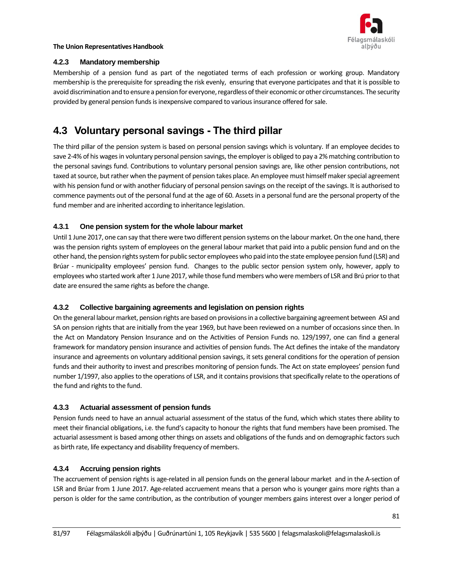

### **4.2.3 Mandatory membership**

Membership of a pension fund as part of the negotiated terms of each profession or working group. Mandatory membership is the prerequisite for spreading the risk evenly, ensuring that everyone participates and that it is possible to avoid discrimination and to ensure a pension for everyone, regardless of their economic or other circumstances. The security provided by general pension funds is inexpensive compared to various insurance offered for sale.

## **4.3 Voluntary personal savings - The third pillar**

The third pillar of the pension system is based on personal pension savings which is voluntary. If an employee decides to save 2-4% of his wages in voluntary personal pension savings, the employer is obliged to pay a 2% matching contribution to the personal savings fund. Contributions to voluntary personal pension savings are, like other pension contributions, not taxed at source, but rather when the payment of pension takes place. An employee must himself maker special agreement with his pension fund or with another fiduciary of personal pension savings on the receipt of the savings. It is authorised to commence payments out of the personal fund at the age of 60. Assets in a personal fund are the personal property of the fund member and are inherited according to inheritance legislation.

## **4.3.1 One pension system for the whole labour market**

Until 1 June 2017, one can say that there were two different pension systems on the labour market. On the one hand, there was the pension rights system of employees on the general labour market that paid into a public pension fund and on the other hand, the pension rights system for public sector employees who paid into the state employee pension fund (LSR) and Brúar - municipality employees' pension fund. Changes to the public sector pension system only, however, apply to employees who started work after 1 June 2017, while those fund members who were members of LSR and Brú prior to that date are ensured the same rights as before the change.

## **4.3.2 Collective bargaining agreements and legislation on pension rights**

On the general labour market, pension rights are based on provisions in a collective bargaining agreement between ASI and SA on pension rights that are initially from the year 1969, but have been reviewed on a number of occasions since then. In the Act on Mandatory Pension Insurance and on the Activities of Pension Funds no. 129/1997, one can find a general framework for mandatory pension insurance and activities of pension funds. The Act defines the intake of the mandatory insurance and agreements on voluntary additional pension savings, it sets general conditions for the operation of pension funds and their authority to invest and prescribes monitoring of pension funds. The Act on state employees' pension fund number 1/1997, also applies to the operations of LSR, and it contains provisions that specifically relate to the operations of the fund and rights to the fund.

## **4.3.3 Actuarial assessment of pension funds**

Pension funds need to have an annual actuarial assessment of the status of the fund, which which states there ability to meet their financial obligations, i.e. the fund's capacity to honour the rights that fund members have been promised. The actuarial assessment is based among other things on assets and obligations of the funds and on demographic factors such as birth rate, life expectancy and disability frequency of members.

## **4.3.4 Accruing pension rights**

The accruement of pension rights is age-related in all pension funds on the general labour market and in the A-section of LSR and Brúar from 1 June 2017. Age-related accruement means that a person who is younger gains more rights than a person is older for the same contribution, as the contribution of younger members gains interest over a longer period of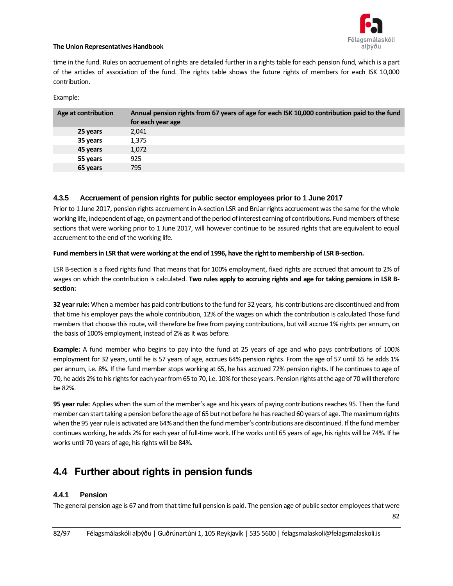

time in the fund. Rules on accruement of rights are detailed further in a rights table for each pension fund, which is a part of the articles of association of the fund. The rights table shows the future rights of members for each ISK 10,000 contribution.

Example:

| Age at contribution | Annual pension rights from 67 years of age for each ISK 10,000 contribution paid to the fund<br>for each year age |
|---------------------|-------------------------------------------------------------------------------------------------------------------|
| 25 years            | 2,041                                                                                                             |
| 35 years            | 1,375                                                                                                             |
| 45 years            | 1,072                                                                                                             |
| 55 years            | 925                                                                                                               |
| 65 years            | 795                                                                                                               |

### **4.3.5 Accruement of pension rights for public sector employees prior to 1 June 2017**

Prior to 1 June 2017, pension rights accruement in A-section LSR and Brúar rights accruement was the same for the whole working life, independent of age, on payment and of the period of interest earning of contributions. Fund members of these sections that were working prior to 1 June 2017, will however continue to be assured rights that are equivalent to equal accruement to the end of the working life.

#### **Fund members in LSR that were working at the end of 1996, have the right to membership of LSR B-section.**

LSR B-section is a fixed rights fund That means that for 100% employment, fixed rights are accrued that amount to 2% of wages on which the contribution is calculated. **Two rules apply to accruing rights and age for taking pensions in LSR Bsection:** 

**32 year rule:** When a member has paid contributions to the fund for 32 years, his contributions are discontinued and from that time his employer pays the whole contribution, 12% of the wages on which the contribution is calculated Those fund members that choose this route, will therefore be free from paying contributions, but will accrue 1% rights per annum, on the basis of 100% employment, instead of 2% as it was before.

**Example:** A fund member who begins to pay into the fund at 25 years of age and who pays contributions of 100% employment for 32 years, until he is 57 years of age, accrues 64% pension rights. From the age of 57 until 65 he adds 1% per annum, i.e. 8%. If the fund member stops working at 65, he has accrued 72% pension rights. If he continues to age of 70, he adds 2% to his rights for each year from 65 to 70, i.e. 10% for these years. Pension rights at the age of 70 will therefore be 82%.

**95 year rule:** Applies when the sum of the member's age and his years of paying contributions reaches 95. Then the fund member can start taking a pension before the age of 65 but not before he has reached 60 years of age. The maximum rights when the 95 year rule is activated are 64% and then the fund member's contributions are discontinued. If the fund member continues working, he adds 2% for each year of full-time work. If he works until 65 years of age, his rights will be 74%. If he works until 70 years of age, his rights will be 84%.

## **4.4 Further about rights in pension funds**

## **4.4.1 Pension**

The general pension age is 67 and from that time full pension is paid. The pension age of public sector employees that were